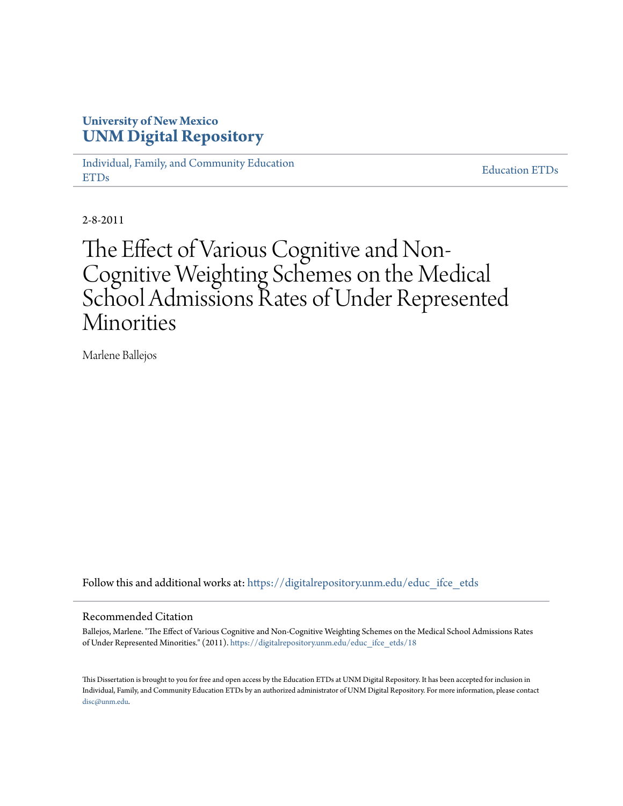## **University of New Mexico [UNM Digital Repository](https://digitalrepository.unm.edu?utm_source=digitalrepository.unm.edu%2Feduc_ifce_etds%2F18&utm_medium=PDF&utm_campaign=PDFCoverPages)**

[Individual, Family, and Community Education](https://digitalrepository.unm.edu/educ_ifce_etds?utm_source=digitalrepository.unm.edu%2Feduc_ifce_etds%2F18&utm_medium=PDF&utm_campaign=PDFCoverPages) [ETDs](https://digitalrepository.unm.edu/educ_ifce_etds?utm_source=digitalrepository.unm.edu%2Feduc_ifce_etds%2F18&utm_medium=PDF&utm_campaign=PDFCoverPages)

[Education ETDs](https://digitalrepository.unm.edu/educ_etds?utm_source=digitalrepository.unm.edu%2Feduc_ifce_etds%2F18&utm_medium=PDF&utm_campaign=PDFCoverPages)

2-8-2011

# The Effect of Various Cognitive and Non-Cognitive Weighting Schemes on the Medical School Admissions Rates of Under Represented Minorities

Marlene Ballejos

Follow this and additional works at: [https://digitalrepository.unm.edu/educ\\_ifce\\_etds](https://digitalrepository.unm.edu/educ_ifce_etds?utm_source=digitalrepository.unm.edu%2Feduc_ifce_etds%2F18&utm_medium=PDF&utm_campaign=PDFCoverPages)

#### Recommended Citation

Ballejos, Marlene. "The Effect of Various Cognitive and Non-Cognitive Weighting Schemes on the Medical School Admissions Rates of Under Represented Minorities." (2011). [https://digitalrepository.unm.edu/educ\\_ifce\\_etds/18](https://digitalrepository.unm.edu/educ_ifce_etds/18?utm_source=digitalrepository.unm.edu%2Feduc_ifce_etds%2F18&utm_medium=PDF&utm_campaign=PDFCoverPages)

This Dissertation is brought to you for free and open access by the Education ETDs at UNM Digital Repository. It has been accepted for inclusion in Individual, Family, and Community Education ETDs by an authorized administrator of UNM Digital Repository. For more information, please contact [disc@unm.edu](mailto:disc@unm.edu).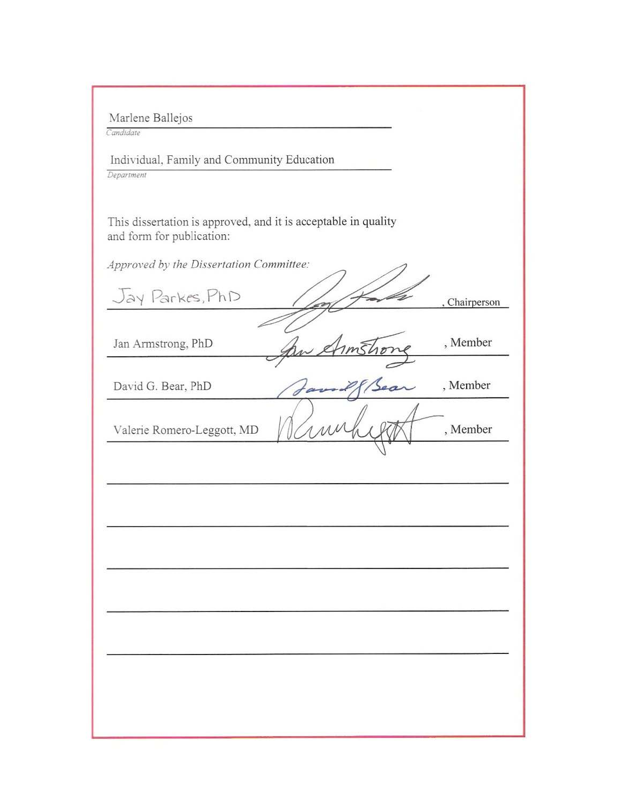| Marlene Ballejos |  |  |
|------------------|--|--|
|                  |  |  |

Candidate

Individual, Family and Community Education Department

This dissertation is approved, and it is acceptable in quality and form for publication:

Approved by the Dissertation Committee:

Jay Parkes, PhD Chairperson Jan Armstrong, PhD , Member David G. Bear, PhD , Member , Member Valerie Romero-Leggott, MD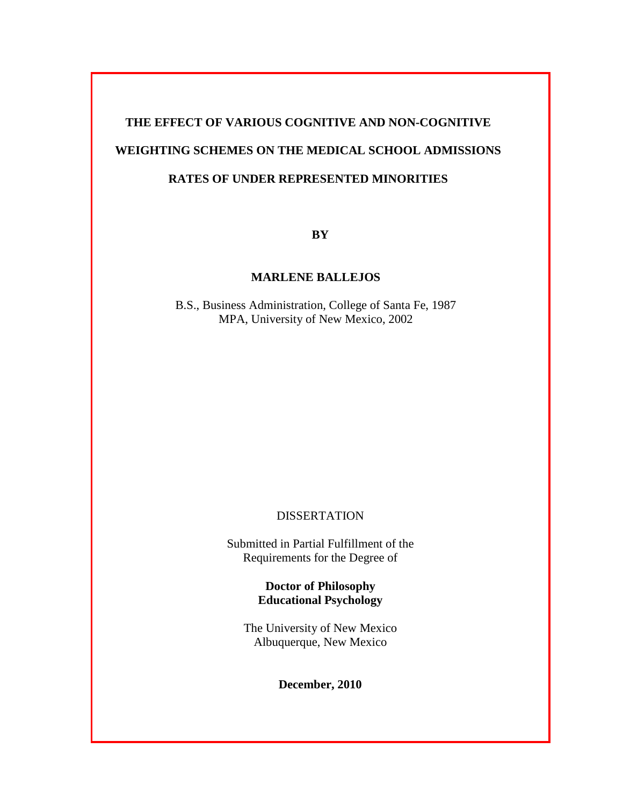# **THE EFFECT OF VARIOUS COGNITIVE AND NON-COGNITIVE WEIGHTING SCHEMES ON THE MEDICAL SCHOOL ADMISSIONS RATES OF UNDER REPRESENTED MINORITIES**

**BY**

### **MARLENE BALLEJOS**

B.S., Business Administration, College of Santa Fe, 1987 MPA, University of New Mexico, 2002

## DISSERTATION

Submitted in Partial Fulfillment of the Requirements for the Degree of

> **Doctor of Philosophy Educational Psychology**

The University of New Mexico Albuquerque, New Mexico

**December, 2010**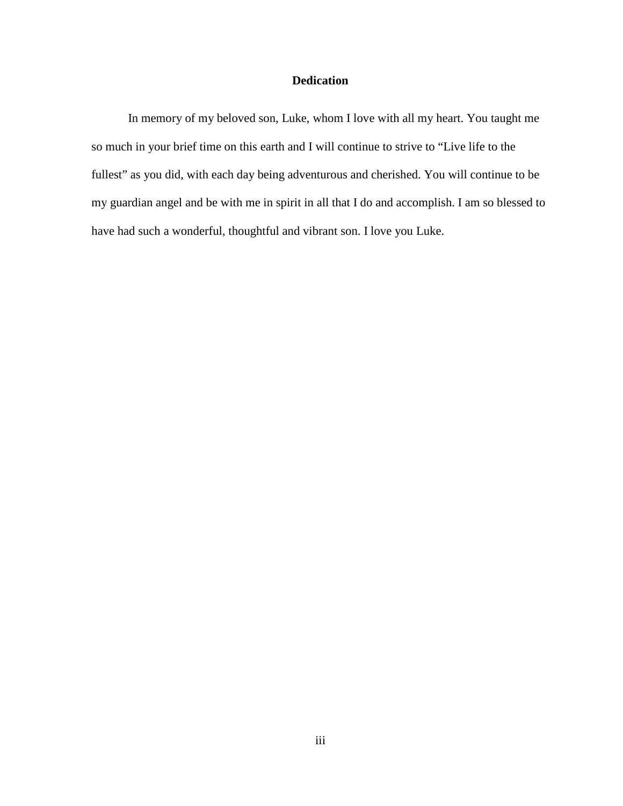### **Dedication**

In memory of my beloved son, Luke, whom I love with all my heart. You taught me so much in your brief time on this earth and I will continue to strive to "Live life to the fullest" as you did, with each day being adventurous and cherished. You will continue to be my guardian angel and be with me in spirit in all that I do and accomplish. I am so blessed to have had such a wonderful, thoughtful and vibrant son. I love you Luke.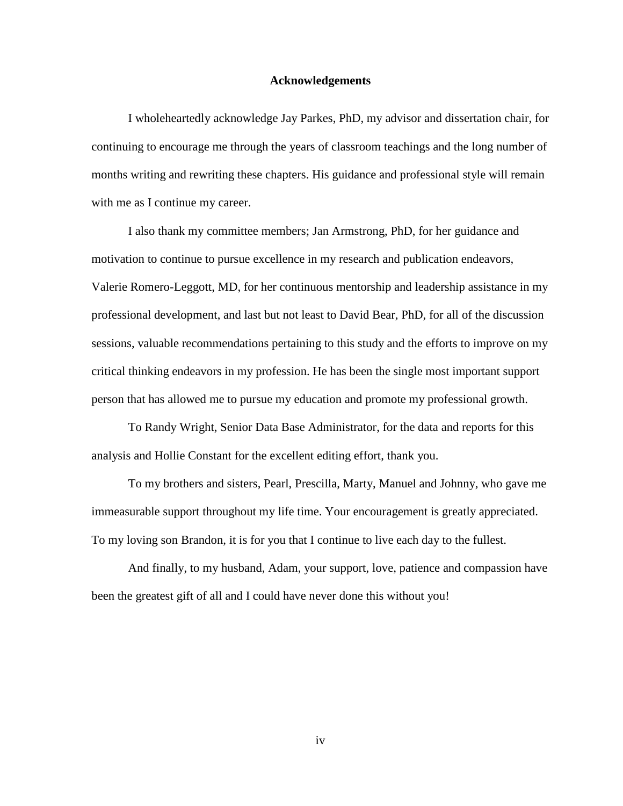#### **Acknowledgements**

I wholeheartedly acknowledge Jay Parkes, PhD, my advisor and dissertation chair, for continuing to encourage me through the years of classroom teachings and the long number of months writing and rewriting these chapters. His guidance and professional style will remain with me as I continue my career.

I also thank my committee members; Jan Armstrong, PhD, for her guidance and motivation to continue to pursue excellence in my research and publication endeavors, Valerie Romero-Leggott, MD, for her continuous mentorship and leadership assistance in my professional development, and last but not least to David Bear, PhD, for all of the discussion sessions, valuable recommendations pertaining to this study and the efforts to improve on my critical thinking endeavors in my profession. He has been the single most important support person that has allowed me to pursue my education and promote my professional growth.

To Randy Wright, Senior Data Base Administrator, for the data and reports for this analysis and Hollie Constant for the excellent editing effort, thank you.

To my brothers and sisters, Pearl, Prescilla, Marty, Manuel and Johnny, who gave me immeasurable support throughout my life time. Your encouragement is greatly appreciated. To my loving son Brandon, it is for you that I continue to live each day to the fullest.

And finally, to my husband, Adam, your support, love, patience and compassion have been the greatest gift of all and I could have never done this without you!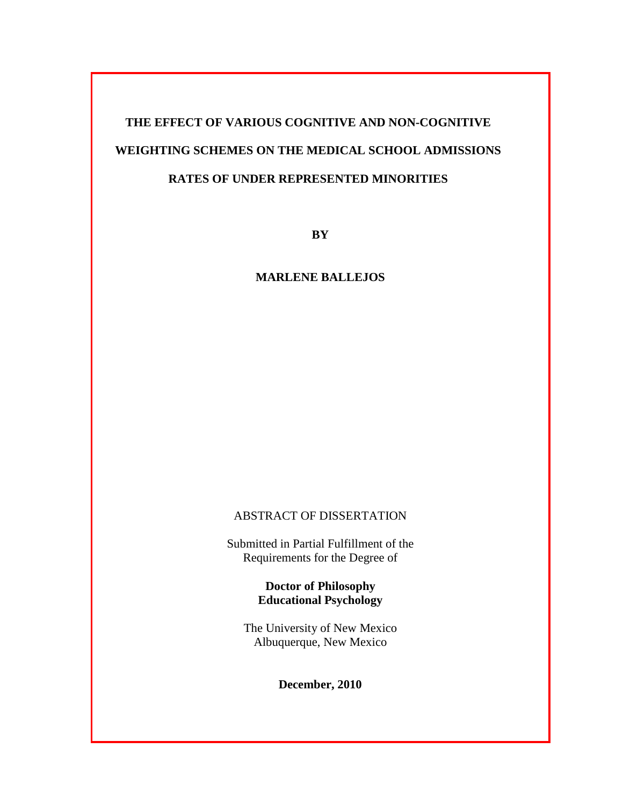# **THE EFFECT OF VARIOUS COGNITIVE AND NON-COGNITIVE WEIGHTING SCHEMES ON THE MEDICAL SCHOOL ADMISSIONS RATES OF UNDER REPRESENTED MINORITIES**

**BY**

### **MARLENE BALLEJOS**

## ABSTRACT OF DISSERTATION

Submitted in Partial Fulfillment of the Requirements for the Degree of

> **Doctor of Philosophy Educational Psychology**

The University of New Mexico Albuquerque, New Mexico

**December, 2010**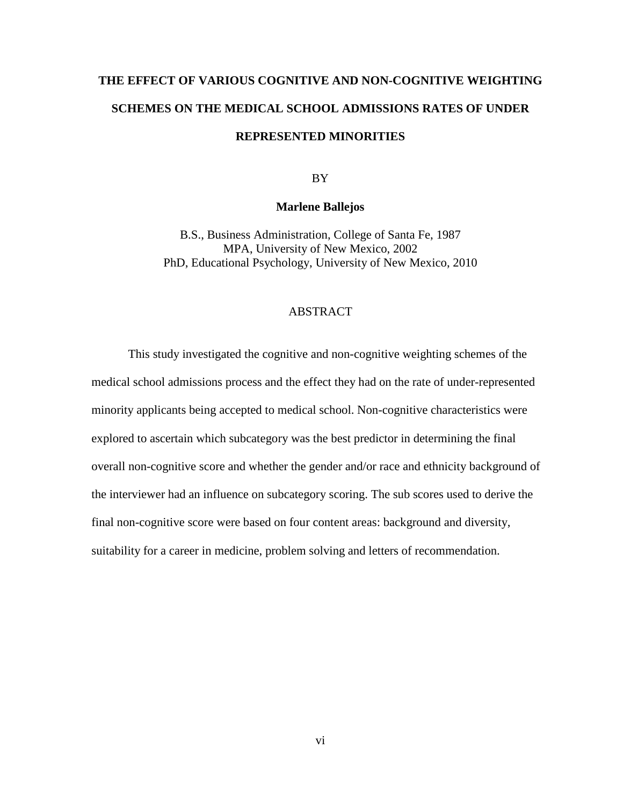# **THE EFFECT OF VARIOUS COGNITIVE AND NON-COGNITIVE WEIGHTING SCHEMES ON THE MEDICAL SCHOOL ADMISSIONS RATES OF UNDER REPRESENTED MINORITIES**

BY

#### **Marlene Ballejos**

B.S., Business Administration, College of Santa Fe, 1987 MPA, University of New Mexico, 2002 PhD, Educational Psychology, University of New Mexico, 2010

#### **ABSTRACT**

This study investigated the cognitive and non-cognitive weighting schemes of the medical school admissions process and the effect they had on the rate of under-represented minority applicants being accepted to medical school. Non-cognitive characteristics were explored to ascertain which subcategory was the best predictor in determining the final overall non-cognitive score and whether the gender and/or race and ethnicity background of the interviewer had an influence on subcategory scoring. The sub scores used to derive the final non-cognitive score were based on four content areas: background and diversity, suitability for a career in medicine, problem solving and letters of recommendation.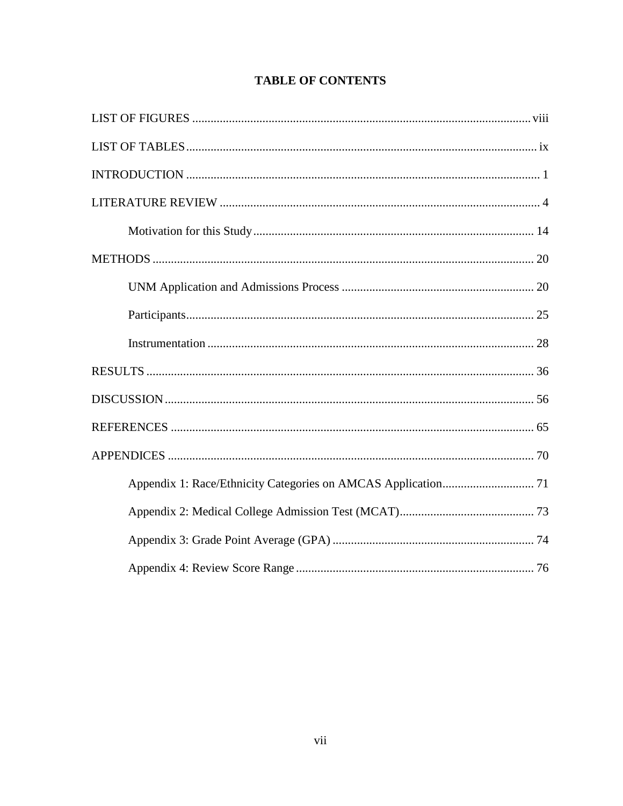## **TABLE OF CONTENTS**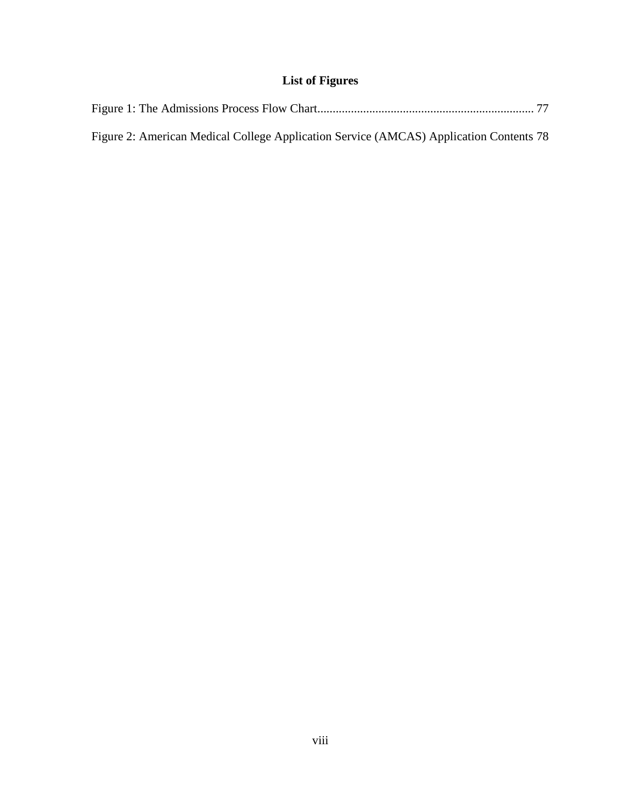# **List of Figures**

<span id="page-8-0"></span>

| Figure 2: American Medical College Application Service (AMCAS) Application Contents 78 |  |
|----------------------------------------------------------------------------------------|--|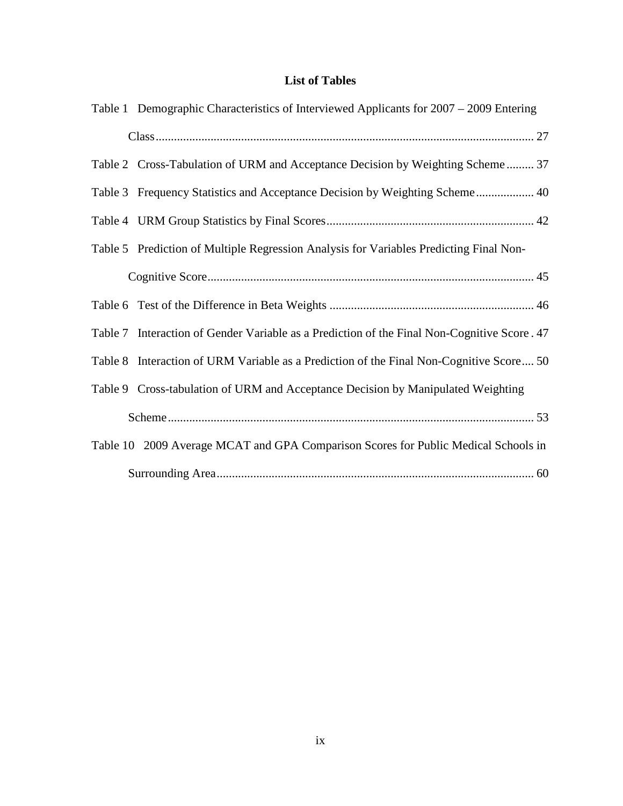# **List of Tables**

<span id="page-9-0"></span>

| Table 1 Demographic Characteristics of Interviewed Applicants for 2007 – 2009 Entering       |
|----------------------------------------------------------------------------------------------|
|                                                                                              |
| Table 2 Cross-Tabulation of URM and Acceptance Decision by Weighting Scheme 37               |
| Table 3 Frequency Statistics and Acceptance Decision by Weighting Scheme 40                  |
|                                                                                              |
| Table 5 Prediction of Multiple Regression Analysis for Variables Predicting Final Non-       |
|                                                                                              |
|                                                                                              |
| Table 7 Interaction of Gender Variable as a Prediction of the Final Non-Cognitive Score . 47 |
| Table 8 Interaction of URM Variable as a Prediction of the Final Non-Cognitive Score 50      |
| Table 9 Cross-tabulation of URM and Acceptance Decision by Manipulated Weighting             |
|                                                                                              |
| Table 10 2009 Average MCAT and GPA Comparison Scores for Public Medical Schools in           |
|                                                                                              |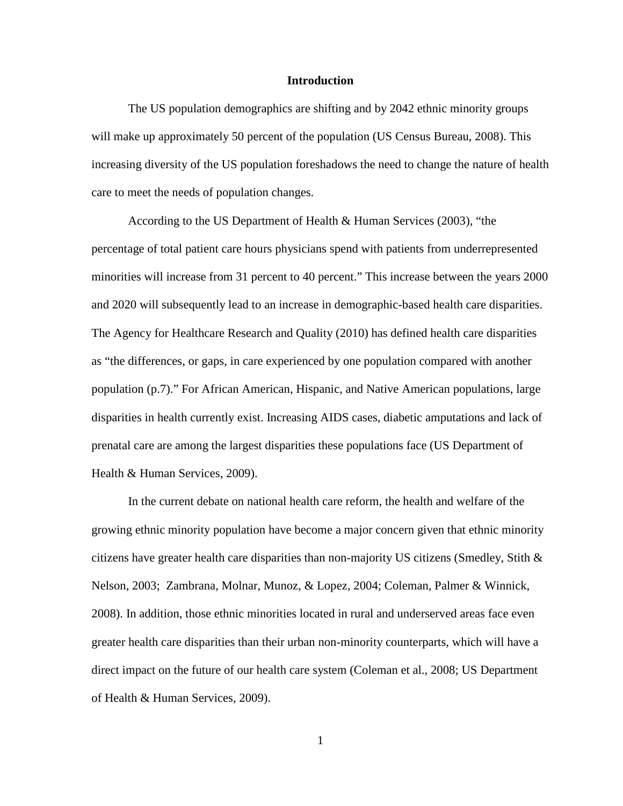#### **Introduction**

<span id="page-10-0"></span>The US population demographics are shifting and by 2042 ethnic minority groups will make up approximately 50 percent of the population (US Census Bureau, 2008). This increasing diversity of the US population foreshadows the need to change the nature of health care to meet the needs of population changes.

According to the US Department of Health & Human Services (2003), "the percentage of total patient care hours physicians spend with patients from underrepresented minorities will increase from 31 percent to 40 percent." This increase between the years 2000 and 2020 will subsequently lead to an increase in demographic-based health care disparities. The Agency for Healthcare Research and Quality (2010) has defined health care disparities as "the differences, or gaps, in care experienced by one population compared with another population (p.7)." For African American, Hispanic, and Native American populations, large disparities in health currently exist. Increasing AIDS cases, diabetic amputations and lack of prenatal care are among the largest disparities these populations face (US Department of Health & Human Services, 2009).

In the current debate on national health care reform, the health and welfare of the growing ethnic minority population have become a major concern given that ethnic minority citizens have greater health care disparities than non-majority US citizens (Smedley, Stith  $\&$ Nelson, 2003; Zambrana, Molnar, Munoz, & Lopez, 2004; Coleman, Palmer & Winnick, 2008). In addition, those ethnic minorities located in rural and underserved areas face even greater health care disparities than their urban non-minority counterparts, which will have a direct impact on the future of our health care system (Coleman et al., 2008; US Department of Health & Human Services, 2009).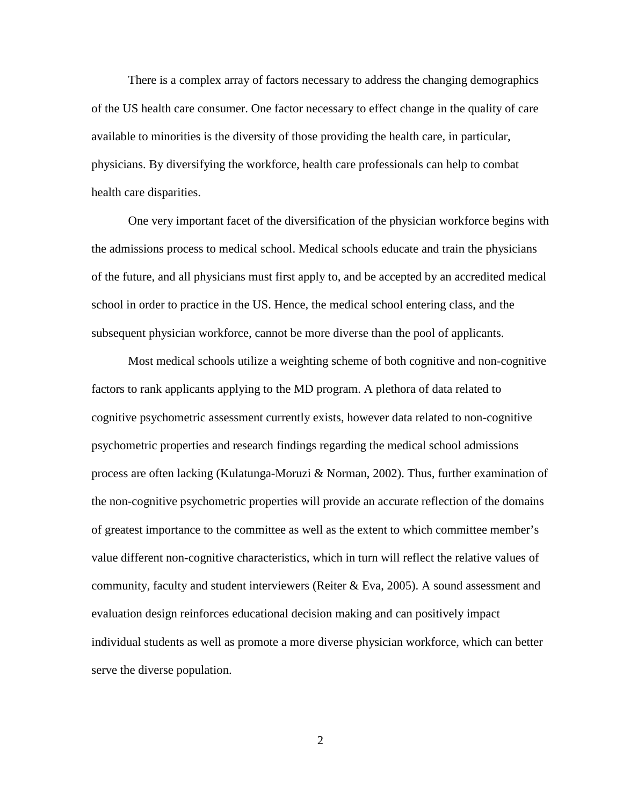There is a complex array of factors necessary to address the changing demographics of the US health care consumer. One factor necessary to effect change in the quality of care available to minorities is the diversity of those providing the health care, in particular, physicians. By diversifying the workforce, health care professionals can help to combat health care disparities.

One very important facet of the diversification of the physician workforce begins with the admissions process to medical school. Medical schools educate and train the physicians of the future, and all physicians must first apply to, and be accepted by an accredited medical school in order to practice in the US. Hence, the medical school entering class, and the subsequent physician workforce, cannot be more diverse than the pool of applicants.

Most medical schools utilize a weighting scheme of both cognitive and non-cognitive factors to rank applicants applying to the MD program. A plethora of data related to cognitive psychometric assessment currently exists, however data related to non-cognitive psychometric properties and research findings regarding the medical school admissions process are often lacking (Kulatunga-Moruzi & Norman, 2002). Thus, further examination of the non-cognitive psychometric properties will provide an accurate reflection of the domains of greatest importance to the committee as well as the extent to which committee member's value different non-cognitive characteristics, which in turn will reflect the relative values of community, faculty and student interviewers (Reiter & Eva, 2005). A sound assessment and evaluation design reinforces educational decision making and can positively impact individual students as well as promote a more diverse physician workforce, which can better serve the diverse population.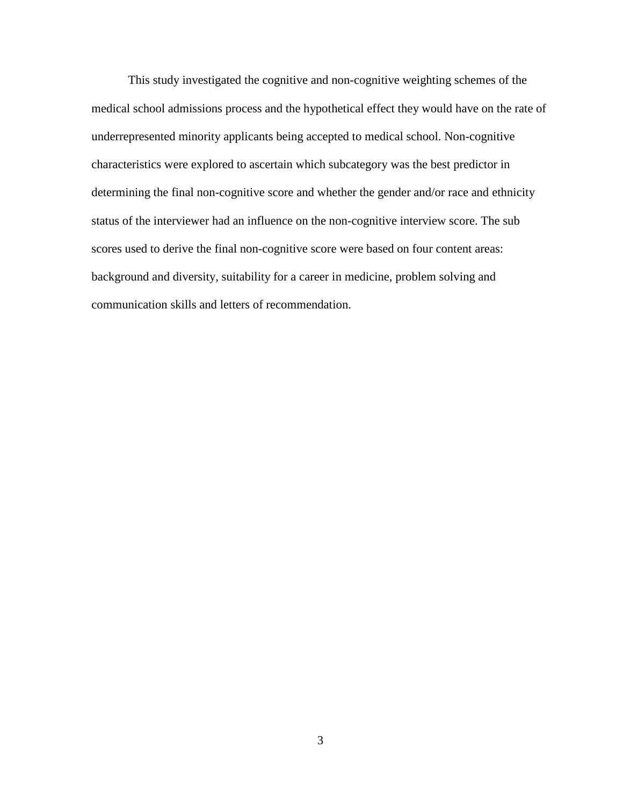This study investigated the cognitive and non-cognitive weighting schemes of the medical school admissions process and the hypothetical effect they would have on the rate of underrepresented minority applicants being accepted to medical school. Non-cognitive characteristics were explored to ascertain which subcategory was the best predictor in determining the final non-cognitive score and whether the gender and/or race and ethnicity status of the interviewer had an influence on the non-cognitive interview score. The sub scores used to derive the final non-cognitive score were based on four content areas: background and diversity, suitability for a career in medicine, problem solving and communication skills and letters of recommendation.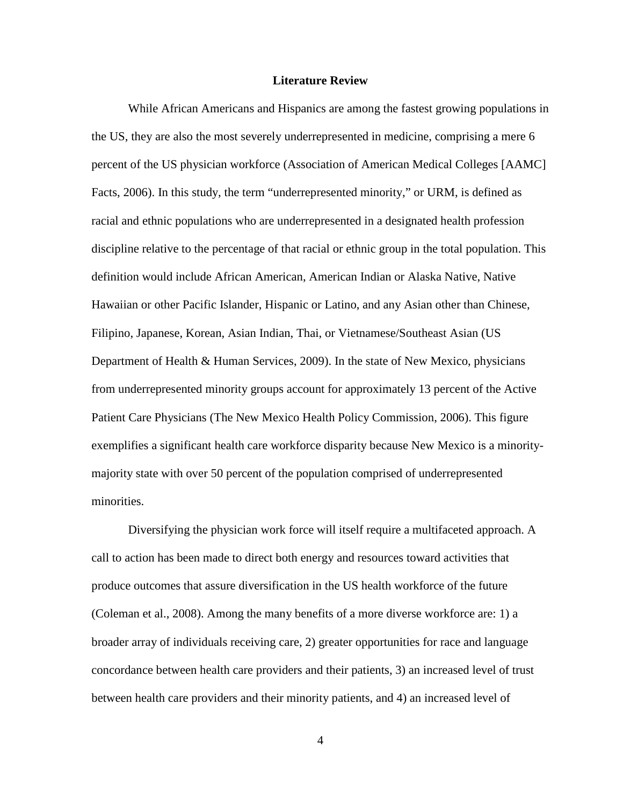#### **Literature Review**

<span id="page-13-0"></span>While African Americans and Hispanics are among the fastest growing populations in the US, they are also the most severely underrepresented in medicine, comprising a mere 6 percent of the US physician workforce (Association of American Medical Colleges [AAMC] Facts, 2006). In this study, the term "underrepresented minority," or URM, is defined as racial and ethnic populations who are underrepresented in a designated health profession discipline relative to the percentage of that racial or ethnic group in the total population. This definition would include African American, American Indian or Alaska Native, Native Hawaiian or other Pacific Islander, Hispanic or Latino, and any Asian other than Chinese, Filipino, Japanese, Korean, Asian Indian, Thai, or Vietnamese/Southeast Asian (US Department of Health & Human Services, 2009). In the state of New Mexico, physicians from underrepresented minority groups account for approximately 13 percent of the Active Patient Care Physicians (The New Mexico Health Policy Commission, 2006). This figure exemplifies a significant health care workforce disparity because New Mexico is a minoritymajority state with over 50 percent of the population comprised of underrepresented minorities.

Diversifying the physician work force will itself require a multifaceted approach. A call to action has been made to direct both energy and resources toward activities that produce outcomes that assure diversification in the US health workforce of the future (Coleman et al., 2008). Among the many benefits of a more diverse workforce are: 1) a broader array of individuals receiving care, 2) greater opportunities for race and language concordance between health care providers and their patients, 3) an increased level of trust between health care providers and their minority patients, and 4) an increased level of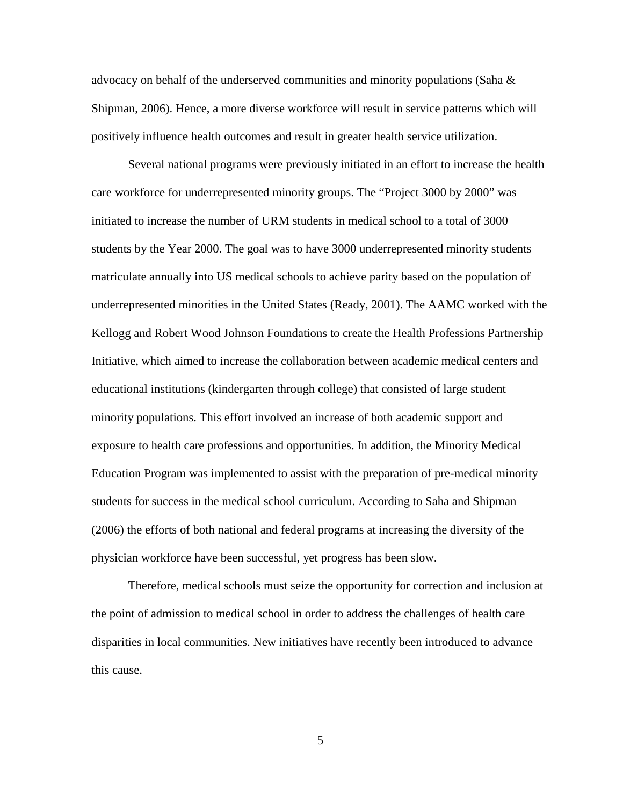advocacy on behalf of the underserved communities and minority populations (Saha  $\&$ Shipman, 2006). Hence, a more diverse workforce will result in service patterns which will positively influence health outcomes and result in greater health service utilization.

Several national programs were previously initiated in an effort to increase the health care workforce for underrepresented minority groups. The "Project 3000 by 2000" was initiated to increase the number of URM students in medical school to a total of 3000 students by the Year 2000. The goal was to have 3000 underrepresented minority students matriculate annually into US medical schools to achieve parity based on the population of underrepresented minorities in the United States (Ready, 2001). The AAMC worked with the Kellogg and Robert Wood Johnson Foundations to create the Health Professions Partnership Initiative, which aimed to increase the collaboration between academic medical centers and educational institutions (kindergarten through college) that consisted of large student minority populations. This effort involved an increase of both academic support and exposure to health care professions and opportunities. In addition, the Minority Medical Education Program was implemented to assist with the preparation of pre-medical minority students for success in the medical school curriculum. According to Saha and Shipman (2006) the efforts of both national and federal programs at increasing the diversity of the physician workforce have been successful, yet progress has been slow.

Therefore, medical schools must seize the opportunity for correction and inclusion at the point of admission to medical school in order to address the challenges of health care disparities in local communities. New initiatives have recently been introduced to advance this cause.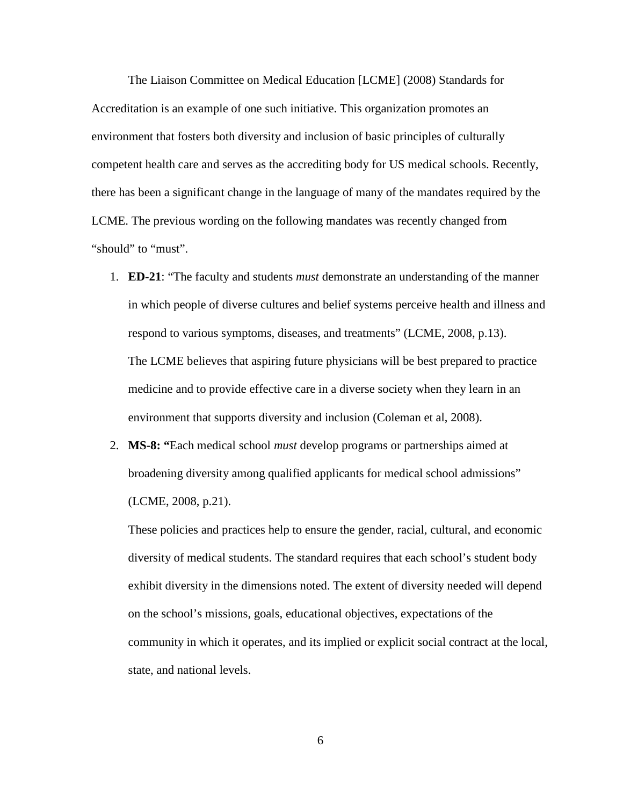The Liaison Committee on Medical Education [LCME] (2008) Standards for Accreditation is an example of one such initiative. This organization promotes an environment that fosters both diversity and inclusion of basic principles of culturally competent health care and serves as the accrediting body for US medical schools. Recently, there has been a significant change in the language of many of the mandates required by the LCME. The previous wording on the following mandates was recently changed from "should" to "must".

- 1. **ED-21**: "The faculty and students *must* demonstrate an understanding of the manner in which people of diverse cultures and belief systems perceive health and illness and respond to various symptoms, diseases, and treatments" (LCME, 2008, p.13). The LCME believes that aspiring future physicians will be best prepared to practice medicine and to provide effective care in a diverse society when they learn in an environment that supports diversity and inclusion (Coleman et al, 2008).
- 2. **MS-8: "**Each medical school *must* develop programs or partnerships aimed at broadening diversity among qualified applicants for medical school admissions" (LCME, 2008, p.21).

These policies and practices help to ensure the gender, racial, cultural, and economic diversity of medical students. The standard requires that each school's student body exhibit diversity in the dimensions noted. The extent of diversity needed will depend on the school's missions, goals, educational objectives, expectations of the community in which it operates, and its implied or explicit social contract at the local, state, and national levels.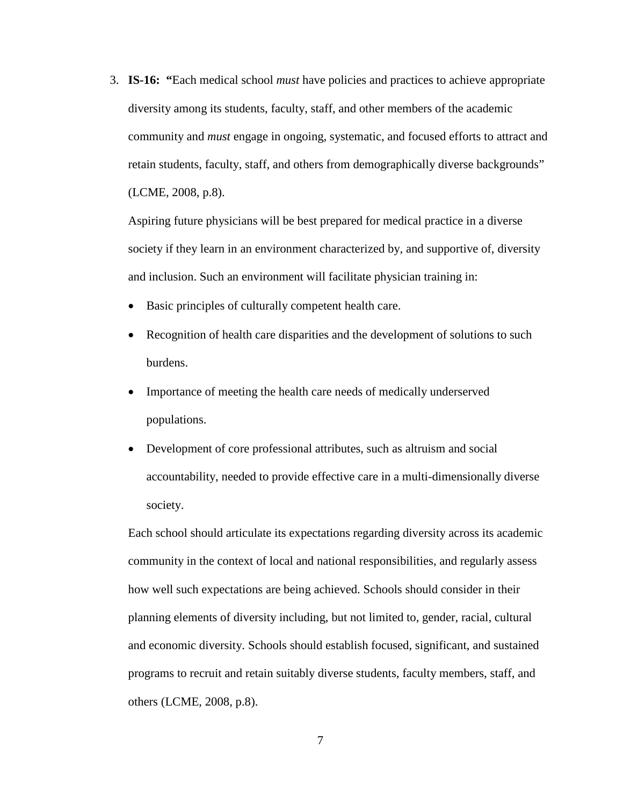3. **IS-16: "**Each medical school *must* have policies and practices to achieve appropriate diversity among its students, faculty, staff, and other members of the academic community and *must* engage in ongoing, systematic, and focused efforts to attract and retain students, faculty, staff, and others from demographically diverse backgrounds" (LCME, 2008, p.8).

Aspiring future physicians will be best prepared for medical practice in a diverse society if they learn in an environment characterized by, and supportive of, diversity and inclusion. Such an environment will facilitate physician training in:

- Basic principles of culturally competent health care.
- Recognition of health care disparities and the development of solutions to such burdens.
- Importance of meeting the health care needs of medically underserved populations.
- Development of core professional attributes, such as altruism and social accountability, needed to provide effective care in a multi-dimensionally diverse society.

Each school should articulate its expectations regarding diversity across its academic community in the context of local and national responsibilities, and regularly assess how well such expectations are being achieved. Schools should consider in their planning elements of diversity including, but not limited to, gender, racial, cultural and economic diversity. Schools should establish focused, significant, and sustained programs to recruit and retain suitably diverse students, faculty members, staff, and others (LCME, 2008, p.8).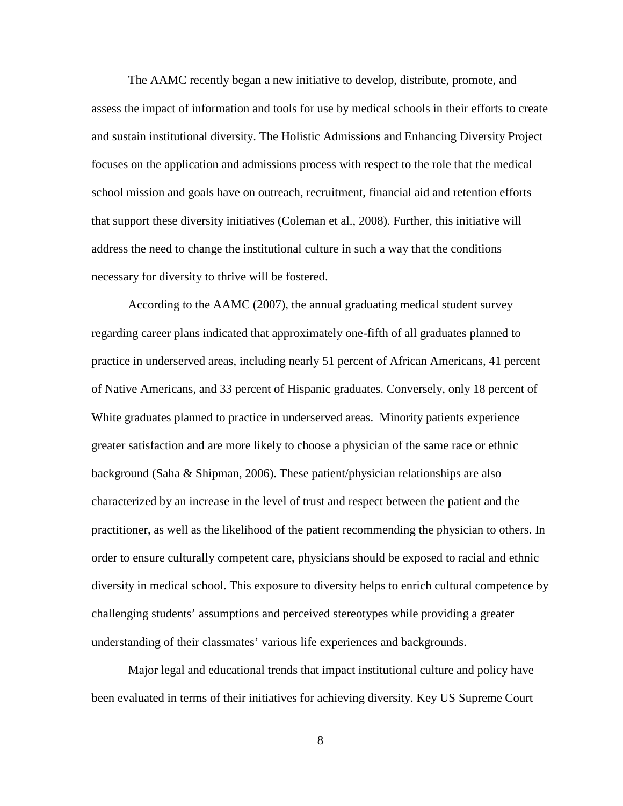The AAMC recently began a new initiative to develop, distribute, promote, and assess the impact of information and tools for use by medical schools in their efforts to create and sustain institutional diversity. The Holistic Admissions and Enhancing Diversity Project focuses on the application and admissions process with respect to the role that the medical school mission and goals have on outreach, recruitment, financial aid and retention efforts that support these diversity initiatives (Coleman et al., 2008). Further, this initiative will address the need to change the institutional culture in such a way that the conditions necessary for diversity to thrive will be fostered.

According to the AAMC (2007), the annual graduating medical student survey regarding career plans indicated that approximately one-fifth of all graduates planned to practice in underserved areas, including nearly 51 percent of African Americans, 41 percent of Native Americans, and 33 percent of Hispanic graduates. Conversely, only 18 percent of White graduates planned to practice in underserved areas. Minority patients experience greater satisfaction and are more likely to choose a physician of the same race or ethnic background (Saha & Shipman, 2006). These patient/physician relationships are also characterized by an increase in the level of trust and respect between the patient and the practitioner, as well as the likelihood of the patient recommending the physician to others. In order to ensure culturally competent care, physicians should be exposed to racial and ethnic diversity in medical school. This exposure to diversity helps to enrich cultural competence by challenging students' assumptions and perceived stereotypes while providing a greater understanding of their classmates' various life experiences and backgrounds.

Major legal and educational trends that impact institutional culture and policy have been evaluated in terms of their initiatives for achieving diversity. Key US Supreme Court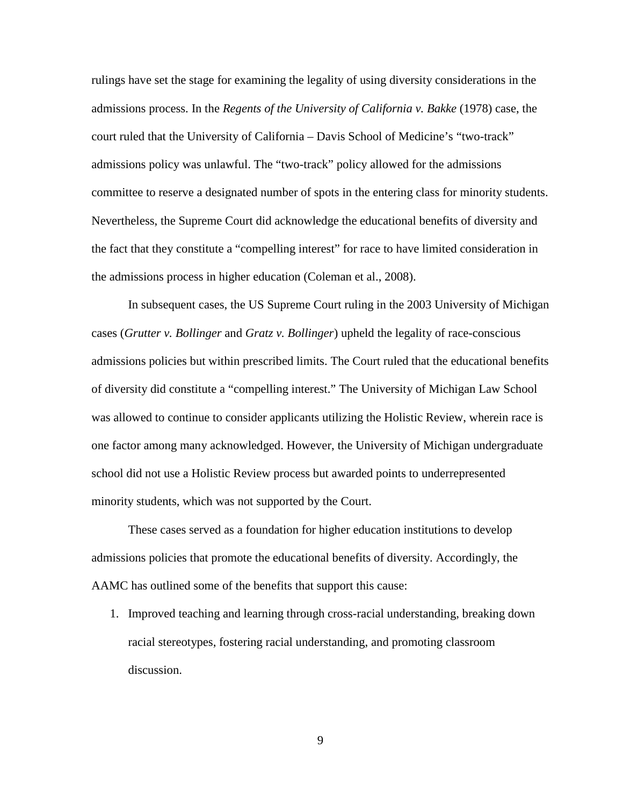rulings have set the stage for examining the legality of using diversity considerations in the admissions process. In the *Regents of the University of California v. Bakke* (1978) case, the court ruled that the University of California – Davis School of Medicine's "two-track" admissions policy was unlawful. The "two-track" policy allowed for the admissions committee to reserve a designated number of spots in the entering class for minority students. Nevertheless, the Supreme Court did acknowledge the educational benefits of diversity and the fact that they constitute a "compelling interest" for race to have limited consideration in the admissions process in higher education (Coleman et al., 2008).

In subsequent cases, the US Supreme Court ruling in the 2003 University of Michigan cases (*Grutter v. Bollinger* and *Gratz v. Bollinger*) upheld the legality of race-conscious admissions policies but within prescribed limits. The Court ruled that the educational benefits of diversity did constitute a "compelling interest." The University of Michigan Law School was allowed to continue to consider applicants utilizing the Holistic Review, wherein race is one factor among many acknowledged. However, the University of Michigan undergraduate school did not use a Holistic Review process but awarded points to underrepresented minority students, which was not supported by the Court.

These cases served as a foundation for higher education institutions to develop admissions policies that promote the educational benefits of diversity. Accordingly, the AAMC has outlined some of the benefits that support this cause:

1. Improved teaching and learning through cross-racial understanding, breaking down racial stereotypes, fostering racial understanding, and promoting classroom discussion.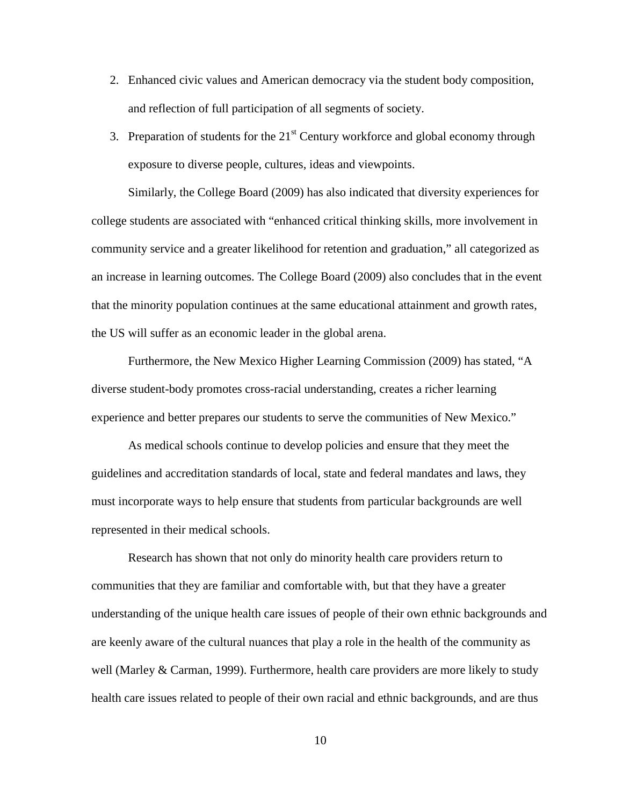- 2. Enhanced civic values and American democracy via the student body composition, and reflection of full participation of all segments of society.
- 3. Preparation of students for the  $21<sup>st</sup>$  Century workforce and global economy through exposure to diverse people, cultures, ideas and viewpoints.

Similarly, the College Board (2009) has also indicated that diversity experiences for college students are associated with "enhanced critical thinking skills, more involvement in community service and a greater likelihood for retention and graduation," all categorized as an increase in learning outcomes. The College Board (2009) also concludes that in the event that the minority population continues at the same educational attainment and growth rates, the US will suffer as an economic leader in the global arena.

Furthermore, the New Mexico Higher Learning Commission (2009) has stated, "A diverse student-body promotes cross-racial understanding, creates a richer learning experience and better prepares our students to serve the communities of New Mexico."

As medical schools continue to develop policies and ensure that they meet the guidelines and accreditation standards of local, state and federal mandates and laws, they must incorporate ways to help ensure that students from particular backgrounds are well represented in their medical schools.

Research has shown that not only do minority health care providers return to communities that they are familiar and comfortable with, but that they have a greater understanding of the unique health care issues of people of their own ethnic backgrounds and are keenly aware of the cultural nuances that play a role in the health of the community as well (Marley & Carman, 1999). Furthermore, health care providers are more likely to study health care issues related to people of their own racial and ethnic backgrounds, and are thus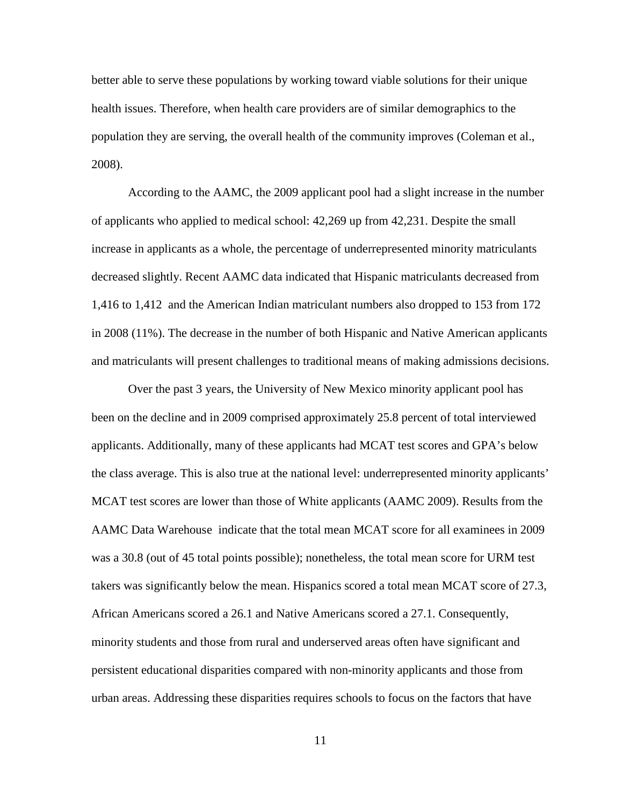better able to serve these populations by working toward viable solutions for their unique health issues. Therefore, when health care providers are of similar demographics to the population they are serving, the overall health of the community improves (Coleman et al., 2008).

According to the AAMC, the 2009 applicant pool had a slight increase in the number of applicants who applied to medical school: 42,269 up from 42,231. Despite the small increase in applicants as a whole, the percentage of underrepresented minority matriculants decreased slightly. Recent AAMC data indicated that Hispanic matriculants decreased from 1,416 to 1,412 and the American Indian matriculant numbers also dropped to 153 from 172 in 2008 (11%). The decrease in the number of both Hispanic and Native American applicants and matriculants will present challenges to traditional means of making admissions decisions.

Over the past 3 years, the University of New Mexico minority applicant pool has been on the decline and in 2009 comprised approximately 25.8 percent of total interviewed applicants. Additionally, many of these applicants had MCAT test scores and GPA's below the class average. This is also true at the national level: underrepresented minority applicants' MCAT test scores are lower than those of White applicants (AAMC 2009). Results from the AAMC Data Warehouse indicate that the total mean MCAT score for all examinees in 2009 was a 30.8 (out of 45 total points possible); nonetheless, the total mean score for URM test takers was significantly below the mean. Hispanics scored a total mean MCAT score of 27.3, African Americans scored a 26.1 and Native Americans scored a 27.1. Consequently, minority students and those from rural and underserved areas often have significant and persistent educational disparities compared with non-minority applicants and those from urban areas. Addressing these disparities requires schools to focus on the factors that have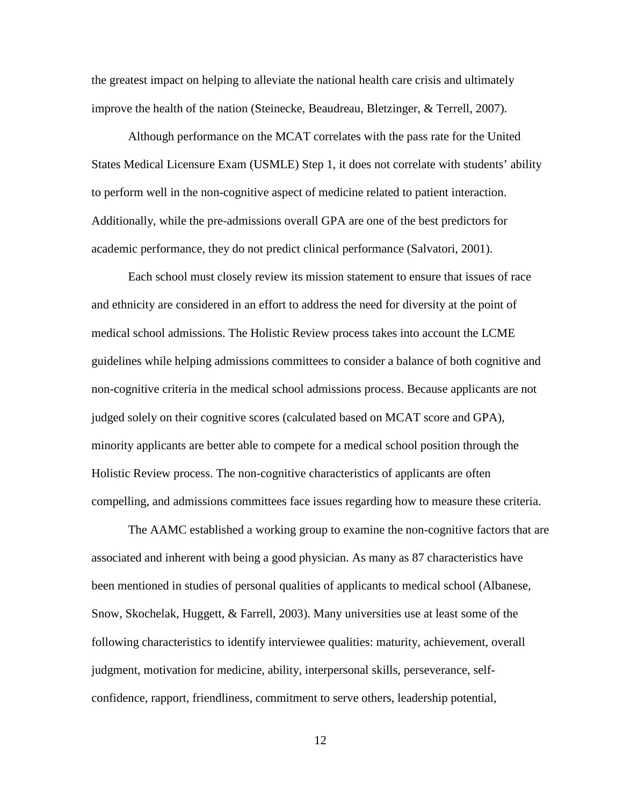the greatest impact on helping to alleviate the national health care crisis and ultimately improve the health of the nation (Steinecke, Beaudreau, Bletzinger, & Terrell, 2007).

Although performance on the MCAT correlates with the pass rate for the United States Medical Licensure Exam (USMLE) Step 1, it does not correlate with students' ability to perform well in the non-cognitive aspect of medicine related to patient interaction. Additionally, while the pre-admissions overall GPA are one of the best predictors for academic performance, they do not predict clinical performance (Salvatori, 2001).

Each school must closely review its mission statement to ensure that issues of race and ethnicity are considered in an effort to address the need for diversity at the point of medical school admissions. The Holistic Review process takes into account the LCME guidelines while helping admissions committees to consider a balance of both cognitive and non-cognitive criteria in the medical school admissions process. Because applicants are not judged solely on their cognitive scores (calculated based on MCAT score and GPA), minority applicants are better able to compete for a medical school position through the Holistic Review process. The non-cognitive characteristics of applicants are often compelling, and admissions committees face issues regarding how to measure these criteria.

The AAMC established a working group to examine the non-cognitive factors that are associated and inherent with being a good physician. As many as 87 characteristics have been mentioned in studies of personal qualities of applicants to medical school (Albanese, Snow, Skochelak, Huggett, & Farrell, 2003). Many universities use at least some of the following characteristics to identify interviewee qualities: maturity, achievement, overall judgment, motivation for medicine, ability, interpersonal skills, perseverance, selfconfidence, rapport, friendliness, commitment to serve others, leadership potential,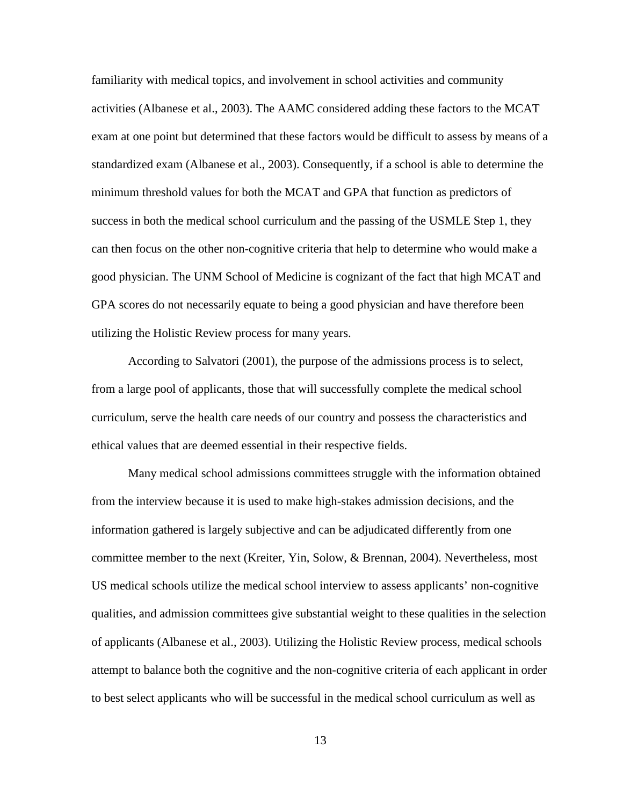familiarity with medical topics, and involvement in school activities and community activities (Albanese et al., 2003). The AAMC considered adding these factors to the MCAT exam at one point but determined that these factors would be difficult to assess by means of a standardized exam (Albanese et al., 2003). Consequently, if a school is able to determine the minimum threshold values for both the MCAT and GPA that function as predictors of success in both the medical school curriculum and the passing of the USMLE Step 1, they can then focus on the other non-cognitive criteria that help to determine who would make a good physician. The UNM School of Medicine is cognizant of the fact that high MCAT and GPA scores do not necessarily equate to being a good physician and have therefore been utilizing the Holistic Review process for many years.

According to Salvatori (2001), the purpose of the admissions process is to select, from a large pool of applicants, those that will successfully complete the medical school curriculum, serve the health care needs of our country and possess the characteristics and ethical values that are deemed essential in their respective fields.

Many medical school admissions committees struggle with the information obtained from the interview because it is used to make high-stakes admission decisions, and the information gathered is largely subjective and can be adjudicated differently from one committee member to the next (Kreiter, Yin, Solow, & Brennan, 2004). Nevertheless, most US medical schools utilize the medical school interview to assess applicants' non-cognitive qualities, and admission committees give substantial weight to these qualities in the selection of applicants (Albanese et al., 2003). Utilizing the Holistic Review process, medical schools attempt to balance both the cognitive and the non-cognitive criteria of each applicant in order to best select applicants who will be successful in the medical school curriculum as well as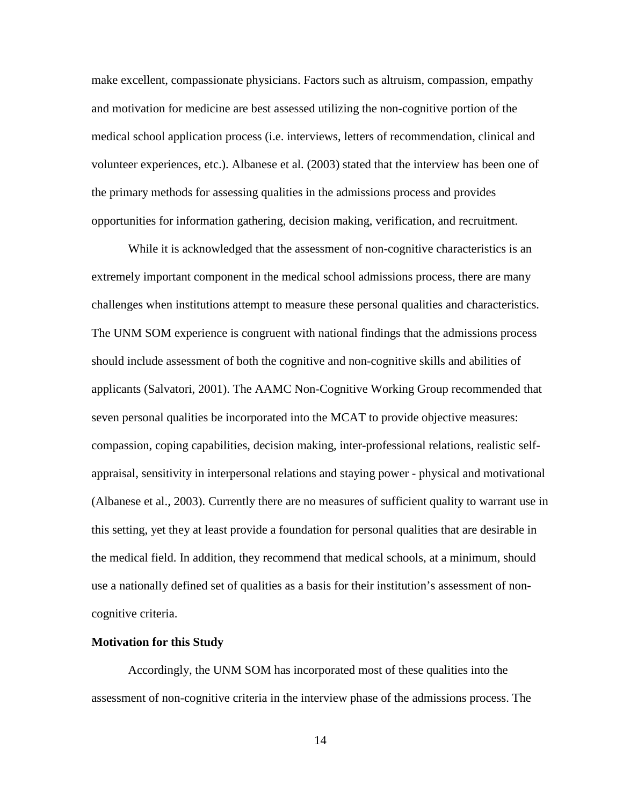make excellent, compassionate physicians. Factors such as altruism, compassion, empathy and motivation for medicine are best assessed utilizing the non-cognitive portion of the medical school application process (i.e. interviews, letters of recommendation, clinical and volunteer experiences, etc.). Albanese et al. (2003) stated that the interview has been one of the primary methods for assessing qualities in the admissions process and provides opportunities for information gathering, decision making, verification, and recruitment.

While it is acknowledged that the assessment of non-cognitive characteristics is an extremely important component in the medical school admissions process, there are many challenges when institutions attempt to measure these personal qualities and characteristics. The UNM SOM experience is congruent with national findings that the admissions process should include assessment of both the cognitive and non-cognitive skills and abilities of applicants (Salvatori, 2001). The AAMC Non-Cognitive Working Group recommended that seven personal qualities be incorporated into the MCAT to provide objective measures: compassion, coping capabilities, decision making, inter-professional relations, realistic selfappraisal, sensitivity in interpersonal relations and staying power - physical and motivational (Albanese et al., 2003). Currently there are no measures of sufficient quality to warrant use in this setting, yet they at least provide a foundation for personal qualities that are desirable in the medical field. In addition, they recommend that medical schools, at a minimum, should use a nationally defined set of qualities as a basis for their institution's assessment of noncognitive criteria.

#### <span id="page-23-0"></span>**Motivation for this Study**

Accordingly, the UNM SOM has incorporated most of these qualities into the assessment of non-cognitive criteria in the interview phase of the admissions process. The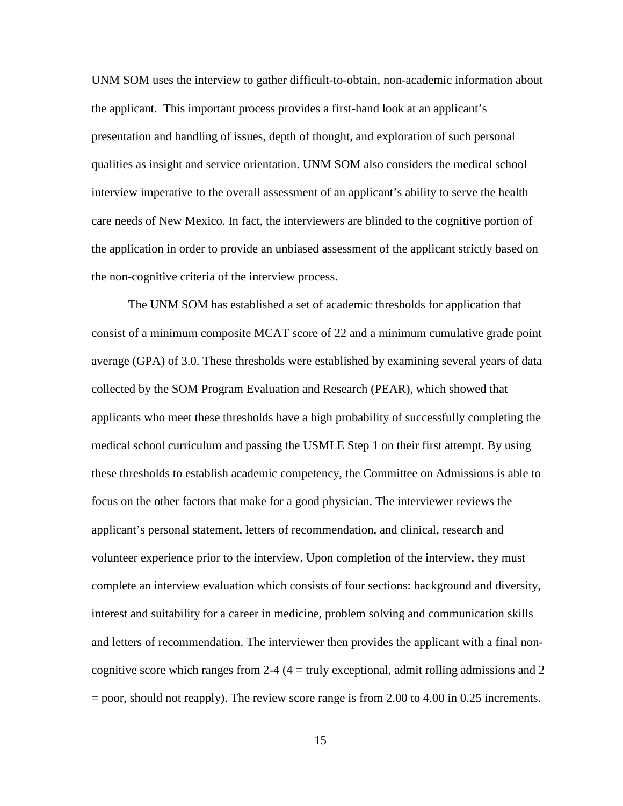UNM SOM uses the interview to gather difficult-to-obtain, non-academic information about the applicant. This important process provides a first-hand look at an applicant's presentation and handling of issues, depth of thought, and exploration of such personal qualities as insight and service orientation. UNM SOM also considers the medical school interview imperative to the overall assessment of an applicant's ability to serve the health care needs of New Mexico. In fact, the interviewers are blinded to the cognitive portion of the application in order to provide an unbiased assessment of the applicant strictly based on the non-cognitive criteria of the interview process.

The UNM SOM has established a set of academic thresholds for application that consist of a minimum composite MCAT score of 22 and a minimum cumulative grade point average (GPA) of 3.0. These thresholds were established by examining several years of data collected by the SOM Program Evaluation and Research (PEAR), which showed that applicants who meet these thresholds have a high probability of successfully completing the medical school curriculum and passing the USMLE Step 1 on their first attempt. By using these thresholds to establish academic competency, the Committee on Admissions is able to focus on the other factors that make for a good physician. The interviewer reviews the applicant's personal statement, letters of recommendation, and clinical, research and volunteer experience prior to the interview. Upon completion of the interview, they must complete an interview evaluation which consists of four sections: background and diversity, interest and suitability for a career in medicine, problem solving and communication skills and letters of recommendation. The interviewer then provides the applicant with a final noncognitive score which ranges from 2-4  $(4 = \text{truly exceptional}, \text{admit rolling}$  admissions and 2 = poor, should not reapply). The review score range is from 2.00 to 4.00 in 0.25 increments.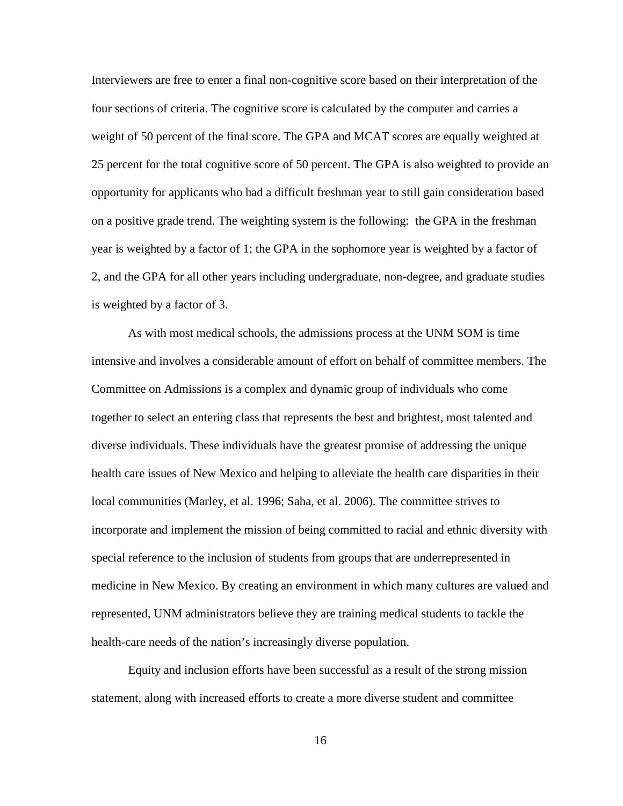Interviewers are free to enter a final non-cognitive score based on their interpretation of the four sections of criteria. The cognitive score is calculated by the computer and carries a weight of 50 percent of the final score. The GPA and MCAT scores are equally weighted at 25 percent for the total cognitive score of 50 percent. The GPA is also weighted to provide an opportunity for applicants who had a difficult freshman year to still gain consideration based on a positive grade trend. The weighting system is the following: the GPA in the freshman year is weighted by a factor of 1; the GPA in the sophomore year is weighted by a factor of 2, and the GPA for all other years including undergraduate, non-degree, and graduate studies is weighted by a factor of 3.

As with most medical schools, the admissions process at the UNM SOM is time intensive and involves a considerable amount of effort on behalf of committee members. The Committee on Admissions is a complex and dynamic group of individuals who come together to select an entering class that represents the best and brightest, most talented and diverse individuals. These individuals have the greatest promise of addressing the unique health care issues of New Mexico and helping to alleviate the health care disparities in their local communities (Marley, et al. 1996; Saha, et al. 2006). The committee strives to incorporate and implement the mission of being committed to racial and ethnic diversity with special reference to the inclusion of students from groups that are underrepresented in medicine in New Mexico. By creating an environment in which many cultures are valued and represented, UNM administrators believe they are training medical students to tackle the health-care needs of the nation's increasingly diverse population.

Equity and inclusion efforts have been successful as a result of the strong mission statement, along with increased efforts to create a more diverse student and committee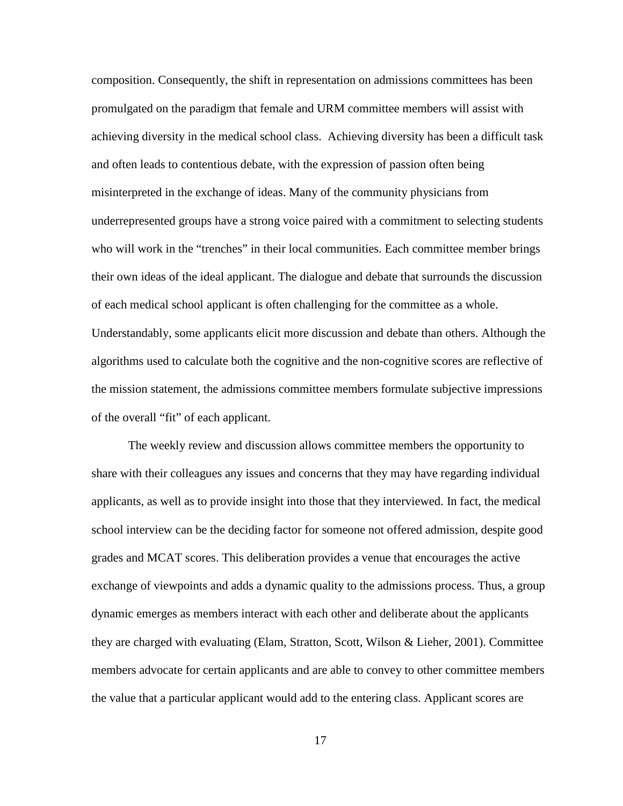composition. Consequently, the shift in representation on admissions committees has been promulgated on the paradigm that female and URM committee members will assist with achieving diversity in the medical school class. Achieving diversity has been a difficult task and often leads to contentious debate, with the expression of passion often being misinterpreted in the exchange of ideas. Many of the community physicians from underrepresented groups have a strong voice paired with a commitment to selecting students who will work in the "trenches" in their local communities. Each committee member brings their own ideas of the ideal applicant. The dialogue and debate that surrounds the discussion of each medical school applicant is often challenging for the committee as a whole. Understandably, some applicants elicit more discussion and debate than others. Although the algorithms used to calculate both the cognitive and the non-cognitive scores are reflective of the mission statement, the admissions committee members formulate subjective impressions of the overall "fit" of each applicant.

The weekly review and discussion allows committee members the opportunity to share with their colleagues any issues and concerns that they may have regarding individual applicants, as well as to provide insight into those that they interviewed. In fact, the medical school interview can be the deciding factor for someone not offered admission, despite good grades and MCAT scores. This deliberation provides a venue that encourages the active exchange of viewpoints and adds a dynamic quality to the admissions process. Thus, a group dynamic emerges as members interact with each other and deliberate about the applicants they are charged with evaluating (Elam, Stratton, Scott, Wilson & Lieher, 2001). Committee members advocate for certain applicants and are able to convey to other committee members the value that a particular applicant would add to the entering class. Applicant scores are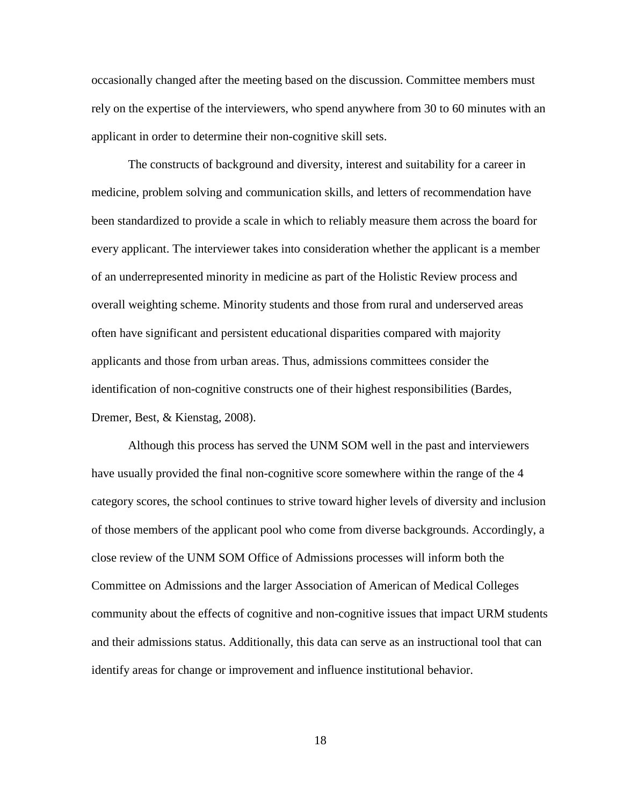occasionally changed after the meeting based on the discussion. Committee members must rely on the expertise of the interviewers, who spend anywhere from 30 to 60 minutes with an applicant in order to determine their non-cognitive skill sets.

The constructs of background and diversity, interest and suitability for a career in medicine, problem solving and communication skills, and letters of recommendation have been standardized to provide a scale in which to reliably measure them across the board for every applicant. The interviewer takes into consideration whether the applicant is a member of an underrepresented minority in medicine as part of the Holistic Review process and overall weighting scheme. Minority students and those from rural and underserved areas often have significant and persistent educational disparities compared with majority applicants and those from urban areas. Thus, admissions committees consider the identification of non-cognitive constructs one of their highest responsibilities (Bardes, Dremer, Best, & Kienstag, 2008).

Although this process has served the UNM SOM well in the past and interviewers have usually provided the final non-cognitive score somewhere within the range of the 4 category scores, the school continues to strive toward higher levels of diversity and inclusion of those members of the applicant pool who come from diverse backgrounds. Accordingly, a close review of the UNM SOM Office of Admissions processes will inform both the Committee on Admissions and the larger Association of American of Medical Colleges community about the effects of cognitive and non-cognitive issues that impact URM students and their admissions status. Additionally, this data can serve as an instructional tool that can identify areas for change or improvement and influence institutional behavior.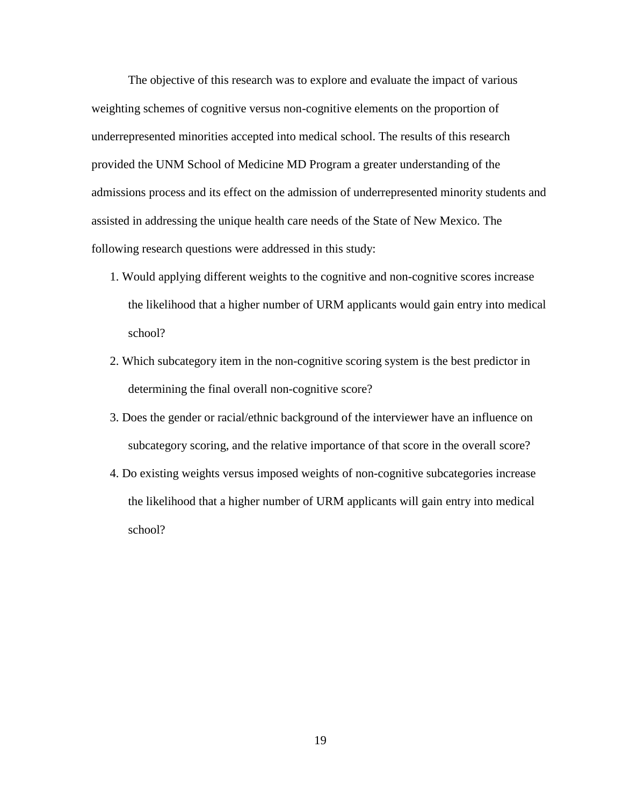The objective of this research was to explore and evaluate the impact of various weighting schemes of cognitive versus non-cognitive elements on the proportion of underrepresented minorities accepted into medical school. The results of this research provided the UNM School of Medicine MD Program a greater understanding of the admissions process and its effect on the admission of underrepresented minority students and assisted in addressing the unique health care needs of the State of New Mexico. The following research questions were addressed in this study:

- 1. Would applying different weights to the cognitive and non-cognitive scores increase the likelihood that a higher number of URM applicants would gain entry into medical school?
- 2. Which subcategory item in the non-cognitive scoring system is the best predictor in determining the final overall non-cognitive score?
- 3. Does the gender or racial/ethnic background of the interviewer have an influence on subcategory scoring, and the relative importance of that score in the overall score?
- 4. Do existing weights versus imposed weights of non-cognitive subcategories increase the likelihood that a higher number of URM applicants will gain entry into medical school?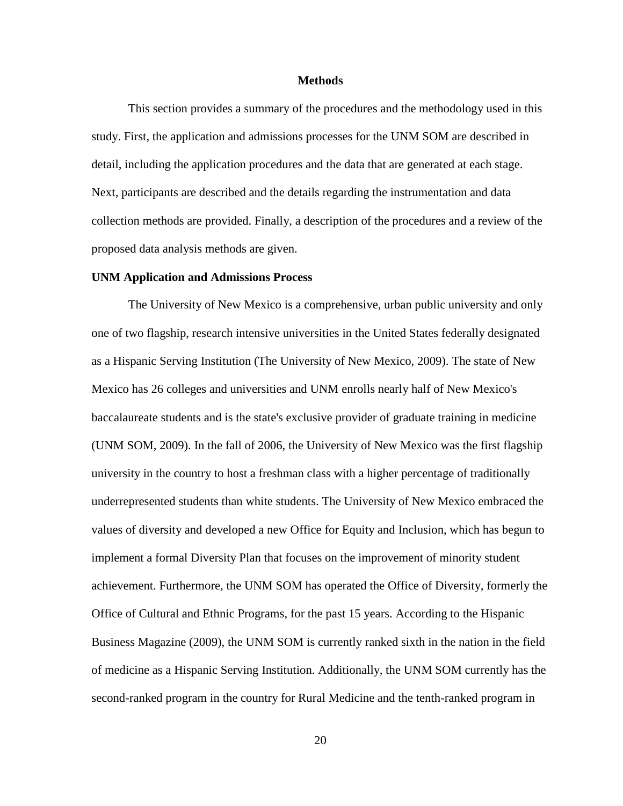#### **Methods**

<span id="page-29-0"></span>This section provides a summary of the procedures and the methodology used in this study. First, the application and admissions processes for the UNM SOM are described in detail, including the application procedures and the data that are generated at each stage. Next, participants are described and the details regarding the instrumentation and data collection methods are provided. Finally, a description of the procedures and a review of the proposed data analysis methods are given.

#### <span id="page-29-1"></span>**UNM Application and Admissions Process**

The University of New Mexico is a comprehensive, urban public university and only one of two flagship, research intensive universities in the United States federally designated as a Hispanic Serving Institution (The University of New Mexico, 2009). The state of New Mexico has 26 colleges and universities and UNM enrolls nearly half of New Mexico's baccalaureate students and is the state's exclusive provider of graduate training in medicine (UNM SOM, 2009). In the fall of 2006, the University of New Mexico was the first flagship university in the country to host a freshman class with a higher percentage of traditionally underrepresented students than white students. The University of New Mexico embraced the values of diversity and developed a new Office for Equity and Inclusion, which has begun to implement a formal Diversity Plan that focuses on the improvement of minority student achievement. Furthermore, the UNM SOM has operated the Office of Diversity, formerly the Office of Cultural and Ethnic Programs, for the past 15 years. According to the Hispanic Business Magazine (2009), the UNM SOM is currently ranked sixth in the nation in the field of medicine as a Hispanic Serving Institution. Additionally, the UNM SOM currently has the second-ranked program in the country for Rural Medicine and the tenth-ranked program in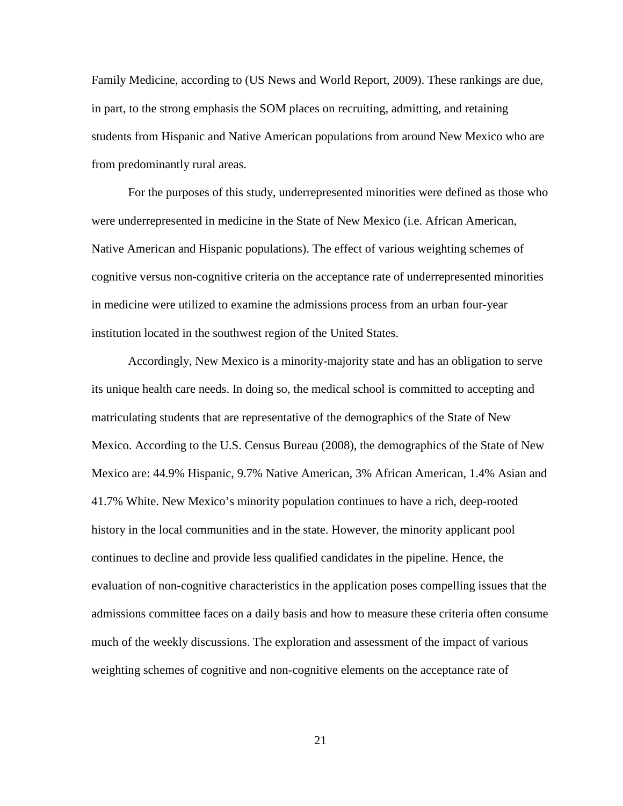Family Medicine, according to (US News and World Report, 2009). These rankings are due, in part, to the strong emphasis the SOM places on recruiting, admitting, and retaining students from Hispanic and Native American populations from around New Mexico who are from predominantly rural areas.

For the purposes of this study, underrepresented minorities were defined as those who were underrepresented in medicine in the State of New Mexico (i.e. African American, Native American and Hispanic populations). The effect of various weighting schemes of cognitive versus non-cognitive criteria on the acceptance rate of underrepresented minorities in medicine were utilized to examine the admissions process from an urban four-year institution located in the southwest region of the United States.

Accordingly, New Mexico is a minority-majority state and has an obligation to serve its unique health care needs. In doing so, the medical school is committed to accepting and matriculating students that are representative of the demographics of the State of New Mexico. According to the U.S. Census Bureau (2008), the demographics of the State of New Mexico are: 44.9% Hispanic, 9.7% Native American, 3% African American, 1.4% Asian and 41.7% White. New Mexico's minority population continues to have a rich, deep-rooted history in the local communities and in the state. However, the minority applicant pool continues to decline and provide less qualified candidates in the pipeline. Hence, the evaluation of non-cognitive characteristics in the application poses compelling issues that the admissions committee faces on a daily basis and how to measure these criteria often consume much of the weekly discussions. The exploration and assessment of the impact of various weighting schemes of cognitive and non-cognitive elements on the acceptance rate of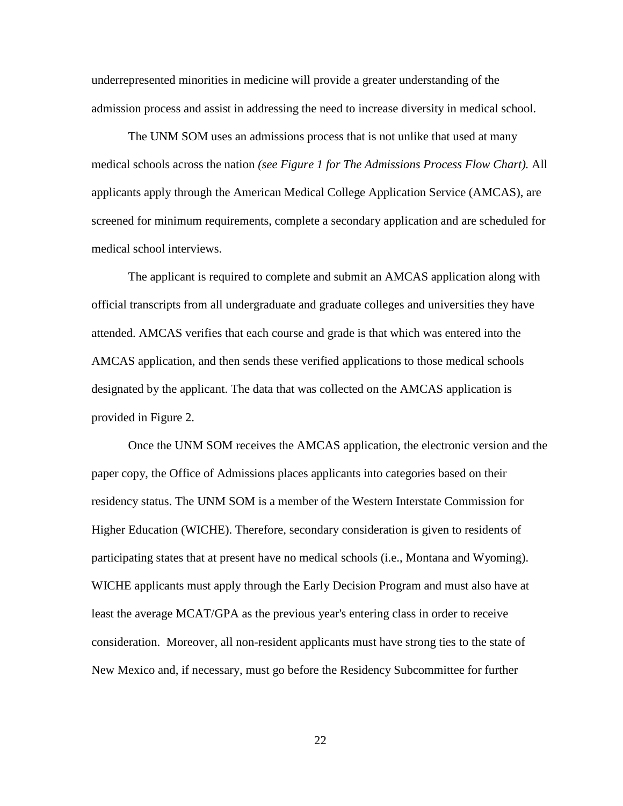underrepresented minorities in medicine will provide a greater understanding of the admission process and assist in addressing the need to increase diversity in medical school.

The UNM SOM uses an admissions process that is not unlike that used at many medical schools across the nation *(see Figure 1 for The Admissions Process Flow Chart).* All applicants apply through the American Medical College Application Service (AMCAS), are screened for minimum requirements, complete a secondary application and are scheduled for medical school interviews.

The applicant is required to complete and submit an AMCAS application along with official transcripts from all undergraduate and graduate colleges and universities they have attended. AMCAS verifies that each course and grade is that which was entered into the AMCAS application, and then sends these verified applications to those medical schools designated by the applicant. The data that was collected on the AMCAS application is provided in Figure 2.

Once the UNM SOM receives the AMCAS application, the electronic version and the paper copy, the Office of Admissions places applicants into categories based on their residency status. The UNM SOM is a member of the Western Interstate Commission for Higher Education (WICHE). Therefore, secondary consideration is given to residents of participating states that at present have no medical schools (i.e., Montana and Wyoming). WICHE applicants must apply through the Early Decision Program and must also have at least the average MCAT/GPA as the previous year's entering class in order to receive consideration. Moreover, all non-resident applicants must have strong ties to the state of New Mexico and, if necessary, must go before the Residency Subcommittee for further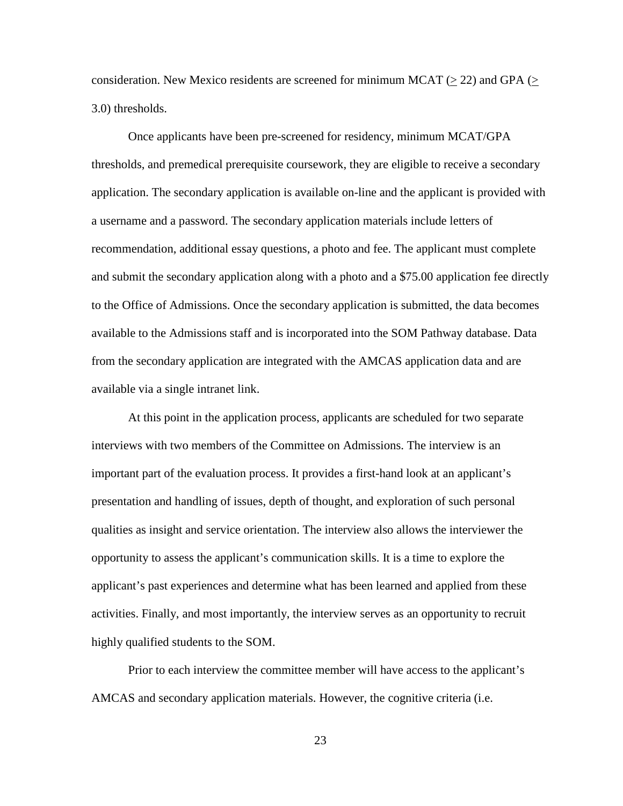consideration. New Mexico residents are screened for minimum MCAT ( $>$  22) and GPA ( $>$ 3.0) thresholds.

Once applicants have been pre-screened for residency, minimum MCAT/GPA thresholds, and premedical prerequisite coursework, they are eligible to receive a secondary application. The secondary application is available on-line and the applicant is provided with a username and a password. The secondary application materials include letters of recommendation, additional essay questions, a photo and fee. The applicant must complete and submit the secondary application along with a photo and a \$75.00 application fee directly to the Office of Admissions. Once the secondary application is submitted, the data becomes available to the Admissions staff and is incorporated into the SOM Pathway database. Data from the secondary application are integrated with the AMCAS application data and are available via a single intranet link.

At this point in the application process, applicants are scheduled for two separate interviews with two members of the Committee on Admissions. The interview is an important part of the evaluation process. It provides a first-hand look at an applicant's presentation and handling of issues, depth of thought, and exploration of such personal qualities as insight and service orientation. The interview also allows the interviewer the opportunity to assess the applicant's communication skills. It is a time to explore the applicant's past experiences and determine what has been learned and applied from these activities. Finally, and most importantly, the interview serves as an opportunity to recruit highly qualified students to the SOM.

Prior to each interview the committee member will have access to the applicant's AMCAS and secondary application materials. However, the cognitive criteria (i.e.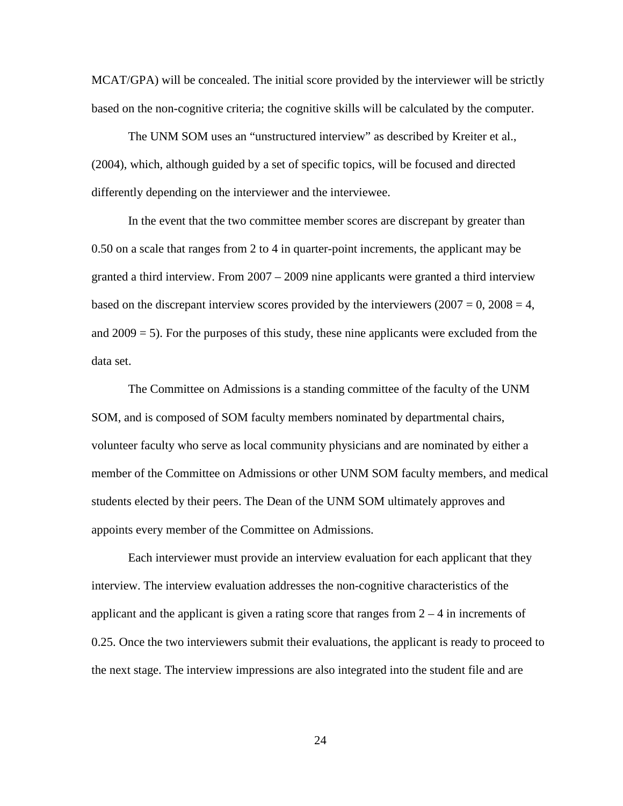MCAT/GPA) will be concealed. The initial score provided by the interviewer will be strictly based on the non-cognitive criteria; the cognitive skills will be calculated by the computer.

The UNM SOM uses an "unstructured interview" as described by Kreiter et al., (2004), which, although guided by a set of specific topics, will be focused and directed differently depending on the interviewer and the interviewee.

In the event that the two committee member scores are discrepant by greater than 0.50 on a scale that ranges from 2 to 4 in quarter-point increments, the applicant may be granted a third interview. From 2007 – 2009 nine applicants were granted a third interview based on the discrepant interview scores provided by the interviewers  $(2007 = 0, 2008 = 4,$ and  $2009 = 5$ ). For the purposes of this study, these nine applicants were excluded from the data set.

The Committee on Admissions is a standing committee of the faculty of the UNM SOM, and is composed of SOM faculty members nominated by departmental chairs, volunteer faculty who serve as local community physicians and are nominated by either a member of the Committee on Admissions or other UNM SOM faculty members, and medical students elected by their peers. The Dean of the UNM SOM ultimately approves and appoints every member of the Committee on Admissions.

Each interviewer must provide an interview evaluation for each applicant that they interview. The interview evaluation addresses the non-cognitive characteristics of the applicant and the applicant is given a rating score that ranges from  $2 - 4$  in increments of 0.25. Once the two interviewers submit their evaluations, the applicant is ready to proceed to the next stage. The interview impressions are also integrated into the student file and are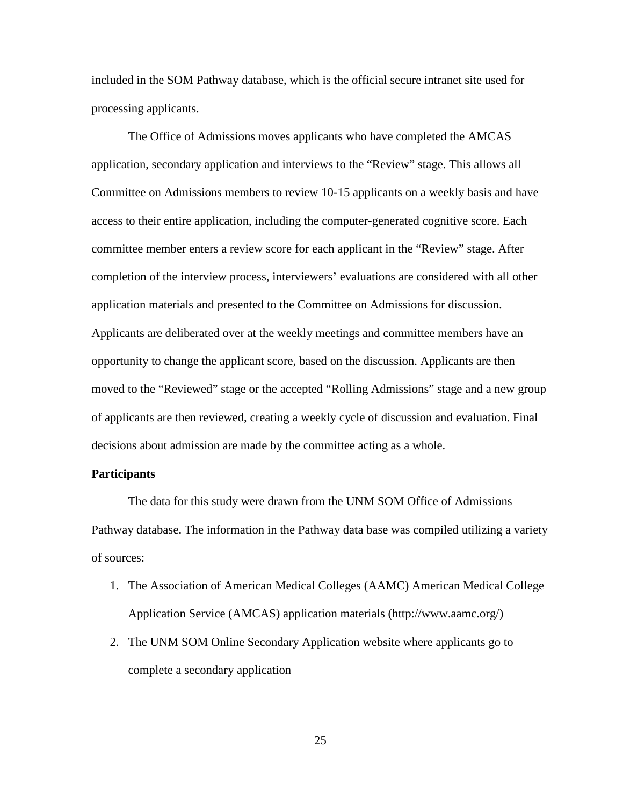included in the SOM Pathway database, which is the official secure intranet site used for processing applicants.

The Office of Admissions moves applicants who have completed the AMCAS application, secondary application and interviews to the "Review" stage. This allows all Committee on Admissions members to review 10-15 applicants on a weekly basis and have access to their entire application, including the computer-generated cognitive score. Each committee member enters a review score for each applicant in the "Review" stage. After completion of the interview process, interviewers' evaluations are considered with all other application materials and presented to the Committee on Admissions for discussion. Applicants are deliberated over at the weekly meetings and committee members have an opportunity to change the applicant score, based on the discussion. Applicants are then moved to the "Reviewed" stage or the accepted "Rolling Admissions" stage and a new group of applicants are then reviewed, creating a weekly cycle of discussion and evaluation. Final decisions about admission are made by the committee acting as a whole.

#### <span id="page-34-0"></span>**Participants**

The data for this study were drawn from the UNM SOM Office of Admissions Pathway database. The information in the Pathway data base was compiled utilizing a variety of sources:

- 1. The Association of American Medical Colleges (AAMC) American Medical College Application Service (AMCAS) application materials [\(http://www.aamc.org/\)](http://www.aamc.org/)
- 2. The UNM SOM Online Secondary Application website where applicants go to complete a secondary application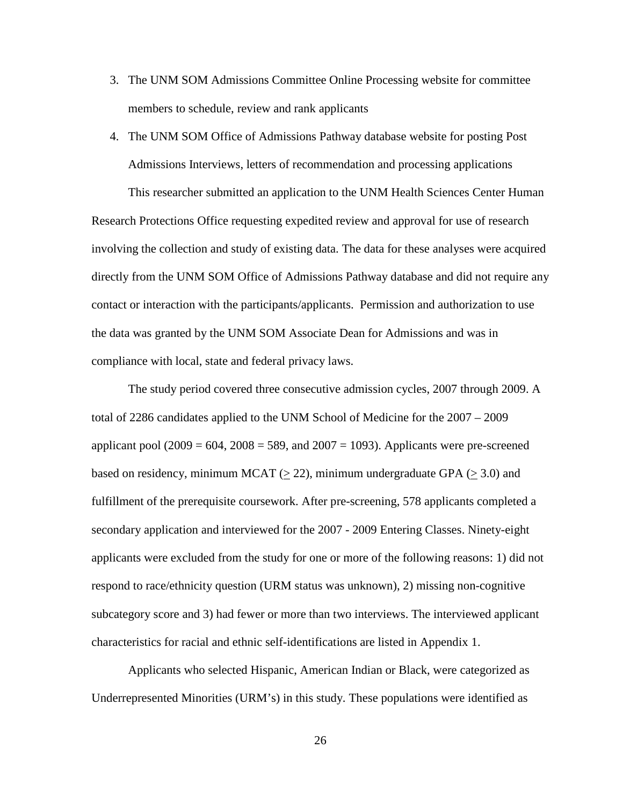- 3. The UNM SOM Admissions Committee Online Processing website for committee members to schedule, review and rank applicants
- 4. The UNM SOM Office of Admissions Pathway database website for posting Post Admissions Interviews, letters of recommendation and processing applications This researcher submitted an application to the UNM Health Sciences Center Human

Research Protections Office requesting expedited review and approval for use of research involving the collection and study of existing data. The data for these analyses were acquired directly from the UNM SOM Office of Admissions Pathway database and did not require any contact or interaction with the participants/applicants. Permission and authorization to use the data was granted by the UNM SOM Associate Dean for Admissions and was in compliance with local, state and federal privacy laws.

The study period covered three consecutive admission cycles, 2007 through 2009. A total of 2286 candidates applied to the UNM School of Medicine for the 2007 – 2009 applicant pool  $(2009 = 604, 2008 = 589,$  and  $2007 = 1093$ ). Applicants were pre-screened based on residency, minimum MCAT ( $\geq$  22), minimum undergraduate GPA ( $\geq$  3.0) and fulfillment of the prerequisite coursework. After pre-screening, 578 applicants completed a secondary application and interviewed for the 2007 - 2009 Entering Classes. Ninety-eight applicants were excluded from the study for one or more of the following reasons: 1) did not respond to race/ethnicity question (URM status was unknown), 2) missing non-cognitive subcategory score and 3) had fewer or more than two interviews. The interviewed applicant characteristics for racial and ethnic self-identifications are listed in Appendix 1.

Applicants who selected Hispanic, American Indian or Black, were categorized as Underrepresented Minorities (URM's) in this study. These populations were identified as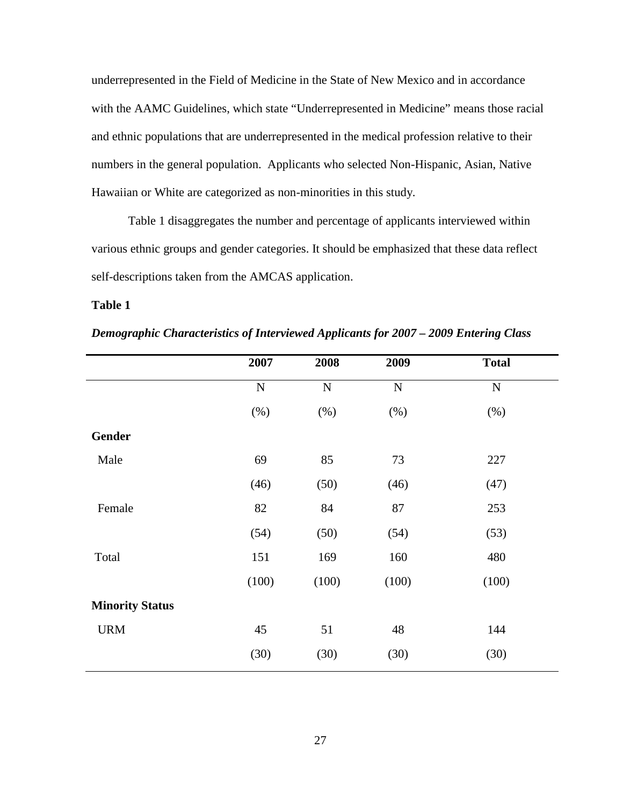underrepresented in the Field of Medicine in the State of New Mexico and in accordance with the AAMC Guidelines, which state "Underrepresented in Medicine" means those racial and ethnic populations that are underrepresented in the medical profession relative to their numbers in the general population. Applicants who selected Non-Hispanic, Asian, Native Hawaiian or White are categorized as non-minorities in this study.

Table 1 disaggregates the number and percentage of applicants interviewed within various ethnic groups and gender categories. It should be emphasized that these data reflect self-descriptions taken from the AMCAS application.

### **Table 1**

|                        | 2007      | 2008      | 2009      | <b>Total</b> |
|------------------------|-----------|-----------|-----------|--------------|
|                        | ${\bf N}$ | ${\bf N}$ | ${\bf N}$ | ${\bf N}$    |
|                        | (% )      | (% )      | $(\% )$   | (%)          |
| <b>Gender</b>          |           |           |           |              |
| Male                   | 69        | 85        | 73        | 227          |
|                        | (46)      | (50)      | (46)      | (47)         |
| Female                 | 82        | 84        | 87        | 253          |
|                        | (54)      | (50)      | (54)      | (53)         |
| Total                  | 151       | 169       | 160       | 480          |
|                        | (100)     | (100)     | (100)     | (100)        |
| <b>Minority Status</b> |           |           |           |              |
| <b>URM</b>             | 45        | 51        | 48        | 144          |
|                        | (30)      | (30)      | (30)      | (30)         |

*Demographic Characteristics of Interviewed Applicants for 2007 – 2009 Entering Class*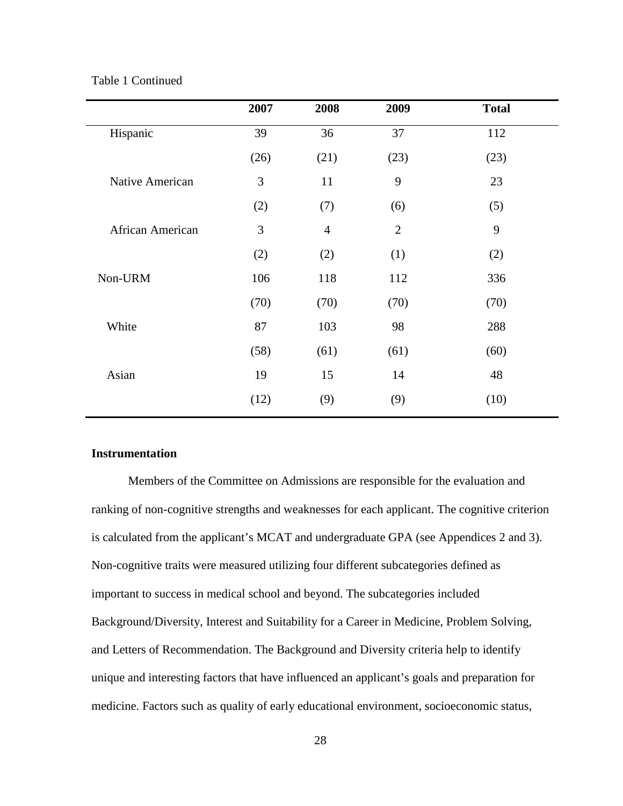### Table 1 Continued

| 2007 | 2008           | 2009           | <b>Total</b> |
|------|----------------|----------------|--------------|
| 39   | 36             | 37             | 112          |
| (26) | (21)           | (23)           | (23)         |
| 3    | 11             | 9              | 23           |
| (2)  | (7)            | (6)            | (5)          |
| 3    | $\overline{4}$ | $\overline{2}$ | 9            |
| (2)  | (2)            | (1)            | (2)          |
| 106  | 118            | 112            | 336          |
| (70) | (70)           | (70)           | (70)         |
| 87   | 103            | 98             | 288          |
| (58) | (61)           | (61)           | (60)         |
| 19   | 15             | 14             | 48           |
| (12) | (9)            | (9)            | (10)         |
|      |                |                |              |

### **Instrumentation**

Members of the Committee on Admissions are responsible for the evaluation and ranking of non-cognitive strengths and weaknesses for each applicant. The cognitive criterion is calculated from the applicant's MCAT and undergraduate GPA (see Appendices 2 and 3). Non-cognitive traits were measured utilizing four different subcategories defined as important to success in medical school and beyond. The subcategories included Background/Diversity, Interest and Suitability for a Career in Medicine, Problem Solving, and Letters of Recommendation. The Background and Diversity criteria help to identify unique and interesting factors that have influenced an applicant's goals and preparation for medicine. Factors such as quality of early educational environment, socioeconomic status,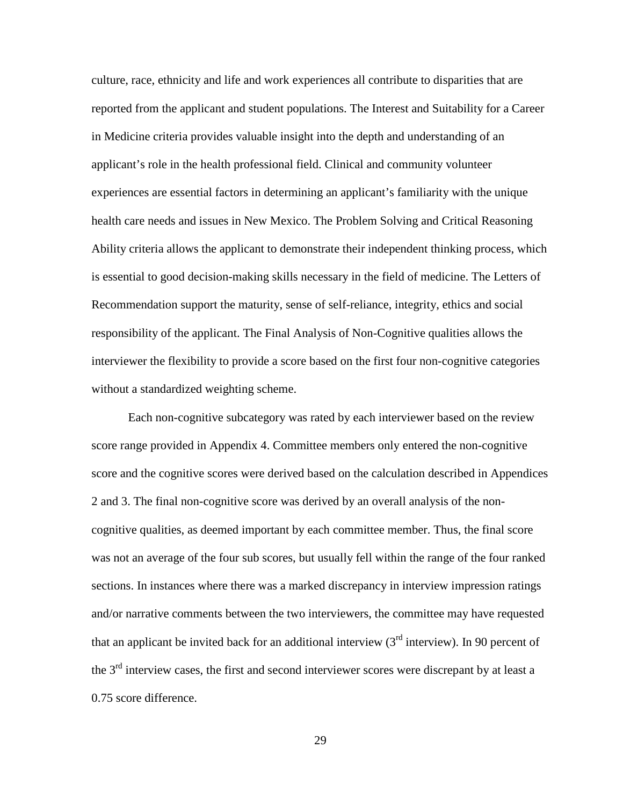culture, race, ethnicity and life and work experiences all contribute to disparities that are reported from the applicant and student populations. The Interest and Suitability for a Career in Medicine criteria provides valuable insight into the depth and understanding of an applicant's role in the health professional field. Clinical and community volunteer experiences are essential factors in determining an applicant's familiarity with the unique health care needs and issues in New Mexico. The Problem Solving and Critical Reasoning Ability criteria allows the applicant to demonstrate their independent thinking process, which is essential to good decision-making skills necessary in the field of medicine. The Letters of Recommendation support the maturity, sense of self-reliance, integrity, ethics and social responsibility of the applicant. The Final Analysis of Non-Cognitive qualities allows the interviewer the flexibility to provide a score based on the first four non-cognitive categories without a standardized weighting scheme.

Each non-cognitive subcategory was rated by each interviewer based on the review score range provided in Appendix 4. Committee members only entered the non-cognitive score and the cognitive scores were derived based on the calculation described in Appendices 2 and 3. The final non-cognitive score was derived by an overall analysis of the noncognitive qualities, as deemed important by each committee member. Thus, the final score was not an average of the four sub scores, but usually fell within the range of the four ranked sections. In instances where there was a marked discrepancy in interview impression ratings and/or narrative comments between the two interviewers, the committee may have requested that an applicant be invited back for an additional interview  $3<sup>rd</sup>$  interview). In 90 percent of the 3<sup>rd</sup> interview cases, the first and second interviewer scores were discrepant by at least a 0.75 score difference.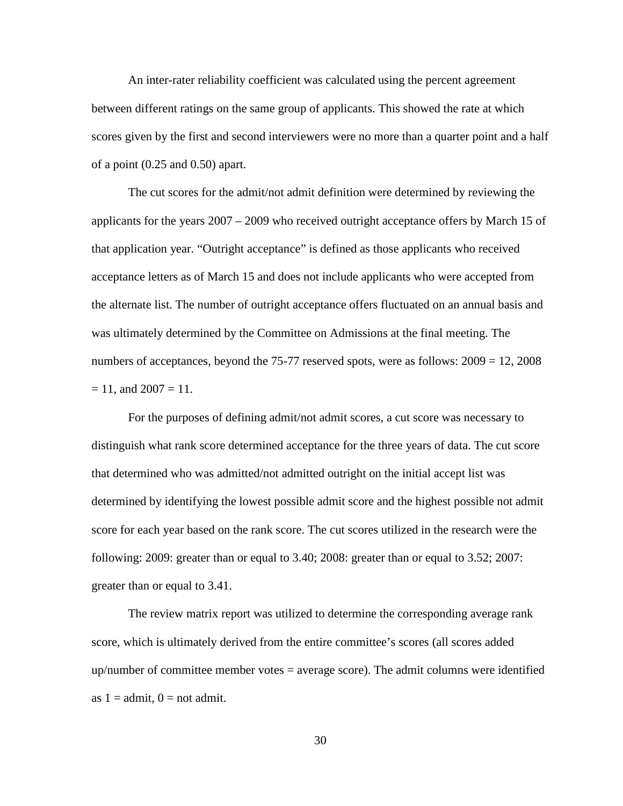An inter-rater reliability coefficient was calculated using the percent agreement between different ratings on the same group of applicants. This showed the rate at which scores given by the first and second interviewers were no more than a quarter point and a half of a point (0.25 and 0.50) apart.

The cut scores for the admit/not admit definition were determined by reviewing the applicants for the years 2007 – 2009 who received outright acceptance offers by March 15 of that application year. "Outright acceptance" is defined as those applicants who received acceptance letters as of March 15 and does not include applicants who were accepted from the alternate list. The number of outright acceptance offers fluctuated on an annual basis and was ultimately determined by the Committee on Admissions at the final meeting. The numbers of acceptances, beyond the 75-77 reserved spots, were as follows:  $2009 = 12, 2008$  $= 11$ , and  $2007 = 11$ .

For the purposes of defining admit/not admit scores, a cut score was necessary to distinguish what rank score determined acceptance for the three years of data. The cut score that determined who was admitted/not admitted outright on the initial accept list was determined by identifying the lowest possible admit score and the highest possible not admit score for each year based on the rank score. The cut scores utilized in the research were the following: 2009: greater than or equal to 3.40; 2008: greater than or equal to 3.52; 2007: greater than or equal to 3.41.

The review matrix report was utilized to determine the corresponding average rank score, which is ultimately derived from the entire committee's scores (all scores added up/number of committee member votes = average score). The admit columns were identified as  $1 =$ admit,  $0 =$ not admit.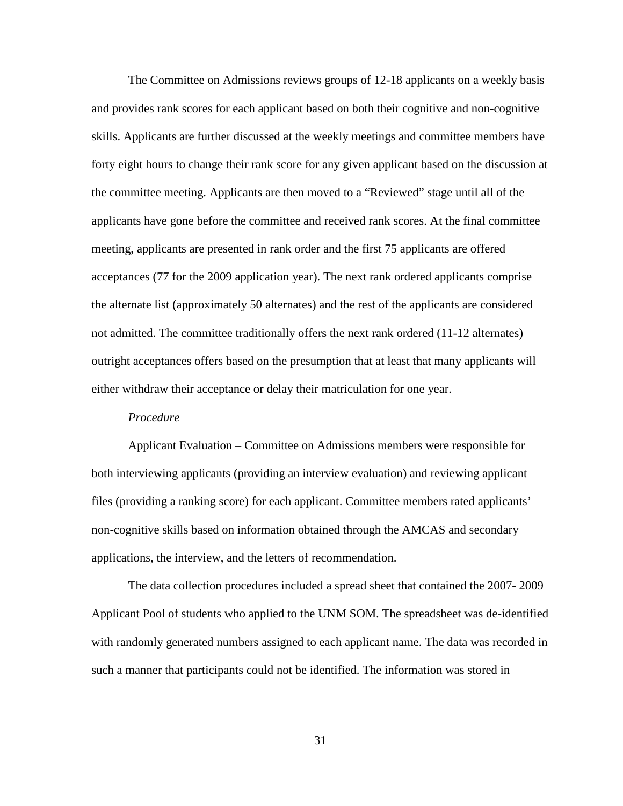The Committee on Admissions reviews groups of 12-18 applicants on a weekly basis and provides rank scores for each applicant based on both their cognitive and non-cognitive skills. Applicants are further discussed at the weekly meetings and committee members have forty eight hours to change their rank score for any given applicant based on the discussion at the committee meeting. Applicants are then moved to a "Reviewed" stage until all of the applicants have gone before the committee and received rank scores. At the final committee meeting, applicants are presented in rank order and the first 75 applicants are offered acceptances (77 for the 2009 application year). The next rank ordered applicants comprise the alternate list (approximately 50 alternates) and the rest of the applicants are considered not admitted. The committee traditionally offers the next rank ordered (11-12 alternates) outright acceptances offers based on the presumption that at least that many applicants will either withdraw their acceptance or delay their matriculation for one year.

#### *Procedure*

Applicant Evaluation – Committee on Admissions members were responsible for both interviewing applicants (providing an interview evaluation) and reviewing applicant files (providing a ranking score) for each applicant. Committee members rated applicants' non-cognitive skills based on information obtained through the AMCAS and secondary applications, the interview, and the letters of recommendation.

The data collection procedures included a spread sheet that contained the 2007- 2009 Applicant Pool of students who applied to the UNM SOM. The spreadsheet was de-identified with randomly generated numbers assigned to each applicant name. The data was recorded in such a manner that participants could not be identified. The information was stored in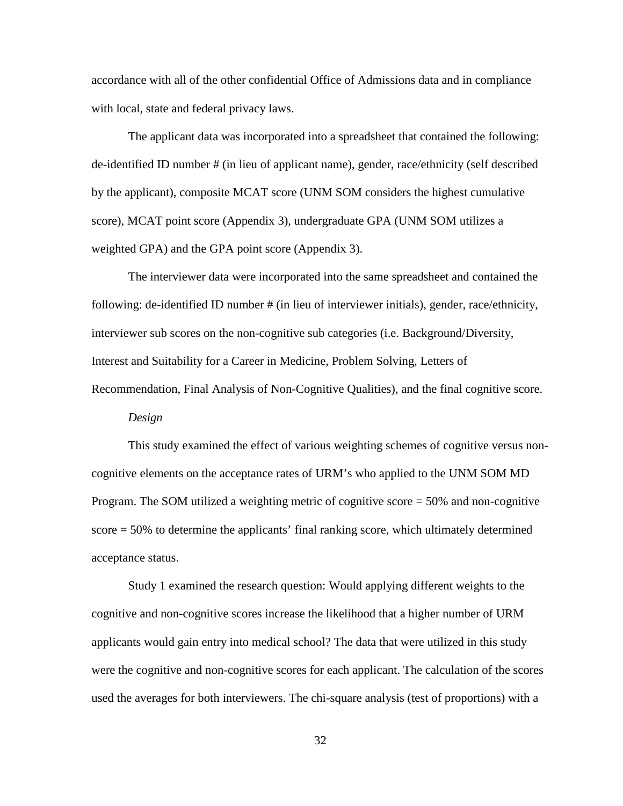accordance with all of the other confidential Office of Admissions data and in compliance with local, state and federal privacy laws.

The applicant data was incorporated into a spreadsheet that contained the following: de-identified ID number # (in lieu of applicant name), gender, race/ethnicity (self described by the applicant), composite MCAT score (UNM SOM considers the highest cumulative score), MCAT point score (Appendix 3), undergraduate GPA (UNM SOM utilizes a weighted GPA) and the GPA point score (Appendix 3).

The interviewer data were incorporated into the same spreadsheet and contained the following: de-identified ID number # (in lieu of interviewer initials), gender, race/ethnicity, interviewer sub scores on the non-cognitive sub categories (i.e. Background/Diversity, Interest and Suitability for a Career in Medicine, Problem Solving, Letters of Recommendation, Final Analysis of Non-Cognitive Qualities), and the final cognitive score.

*Design*

This study examined the effect of various weighting schemes of cognitive versus noncognitive elements on the acceptance rates of URM's who applied to the UNM SOM MD Program. The SOM utilized a weighting metric of cognitive score = 50% and non-cognitive score = 50% to determine the applicants' final ranking score, which ultimately determined acceptance status.

Study 1 examined the research question: Would applying different weights to the cognitive and non-cognitive scores increase the likelihood that a higher number of URM applicants would gain entry into medical school? The data that were utilized in this study were the cognitive and non-cognitive scores for each applicant. The calculation of the scores used the averages for both interviewers. The chi-square analysis (test of proportions) with a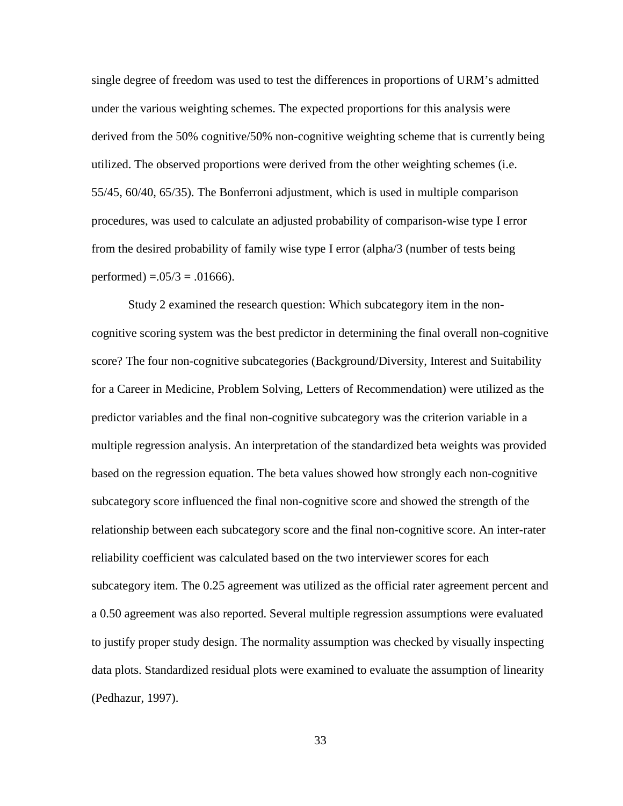single degree of freedom was used to test the differences in proportions of URM's admitted under the various weighting schemes. The expected proportions for this analysis were derived from the 50% cognitive/50% non-cognitive weighting scheme that is currently being utilized. The observed proportions were derived from the other weighting schemes (i.e. 55/45, 60/40, 65/35). The Bonferroni adjustment, which is used in multiple comparison procedures, was used to calculate an adjusted probability of comparison-wise type I error from the desired probability of family wise type I error (alpha/3 (number of tests being performed) =  $.05/3 = .01666$ .

Study 2 examined the research question: Which subcategory item in the noncognitive scoring system was the best predictor in determining the final overall non-cognitive score? The four non-cognitive subcategories (Background/Diversity, Interest and Suitability for a Career in Medicine, Problem Solving, Letters of Recommendation) were utilized as the predictor variables and the final non-cognitive subcategory was the criterion variable in a multiple regression analysis. An interpretation of the standardized beta weights was provided based on the regression equation. The beta values showed how strongly each non-cognitive subcategory score influenced the final non-cognitive score and showed the strength of the relationship between each subcategory score and the final non-cognitive score. An inter-rater reliability coefficient was calculated based on the two interviewer scores for each subcategory item. The 0.25 agreement was utilized as the official rater agreement percent and a 0.50 agreement was also reported. Several multiple regression assumptions were evaluated to justify proper study design. The normality assumption was checked by visually inspecting data plots. Standardized residual plots were examined to evaluate the assumption of linearity (Pedhazur, 1997).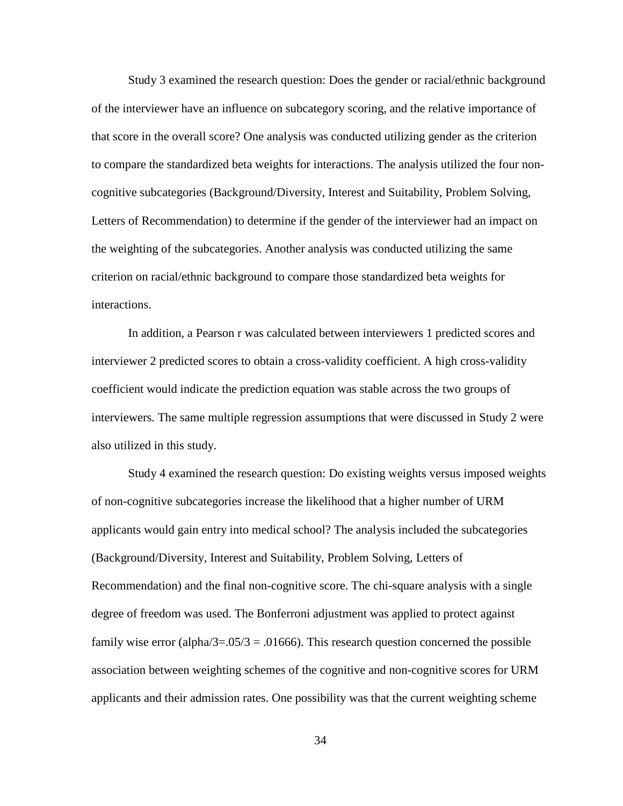Study 3 examined the research question: Does the gender or racial/ethnic background of the interviewer have an influence on subcategory scoring, and the relative importance of that score in the overall score? One analysis was conducted utilizing gender as the criterion to compare the standardized beta weights for interactions. The analysis utilized the four noncognitive subcategories (Background/Diversity, Interest and Suitability, Problem Solving, Letters of Recommendation) to determine if the gender of the interviewer had an impact on the weighting of the subcategories. Another analysis was conducted utilizing the same criterion on racial/ethnic background to compare those standardized beta weights for interactions.

In addition, a Pearson r was calculated between interviewers 1 predicted scores and interviewer 2 predicted scores to obtain a cross-validity coefficient. A high cross-validity coefficient would indicate the prediction equation was stable across the two groups of interviewers. The same multiple regression assumptions that were discussed in Study 2 were also utilized in this study.

Study 4 examined the research question: Do existing weights versus imposed weights of non-cognitive subcategories increase the likelihood that a higher number of URM applicants would gain entry into medical school? The analysis included the subcategories (Background/Diversity, Interest and Suitability, Problem Solving, Letters of Recommendation) and the final non-cognitive score. The chi-square analysis with a single degree of freedom was used. The Bonferroni adjustment was applied to protect against family wise error (alpha/3=.05/3 = .01666). This research question concerned the possible association between weighting schemes of the cognitive and non-cognitive scores for URM applicants and their admission rates. One possibility was that the current weighting scheme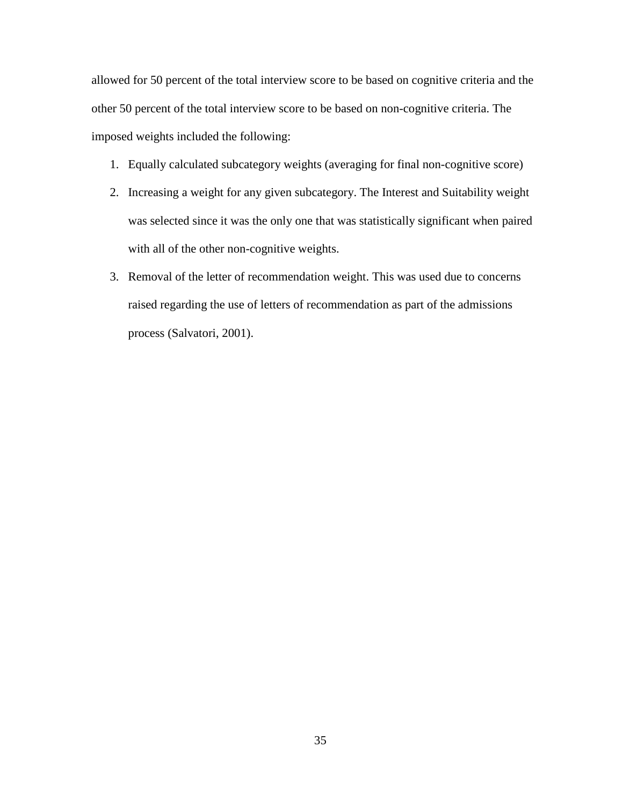allowed for 50 percent of the total interview score to be based on cognitive criteria and the other 50 percent of the total interview score to be based on non-cognitive criteria. The imposed weights included the following:

- 1. Equally calculated subcategory weights (averaging for final non-cognitive score)
- 2. Increasing a weight for any given subcategory. The Interest and Suitability weight was selected since it was the only one that was statistically significant when paired with all of the other non-cognitive weights.
- 3. Removal of the letter of recommendation weight. This was used due to concerns raised regarding the use of letters of recommendation as part of the admissions process (Salvatori, 2001).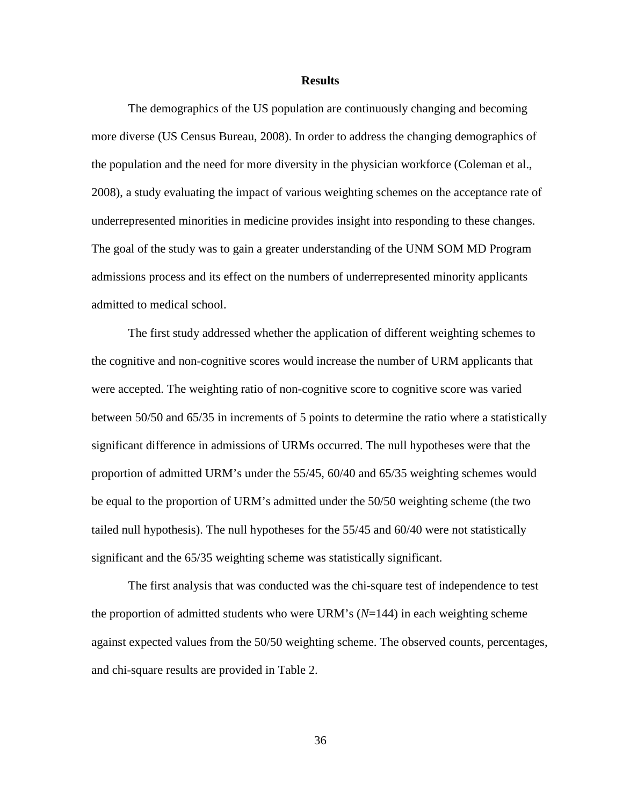#### **Results**

The demographics of the US population are continuously changing and becoming more diverse (US Census Bureau, 2008). In order to address the changing demographics of the population and the need for more diversity in the physician workforce (Coleman et al., 2008), a study evaluating the impact of various weighting schemes on the acceptance rate of underrepresented minorities in medicine provides insight into responding to these changes. The goal of the study was to gain a greater understanding of the UNM SOM MD Program admissions process and its effect on the numbers of underrepresented minority applicants admitted to medical school.

The first study addressed whether the application of different weighting schemes to the cognitive and non-cognitive scores would increase the number of URM applicants that were accepted. The weighting ratio of non-cognitive score to cognitive score was varied between 50/50 and 65/35 in increments of 5 points to determine the ratio where a statistically significant difference in admissions of URMs occurred. The null hypotheses were that the proportion of admitted URM's under the 55/45, 60/40 and 65/35 weighting schemes would be equal to the proportion of URM's admitted under the 50/50 weighting scheme (the two tailed null hypothesis). The null hypotheses for the 55/45 and 60/40 were not statistically significant and the 65/35 weighting scheme was statistically significant.

The first analysis that was conducted was the chi-square test of independence to test the proportion of admitted students who were URM's (*N*=144) in each weighting scheme against expected values from the 50/50 weighting scheme. The observed counts, percentages, and chi-square results are provided in Table 2.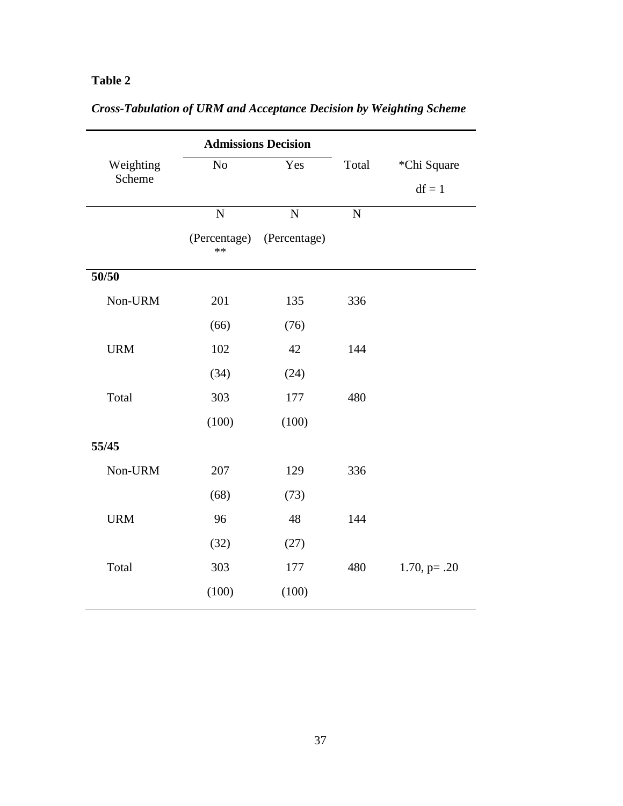## **Table 2**

|            |                      | <b>Admissions Decision</b> |                |                 |
|------------|----------------------|----------------------------|----------------|-----------------|
| Weighting  | N <sub>o</sub>       | Yes                        | Total          | *Chi Square     |
| Scheme     |                      |                            |                | $df = 1$        |
|            | $\overline{N}$       | $\overline{N}$             | $\overline{N}$ |                 |
|            | (Percentage)<br>$**$ | (Percentage)               |                |                 |
| 50/50      |                      |                            |                |                 |
| Non-URM    | 201                  | 135                        | 336            |                 |
|            | (66)                 | (76)                       |                |                 |
| <b>URM</b> | 102                  | 42                         | 144            |                 |
|            | (34)                 | (24)                       |                |                 |
| Total      | 303                  | 177                        | 480            |                 |
|            | (100)                | (100)                      |                |                 |
| 55/45      |                      |                            |                |                 |
| Non-URM    | 207                  | 129                        | 336            |                 |
|            | (68)                 | (73)                       |                |                 |
| <b>URM</b> | 96                   | 48                         | 144            |                 |
|            | (32)                 | (27)                       |                |                 |
| Total      | 303                  | 177                        | 480            | $1.70, p = .20$ |
|            | (100)                | (100)                      |                |                 |

# *Cross-Tabulation of URM and Acceptance Decision by Weighting Scheme*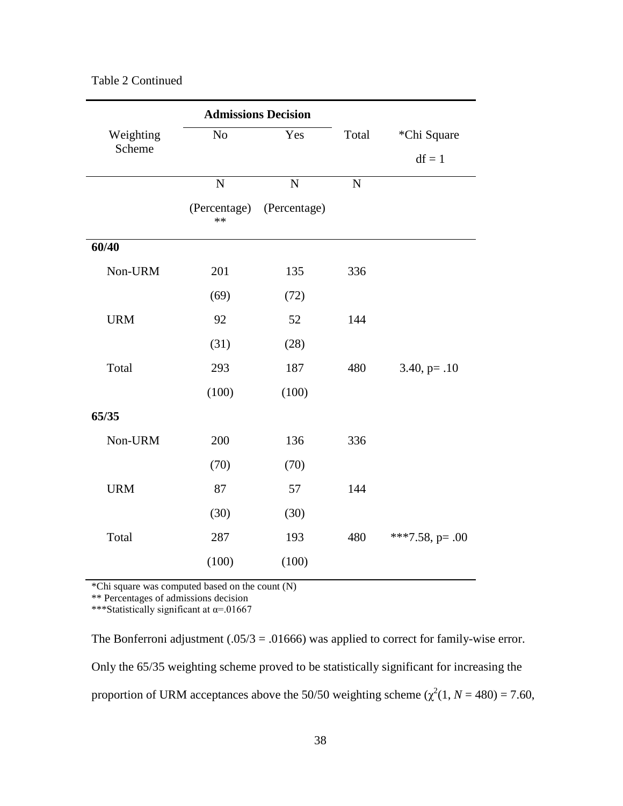|  | Table 2 Continued |  |
|--|-------------------|--|
|  |                   |  |

|            |                    | <b>Admissions Decision</b> |                |                    |
|------------|--------------------|----------------------------|----------------|--------------------|
| Weighting  | N <sub>o</sub>     | Yes                        | Total          | *Chi Square        |
| Scheme     |                    |                            |                | $df = 1$           |
|            | $\overline{N}$     | $\mathbf N$                | $\overline{N}$ |                    |
|            | (Percentage)<br>** | (Percentage)               |                |                    |
| 60/40      |                    |                            |                |                    |
| Non-URM    | 201                | 135                        | 336            |                    |
|            | (69)               | (72)                       |                |                    |
| <b>URM</b> | 92                 | 52                         | 144            |                    |
|            | (31)               | (28)                       |                |                    |
| Total      | 293                | 187                        | 480            | $3.40, p=.10$      |
|            | (100)              | (100)                      |                |                    |
| 65/35      |                    |                            |                |                    |
| Non-URM    | 200                | 136                        | 336            |                    |
|            | (70)               | (70)                       |                |                    |
| <b>URM</b> | 87                 | 57                         | 144            |                    |
|            | (30)               | (30)                       |                |                    |
| Total      | 287                | 193                        | 480            | ***7.58, $p = .00$ |
|            | (100)              | (100)                      |                |                    |

\*Chi square was computed based on the count (N)

\*\* Percentages of admissions decision

\*\*\*Statistically significant at α=.01667

The Bonferroni adjustment (.05/3 = .01666) was applied to correct for family-wise error. Only the 65/35 weighting scheme proved to be statistically significant for increasing the proportion of URM acceptances above the 50/50 weighting scheme  $(\chi^2(1, N = 480) = 7.60,$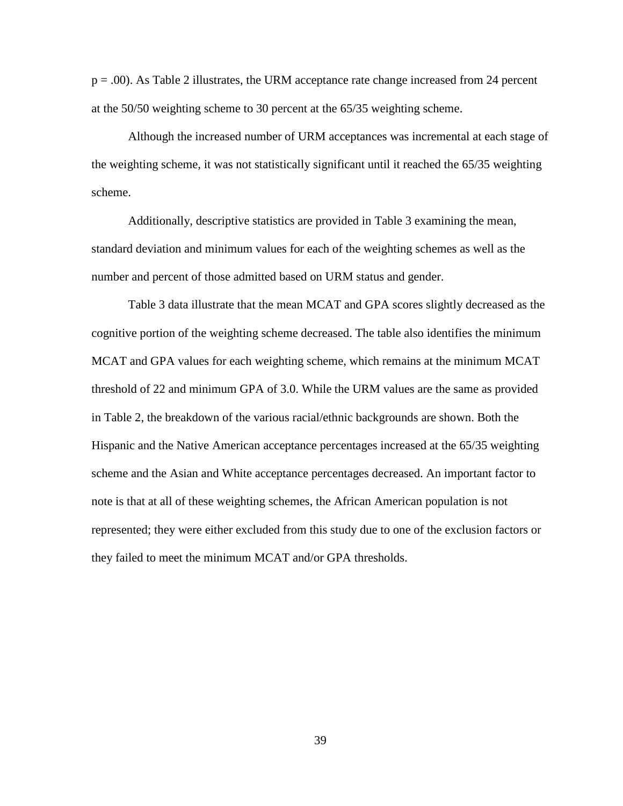p = .00). As Table 2 illustrates, the URM acceptance rate change increased from 24 percent at the 50/50 weighting scheme to 30 percent at the 65/35 weighting scheme.

Although the increased number of URM acceptances was incremental at each stage of the weighting scheme, it was not statistically significant until it reached the 65/35 weighting scheme.

Additionally, descriptive statistics are provided in Table 3 examining the mean, standard deviation and minimum values for each of the weighting schemes as well as the number and percent of those admitted based on URM status and gender.

Table 3 data illustrate that the mean MCAT and GPA scores slightly decreased as the cognitive portion of the weighting scheme decreased. The table also identifies the minimum MCAT and GPA values for each weighting scheme, which remains at the minimum MCAT threshold of 22 and minimum GPA of 3.0. While the URM values are the same as provided in Table 2, the breakdown of the various racial/ethnic backgrounds are shown. Both the Hispanic and the Native American acceptance percentages increased at the 65/35 weighting scheme and the Asian and White acceptance percentages decreased. An important factor to note is that at all of these weighting schemes, the African American population is not represented; they were either excluded from this study due to one of the exclusion factors or they failed to meet the minimum MCAT and/or GPA thresholds.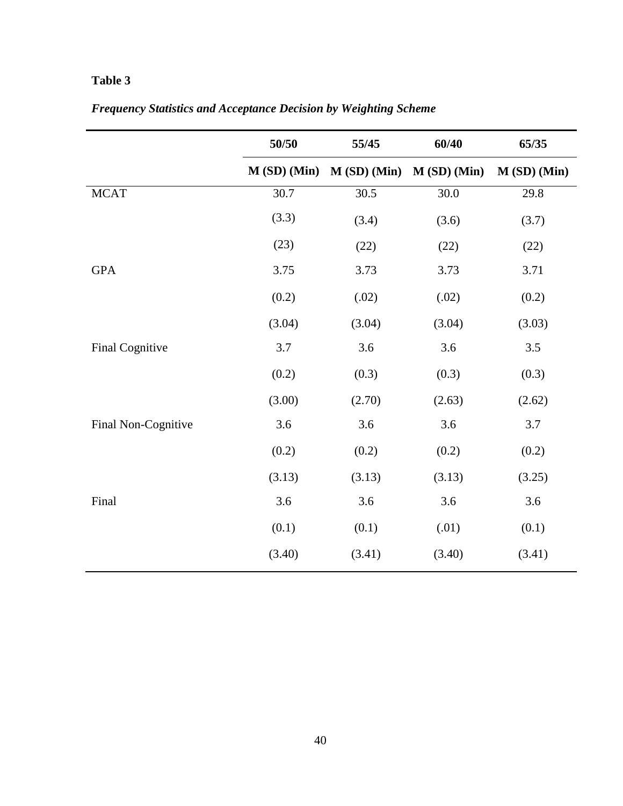## **Table 3**

|                     | 50/50       | 55/45       | 60/40         | 65/35         |
|---------------------|-------------|-------------|---------------|---------------|
|                     | M(SD) (Min) | M(SD) (Min) | $M(SD)$ (Min) | $M(SD)$ (Min) |
| <b>MCAT</b>         | 30.7        | 30.5        | 30.0          | 29.8          |
|                     | (3.3)       | (3.4)       | (3.6)         | (3.7)         |
|                     | (23)        | (22)        | (22)          | (22)          |
| <b>GPA</b>          | 3.75        | 3.73        | 3.73          | 3.71          |
|                     | (0.2)       | (.02)       | (.02)         | (0.2)         |
|                     | (3.04)      | (3.04)      | (3.04)        | (3.03)        |
| Final Cognitive     | 3.7         | 3.6         | 3.6           | 3.5           |
|                     | (0.2)       | (0.3)       | (0.3)         | (0.3)         |
|                     | (3.00)      | (2.70)      | (2.63)        | (2.62)        |
| Final Non-Cognitive | 3.6         | 3.6         | 3.6           | 3.7           |
|                     | (0.2)       | (0.2)       | (0.2)         | (0.2)         |
|                     | (3.13)      | (3.13)      | (3.13)        | (3.25)        |
| Final               | 3.6         | 3.6         | 3.6           | 3.6           |
|                     | (0.1)       | (0.1)       | (.01)         | (0.1)         |
|                     | (3.40)      | (3.41)      | (3.40)        | (3.41)        |

*Frequency Statistics and Acceptance Decision by Weighting Scheme*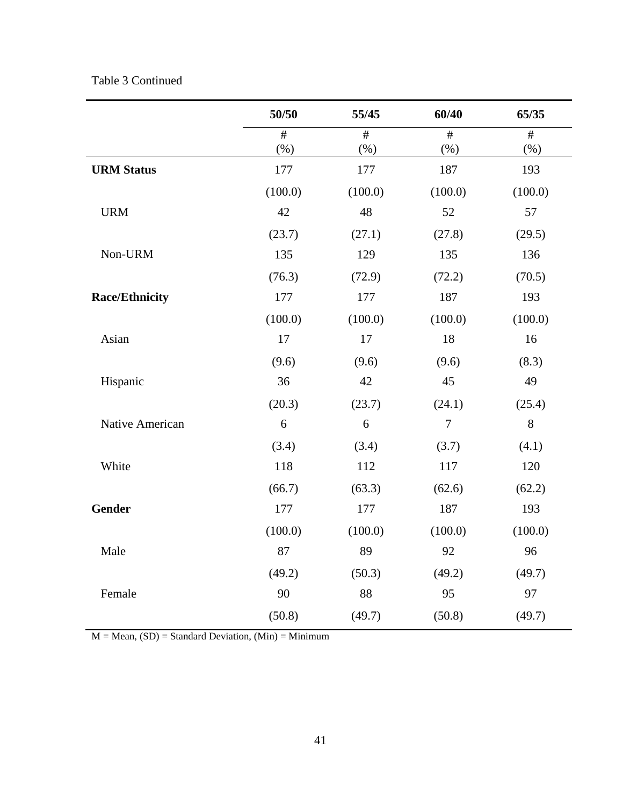| Table 3 Continued |
|-------------------|
|-------------------|

|                       | 50/50            | 55/45   | 60/40            | 65/35   |
|-----------------------|------------------|---------|------------------|---------|
|                       | #                | #       | #                | #       |
|                       | (%)              | $(\% )$ | (%)              | $(\% )$ |
| <b>URM Status</b>     | 177              | 177     | 187              | 193     |
|                       | (100.0)          | (100.0) | (100.0)          | (100.0) |
| <b>URM</b>            | 42               | 48      | 52               | 57      |
|                       | (23.7)           | (27.1)  | (27.8)           | (29.5)  |
| Non-URM               | 135              | 129     | 135              | 136     |
|                       | (76.3)           | (72.9)  | (72.2)           | (70.5)  |
| <b>Race/Ethnicity</b> | 177              | 177     | 187              | 193     |
|                       | (100.0)          | (100.0) | (100.0)          | (100.0) |
| Asian                 | 17               | 17      | 18               | 16      |
|                       | (9.6)            | (9.6)   | (9.6)            | (8.3)   |
| Hispanic              | 36               | 42      | 45               | 49      |
|                       | (20.3)           | (23.7)  | (24.1)           | (25.4)  |
| Native American       | $\boldsymbol{6}$ | 6       | $\boldsymbol{7}$ | $8\,$   |
|                       | (3.4)            | (3.4)   | (3.7)            | (4.1)   |
| White                 | 118              | 112     | 117              | 120     |
|                       | (66.7)           | (63.3)  | (62.6)           | (62.2)  |
| <b>Gender</b>         | 177              | 177     | 187              | 193     |
|                       | (100.0)          | (100.0) | (100.0)          | (100.0) |
| Male                  | 87               | 89      | 92               | 96      |
|                       | (49.2)           | (50.3)  | (49.2)           | (49.7)  |
| Female                | 90               | 88      | 95               | 97      |
|                       | (50.8)           | (49.7)  | (50.8)           | (49.7)  |

 $M = Mean$ ,  $(SD) = Standard Deviation$ ,  $(Min) = Minimum$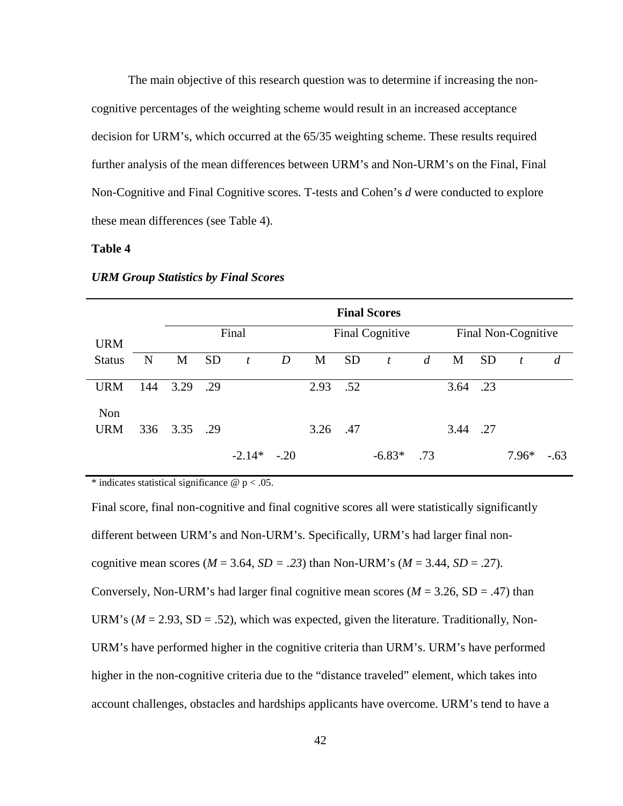The main objective of this research question was to determine if increasing the noncognitive percentages of the weighting scheme would result in an increased acceptance decision for URM's, which occurred at the 65/35 weighting scheme. These results required further analysis of the mean differences between URM's and Non-URM's on the Final, Final Non-Cognitive and Final Cognitive scores. T-tests and Cohen's *d* were conducted to explore these mean differences (see Table 4).

### **Table 4**

|                   |     |      |           |                  |        |      |           | <b>Final Scores</b> |                |      |           |                     |                |
|-------------------|-----|------|-----------|------------------|--------|------|-----------|---------------------|----------------|------|-----------|---------------------|----------------|
| <b>URM</b>        |     |      |           | Final            |        |      |           | Final Cognitive     |                |      |           | Final Non-Cognitive |                |
| <b>Status</b>     | N   | M    | <b>SD</b> | $\boldsymbol{t}$ | D      | M    | <b>SD</b> | $\mathfrak{t}$      | $\overline{d}$ | M    | <b>SD</b> | $\boldsymbol{t}$    | $\overline{d}$ |
| <b>URM</b>        | 144 | 3.29 | .29       |                  |        | 2.93 | .52       |                     |                | 3.64 | .23       |                     |                |
| Non<br><b>URM</b> | 336 | 3.35 | .29       |                  |        | 3.26 | .47       |                     |                | 3.44 | .27       |                     |                |
|                   |     |      |           | $-2.14*$         | $-.20$ |      |           | $-6.83*$            | .73            |      |           | $7.96*$             | $-.63$         |

#### *URM Group Statistics by Final Scores*

\* indicates statistical significance  $\omega$  p < .05.

Final score, final non-cognitive and final cognitive scores all were statistically significantly different between URM's and Non-URM's. Specifically, URM's had larger final noncognitive mean scores ( $M = 3.64$ ,  $SD = .23$ ) than Non-URM's ( $M = 3.44$ ,  $SD = .27$ ). Conversely, Non-URM's had larger final cognitive mean scores  $(M = 3.26, SD = .47)$  than URM's ( $M = 2.93$ , SD = .52), which was expected, given the literature. Traditionally, Non-URM's have performed higher in the cognitive criteria than URM's. URM's have performed higher in the non-cognitive criteria due to the "distance traveled" element, which takes into account challenges, obstacles and hardships applicants have overcome. URM's tend to have a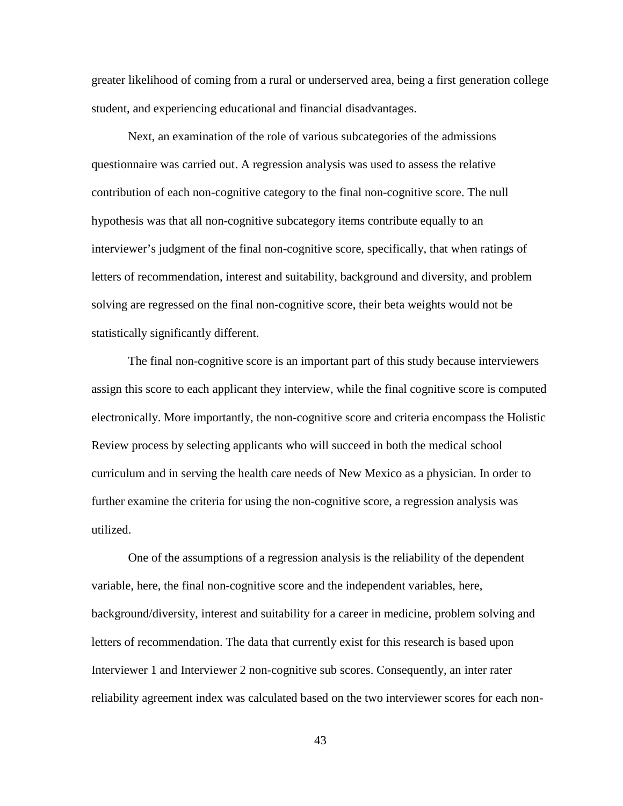greater likelihood of coming from a rural or underserved area, being a first generation college student, and experiencing educational and financial disadvantages.

Next, an examination of the role of various subcategories of the admissions questionnaire was carried out. A regression analysis was used to assess the relative contribution of each non-cognitive category to the final non-cognitive score. The null hypothesis was that all non-cognitive subcategory items contribute equally to an interviewer's judgment of the final non-cognitive score, specifically, that when ratings of letters of recommendation, interest and suitability, background and diversity, and problem solving are regressed on the final non-cognitive score, their beta weights would not be statistically significantly different.

The final non-cognitive score is an important part of this study because interviewers assign this score to each applicant they interview, while the final cognitive score is computed electronically. More importantly, the non-cognitive score and criteria encompass the Holistic Review process by selecting applicants who will succeed in both the medical school curriculum and in serving the health care needs of New Mexico as a physician. In order to further examine the criteria for using the non-cognitive score, a regression analysis was utilized.

One of the assumptions of a regression analysis is the reliability of the dependent variable, here, the final non-cognitive score and the independent variables, here, background/diversity, interest and suitability for a career in medicine, problem solving and letters of recommendation. The data that currently exist for this research is based upon Interviewer 1 and Interviewer 2 non-cognitive sub scores. Consequently, an inter rater reliability agreement index was calculated based on the two interviewer scores for each non-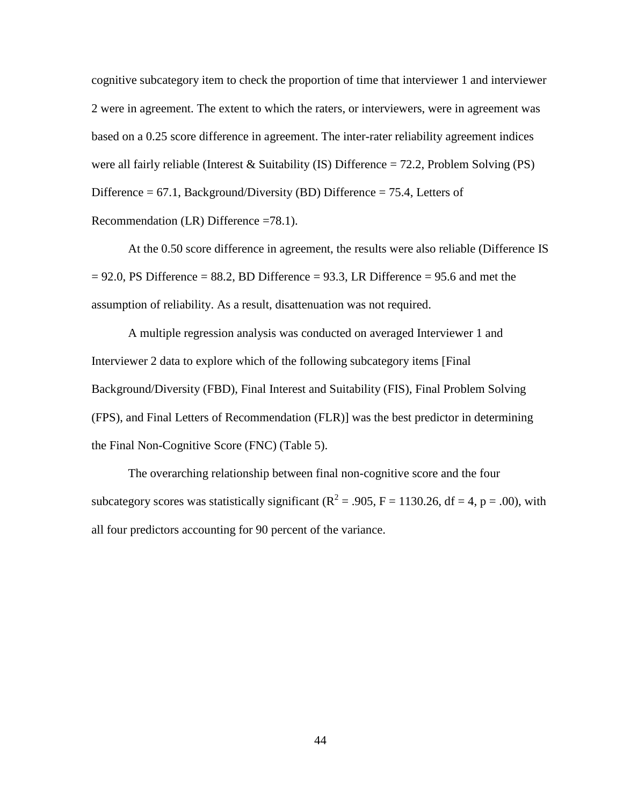cognitive subcategory item to check the proportion of time that interviewer 1 and interviewer 2 were in agreement. The extent to which the raters, or interviewers, were in agreement was based on a 0.25 score difference in agreement. The inter-rater reliability agreement indices were all fairly reliable (Interest & Suitability (IS) Difference  $= 72.2$ , Problem Solving (PS) Difference =  $67.1$ , Background/Diversity (BD) Difference =  $75.4$ , Letters of Recommendation (LR) Difference =78.1).

At the 0.50 score difference in agreement, the results were also reliable (Difference IS  $= 92.0$ , PS Difference  $= 88.2$ , BD Difference  $= 93.3$ , LR Difference  $= 95.6$  and met the assumption of reliability. As a result, disattenuation was not required.

A multiple regression analysis was conducted on averaged Interviewer 1 and Interviewer 2 data to explore which of the following subcategory items [Final Background/Diversity (FBD), Final Interest and Suitability (FIS), Final Problem Solving (FPS), and Final Letters of Recommendation (FLR)] was the best predictor in determining the Final Non-Cognitive Score (FNC) (Table 5).

The overarching relationship between final non-cognitive score and the four subcategory scores was statistically significant ( $R^2 = .905$ ,  $F = 1130.26$ , df = 4, p = .00), with all four predictors accounting for 90 percent of the variance.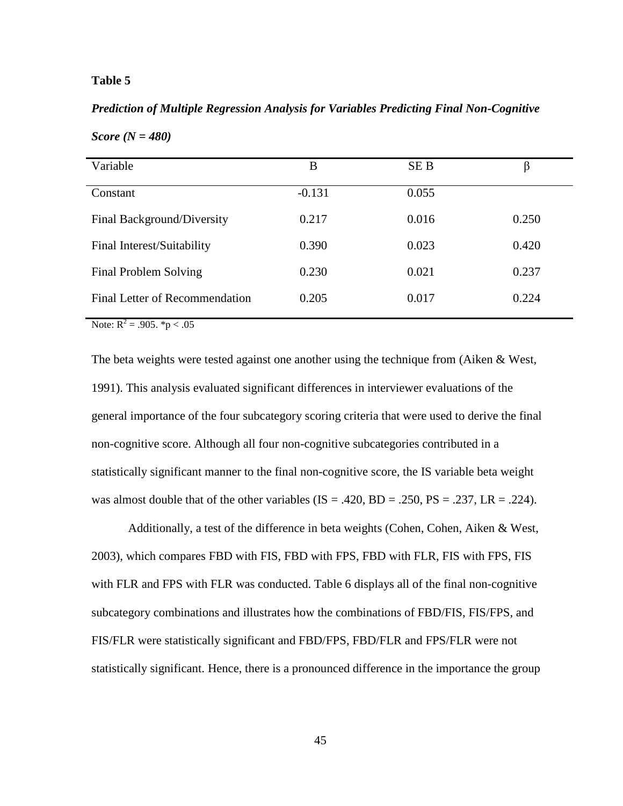### **Table 5**

### *Prediction of Multiple Regression Analysis for Variables Predicting Final Non-Cognitive*

| Variable                       | B        | <b>SEB</b> | β     |
|--------------------------------|----------|------------|-------|
| Constant                       | $-0.131$ | 0.055      |       |
| Final Background/Diversity     | 0.217    | 0.016      | 0.250 |
| Final Interest/Suitability     | 0.390    | 0.023      | 0.420 |
| Final Problem Solving          | 0.230    | 0.021      | 0.237 |
| Final Letter of Recommendation | 0.205    | 0.017      | 0.224 |

*Score (N = 480)* 

Note:  $R^2 = .905.$  \*p < .05

The beta weights were tested against one another using the technique from (Aiken & West, 1991). This analysis evaluated significant differences in interviewer evaluations of the general importance of the four subcategory scoring criteria that were used to derive the final non-cognitive score. Although all four non-cognitive subcategories contributed in a statistically significant manner to the final non-cognitive score, the IS variable beta weight was almost double that of the other variables ( $IS = .420$ ,  $BD = .250$ ,  $PS = .237$ ,  $LR = .224$ ).

Additionally, a test of the difference in beta weights (Cohen, Cohen, Aiken & West, 2003), which compares FBD with FIS, FBD with FPS, FBD with FLR, FIS with FPS, FIS with FLR and FPS with FLR was conducted. Table 6 displays all of the final non-cognitive subcategory combinations and illustrates how the combinations of FBD/FIS, FIS/FPS, and FIS/FLR were statistically significant and FBD/FPS, FBD/FLR and FPS/FLR were not statistically significant. Hence, there is a pronounced difference in the importance the group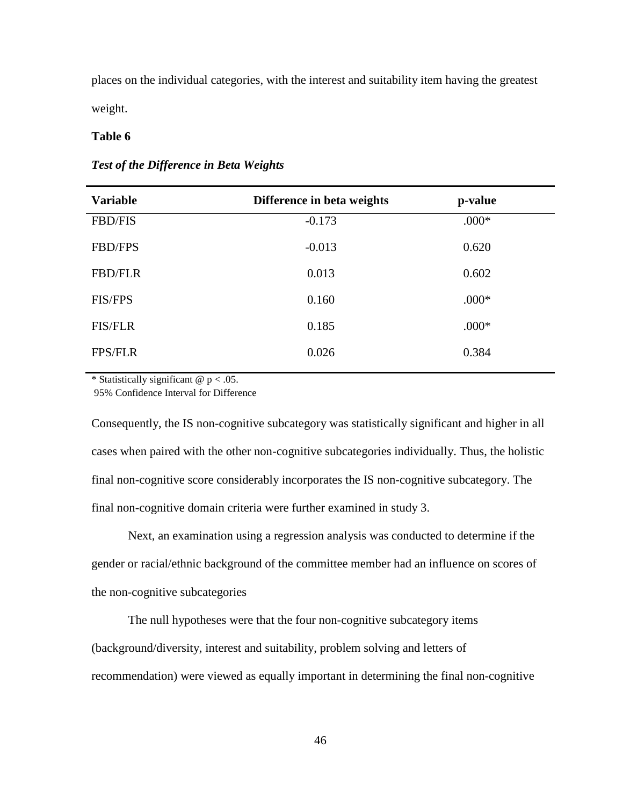places on the individual categories, with the interest and suitability item having the greatest weight.

### **Table 6**

### *Test of the Difference in Beta Weights*

| <b>Variable</b> | Difference in beta weights | p-value |
|-----------------|----------------------------|---------|
| <b>FBD/FIS</b>  | $-0.173$                   | $.000*$ |
| <b>FBD/FPS</b>  | $-0.013$                   | 0.620   |
| <b>FBD/FLR</b>  | 0.013                      | 0.602   |
| <b>FIS/FPS</b>  | 0.160                      | $.000*$ |
| <b>FIS/FLR</b>  | 0.185                      | $.000*$ |
| <b>FPS/FLR</b>  | 0.026                      | 0.384   |

\* Statistically significant  $@p < .05$ .

95% Confidence Interval for Difference

Consequently, the IS non-cognitive subcategory was statistically significant and higher in all cases when paired with the other non-cognitive subcategories individually. Thus, the holistic final non-cognitive score considerably incorporates the IS non-cognitive subcategory. The final non-cognitive domain criteria were further examined in study 3.

Next, an examination using a regression analysis was conducted to determine if the gender or racial/ethnic background of the committee member had an influence on scores of the non-cognitive subcategories

The null hypotheses were that the four non-cognitive subcategory items (background/diversity, interest and suitability, problem solving and letters of recommendation) were viewed as equally important in determining the final non-cognitive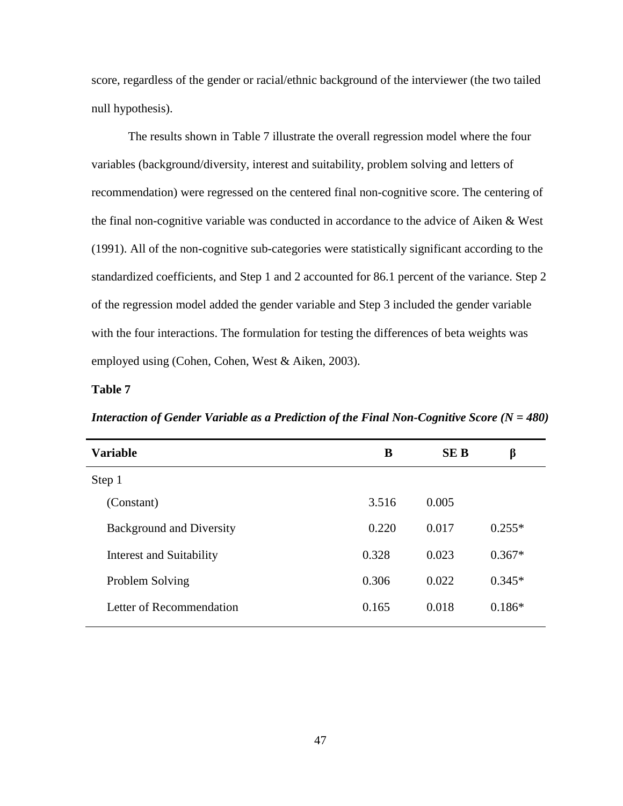score, regardless of the gender or racial/ethnic background of the interviewer (the two tailed null hypothesis).

The results shown in Table 7 illustrate the overall regression model where the four variables (background/diversity, interest and suitability, problem solving and letters of recommendation) were regressed on the centered final non-cognitive score. The centering of the final non-cognitive variable was conducted in accordance to the advice of Aiken & West (1991). All of the non-cognitive sub-categories were statistically significant according to the standardized coefficients, and Step 1 and 2 accounted for 86.1 percent of the variance. Step 2 of the regression model added the gender variable and Step 3 included the gender variable with the four interactions. The formulation for testing the differences of beta weights was employed using (Cohen, Cohen, West & Aiken, 2003).

#### **Table 7**

| Interaction of Gender Variable as a Prediction of the Final Non-Cognitive Score ( $N = 480$ ) |  |  |
|-----------------------------------------------------------------------------------------------|--|--|
|                                                                                               |  |  |

| <b>Variable</b>                 | B     | <b>SE B</b> | β        |
|---------------------------------|-------|-------------|----------|
| Step 1                          |       |             |          |
| (Constant)                      | 3.516 | 0.005       |          |
| <b>Background and Diversity</b> | 0.220 | 0.017       | $0.255*$ |
| Interest and Suitability        | 0.328 | 0.023       | $0.367*$ |
| Problem Solving                 | 0.306 | 0.022       | $0.345*$ |
| Letter of Recommendation        | 0.165 | 0.018       | $0.186*$ |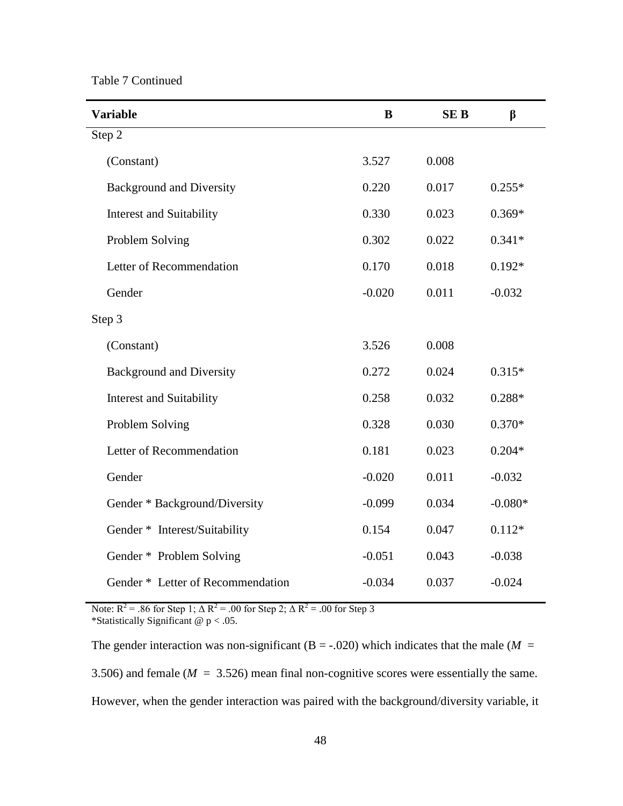Table 7 Continued

| <b>Variable</b>                   | B        | <b>SEB</b> | β         |
|-----------------------------------|----------|------------|-----------|
| Step 2                            |          |            |           |
| (Constant)                        | 3.527    | 0.008      |           |
| <b>Background and Diversity</b>   | 0.220    | 0.017      | $0.255*$  |
| Interest and Suitability          | 0.330    | 0.023      | $0.369*$  |
| Problem Solving                   | 0.302    | 0.022      | $0.341*$  |
| Letter of Recommendation          | 0.170    | 0.018      | $0.192*$  |
| Gender                            | $-0.020$ | 0.011      | $-0.032$  |
| Step 3                            |          |            |           |
| (Constant)                        | 3.526    | 0.008      |           |
| <b>Background and Diversity</b>   | 0.272    | 0.024      | $0.315*$  |
| Interest and Suitability          | 0.258    | 0.032      | $0.288*$  |
| Problem Solving                   | 0.328    | 0.030      | $0.370*$  |
| Letter of Recommendation          | 0.181    | 0.023      | $0.204*$  |
| Gender                            | $-0.020$ | 0.011      | $-0.032$  |
| Gender * Background/Diversity     | $-0.099$ | 0.034      | $-0.080*$ |
| Gender * Interest/Suitability     | 0.154    | 0.047      | $0.112*$  |
| Gender * Problem Solving          | $-0.051$ | 0.043      | $-0.038$  |
| Gender * Letter of Recommendation | $-0.034$ | 0.037      | $-0.024$  |

Note:  $R^2$  = .86 for Step 1;  $\Delta R^2$  = .00 for Step 2;  $\Delta R^2$  = .00 for Step 3 \*Statistically Significant  $@p < .05$ .

The gender interaction was non-significant (B = -.020) which indicates that the male ( $M =$ 3.506) and female ( $M = 3.526$ ) mean final non-cognitive scores were essentially the same. However, when the gender interaction was paired with the background/diversity variable, it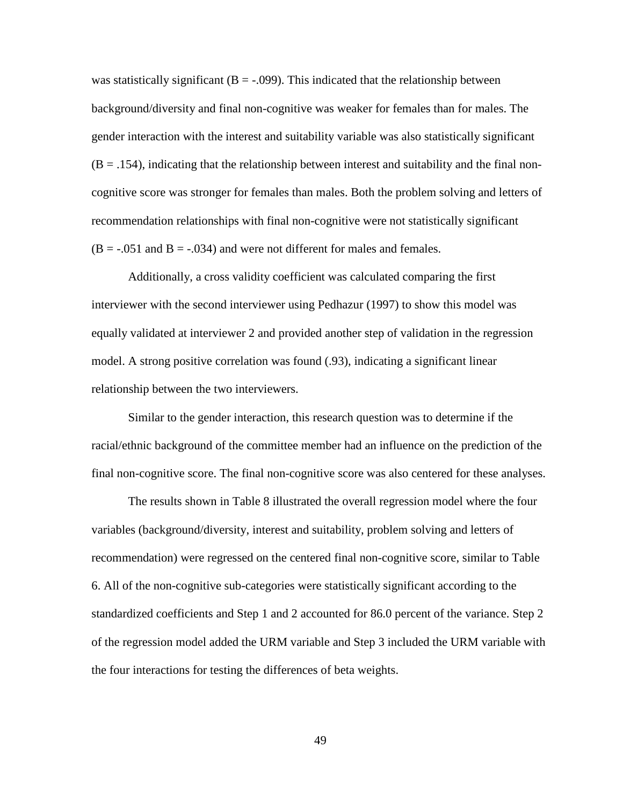was statistically significant ( $B = -0.099$ ). This indicated that the relationship between background/diversity and final non-cognitive was weaker for females than for males. The gender interaction with the interest and suitability variable was also statistically significant  $(B = .154)$ , indicating that the relationship between interest and suitability and the final noncognitive score was stronger for females than males. Both the problem solving and letters of recommendation relationships with final non-cognitive were not statistically significant  $(B = -0.051$  and  $B = -0.034$ ) and were not different for males and females.

Additionally, a cross validity coefficient was calculated comparing the first interviewer with the second interviewer using Pedhazur (1997) to show this model was equally validated at interviewer 2 and provided another step of validation in the regression model. A strong positive correlation was found (.93), indicating a significant linear relationship between the two interviewers.

Similar to the gender interaction, this research question was to determine if the racial/ethnic background of the committee member had an influence on the prediction of the final non-cognitive score. The final non-cognitive score was also centered for these analyses.

The results shown in Table 8 illustrated the overall regression model where the four variables (background/diversity, interest and suitability, problem solving and letters of recommendation) were regressed on the centered final non-cognitive score, similar to Table 6. All of the non-cognitive sub-categories were statistically significant according to the standardized coefficients and Step 1 and 2 accounted for 86.0 percent of the variance. Step 2 of the regression model added the URM variable and Step 3 included the URM variable with the four interactions for testing the differences of beta weights.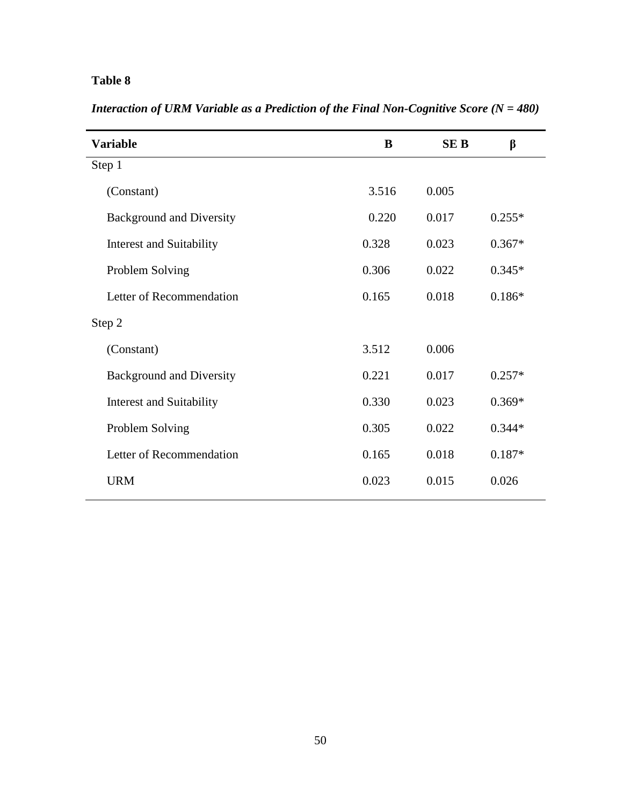## **Table 8**

| <b>Variable</b>                 | B     | <b>SEB</b> | β        |
|---------------------------------|-------|------------|----------|
| Step 1                          |       |            |          |
| (Constant)                      | 3.516 | 0.005      |          |
| <b>Background and Diversity</b> | 0.220 | 0.017      | $0.255*$ |
| Interest and Suitability        | 0.328 | 0.023      | $0.367*$ |
| Problem Solving                 | 0.306 | 0.022      | $0.345*$ |
| Letter of Recommendation        | 0.165 | 0.018      | $0.186*$ |
| Step 2                          |       |            |          |
| (Constant)                      | 3.512 | 0.006      |          |
| <b>Background and Diversity</b> | 0.221 | 0.017      | $0.257*$ |
| Interest and Suitability        | 0.330 | 0.023      | $0.369*$ |
| Problem Solving                 | 0.305 | 0.022      | $0.344*$ |
| Letter of Recommendation        | 0.165 | 0.018      | $0.187*$ |
| <b>URM</b>                      | 0.023 | 0.015      | 0.026    |

*Interaction of URM Variable as a Prediction of the Final Non-Cognitive Score (N = 480)*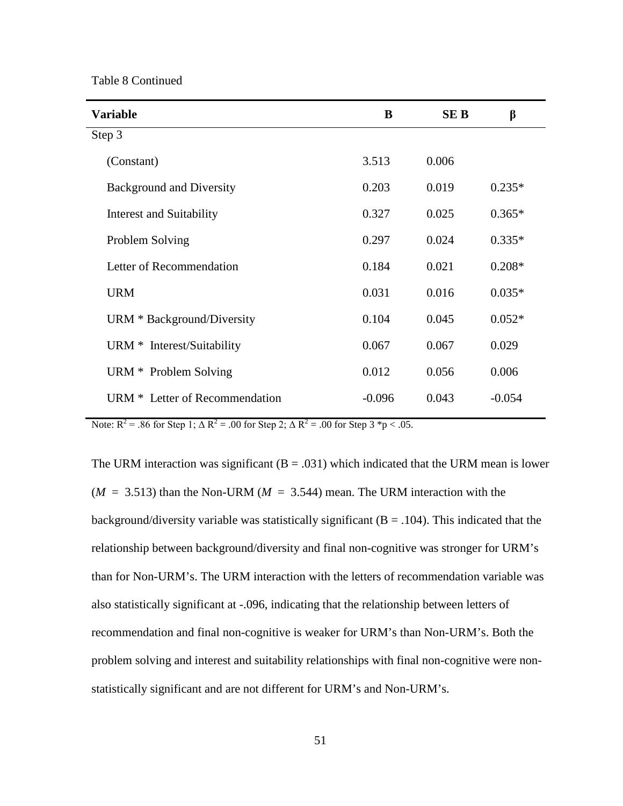Table 8 Continued

| <b>Variable</b>                 | B        | <b>SEB</b> | β        |
|---------------------------------|----------|------------|----------|
| Step 3                          |          |            |          |
| (Constant)                      | 3.513    | 0.006      |          |
| <b>Background and Diversity</b> | 0.203    | 0.019      | $0.235*$ |
| Interest and Suitability        | 0.327    | 0.025      | $0.365*$ |
| Problem Solving                 | 0.297    | 0.024      | $0.335*$ |
| Letter of Recommendation        | 0.184    | 0.021      | $0.208*$ |
| <b>URM</b>                      | 0.031    | 0.016      | $0.035*$ |
| URM * Background/Diversity      | 0.104    | 0.045      | $0.052*$ |
| URM * Interest/Suitability      | 0.067    | 0.067      | 0.029    |
| URM * Problem Solving           | 0.012    | 0.056      | 0.006    |
| URM * Letter of Recommendation  | $-0.096$ | 0.043      | $-0.054$ |

Note:  $R^2 = .86$  for Step 1;  $\Delta R^2 = .00$  for Step 2;  $\Delta R^2 = .00$  for Step 3 \*p < .05.

The URM interaction was significant  $(B = .031)$  which indicated that the URM mean is lower  $(M = 3.513)$  than the Non-URM ( $M = 3.544$ ) mean. The URM interaction with the background/diversity variable was statistically significant  $(B = .104)$ . This indicated that the relationship between background/diversity and final non-cognitive was stronger for URM's than for Non-URM's. The URM interaction with the letters of recommendation variable was also statistically significant at -.096, indicating that the relationship between letters of recommendation and final non-cognitive is weaker for URM's than Non-URM's. Both the problem solving and interest and suitability relationships with final non-cognitive were nonstatistically significant and are not different for URM's and Non-URM's.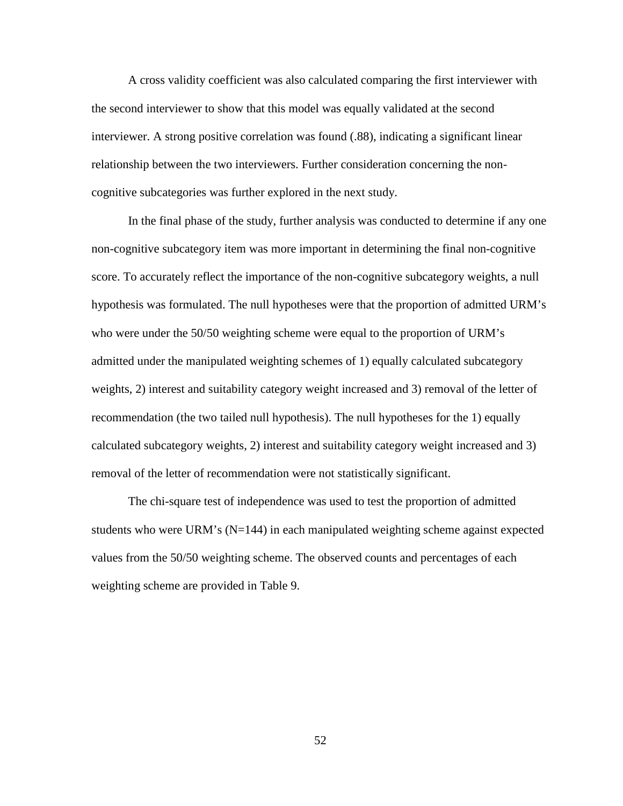A cross validity coefficient was also calculated comparing the first interviewer with the second interviewer to show that this model was equally validated at the second interviewer. A strong positive correlation was found (.88), indicating a significant linear relationship between the two interviewers. Further consideration concerning the noncognitive subcategories was further explored in the next study.

In the final phase of the study, further analysis was conducted to determine if any one non-cognitive subcategory item was more important in determining the final non-cognitive score. To accurately reflect the importance of the non-cognitive subcategory weights, a null hypothesis was formulated. The null hypotheses were that the proportion of admitted URM's who were under the 50/50 weighting scheme were equal to the proportion of URM's admitted under the manipulated weighting schemes of 1) equally calculated subcategory weights, 2) interest and suitability category weight increased and 3) removal of the letter of recommendation (the two tailed null hypothesis). The null hypotheses for the 1) equally calculated subcategory weights, 2) interest and suitability category weight increased and 3) removal of the letter of recommendation were not statistically significant.

The chi-square test of independence was used to test the proportion of admitted students who were URM's  $(N=144)$  in each manipulated weighting scheme against expected values from the 50/50 weighting scheme. The observed counts and percentages of each weighting scheme are provided in Table 9.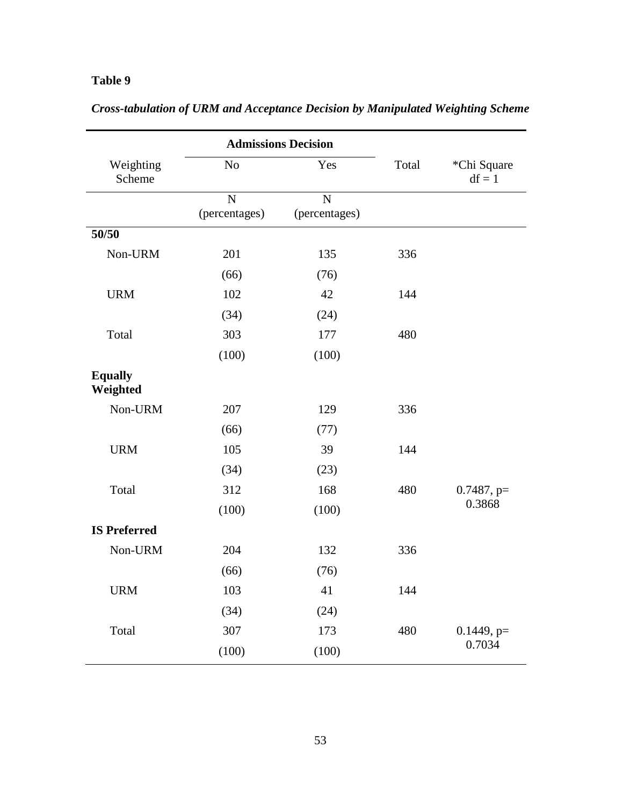## **Table 9**

|                            | <b>Admissions Decision</b> |                    |       |                         |
|----------------------------|----------------------------|--------------------|-------|-------------------------|
| Weighting<br>Scheme        | No                         | Yes                | Total | *Chi Square<br>$df = 1$ |
|                            | N<br>(percentages)         | N<br>(percentages) |       |                         |
| 50/50                      |                            |                    |       |                         |
| Non-URM                    | 201                        | 135                | 336   |                         |
|                            | (66)                       | (76)               |       |                         |
| <b>URM</b>                 | 102                        | 42                 | 144   |                         |
|                            | (34)                       | (24)               |       |                         |
| Total                      | 303                        | 177                | 480   |                         |
|                            | (100)                      | (100)              |       |                         |
| <b>Equally</b><br>Weighted |                            |                    |       |                         |
| Non-URM                    | 207                        | 129                | 336   |                         |
|                            | (66)                       | (77)               |       |                         |
| <b>URM</b>                 | 105                        | 39                 | 144   |                         |
|                            | (34)                       | (23)               |       |                         |
| Total                      | 312                        | 168                | 480   | $0.7487$ , p=           |
|                            | (100)                      | (100)              |       | 0.3868                  |
| <b>IS Preferred</b>        |                            |                    |       |                         |
| Non-URM                    | 204                        | 132                | 336   |                         |
|                            | (66)                       | (76)               |       |                         |
| <b>URM</b>                 | 103                        | 41                 | 144   |                         |
|                            | (34)                       | (24)               |       |                         |
| Total                      | 307                        | 173                | 480   | $0.1449$ , p=           |
|                            | (100)                      | (100)              |       | 0.7034                  |

*Cross-tabulation of URM and Acceptance Decision by Manipulated Weighting Scheme*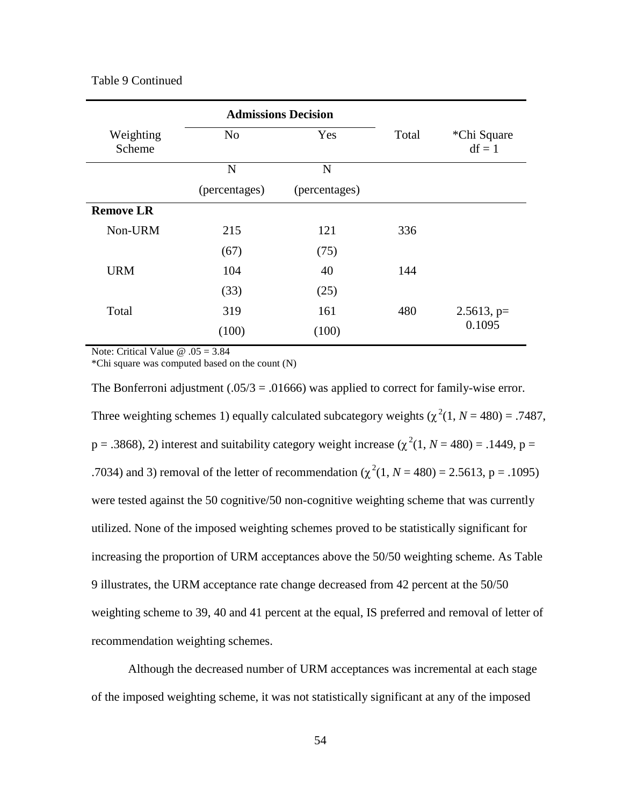#### Table 9 Continued

|                     | <b>Admissions Decision</b> |               |       |                         |
|---------------------|----------------------------|---------------|-------|-------------------------|
| Weighting<br>Scheme | N <sub>o</sub>             | Yes           | Total | *Chi Square<br>$df = 1$ |
|                     | N                          | $\mathbf N$   |       |                         |
|                     | (percentages)              | (percentages) |       |                         |
| <b>Remove LR</b>    |                            |               |       |                         |
| Non-URM             | 215                        | 121           | 336   |                         |
|                     | (67)                       | (75)          |       |                         |
| <b>URM</b>          | 104                        | 40            | 144   |                         |
|                     | (33)                       | (25)          |       |                         |
| Total               | 319                        | 161           | 480   | $2.5613$ , p=           |
|                     | (100)                      | (100)         |       | 0.1095                  |

Note: Critical Value @ .05 = 3.84

\*Chi square was computed based on the count (N)

The Bonferroni adjustment (.05/3 = .01666) was applied to correct for family-wise error. Three weighting schemes 1) equally calculated subcategory weights  $(\chi^2(1, N = 480) = .7487,$  $p = .3868$ ), 2) interest and suitability category weight increase ( $\chi^2(1, N = 480) = .1449$ ,  $p =$ .7034) and 3) removal of the letter of recommendation ( $\chi^2(1, N = 480) = 2.5613$ , p = .1095) were tested against the 50 cognitive/50 non-cognitive weighting scheme that was currently utilized. None of the imposed weighting schemes proved to be statistically significant for increasing the proportion of URM acceptances above the 50/50 weighting scheme. As Table 9 illustrates, the URM acceptance rate change decreased from 42 percent at the 50/50 weighting scheme to 39, 40 and 41 percent at the equal, IS preferred and removal of letter of recommendation weighting schemes.

Although the decreased number of URM acceptances was incremental at each stage of the imposed weighting scheme, it was not statistically significant at any of the imposed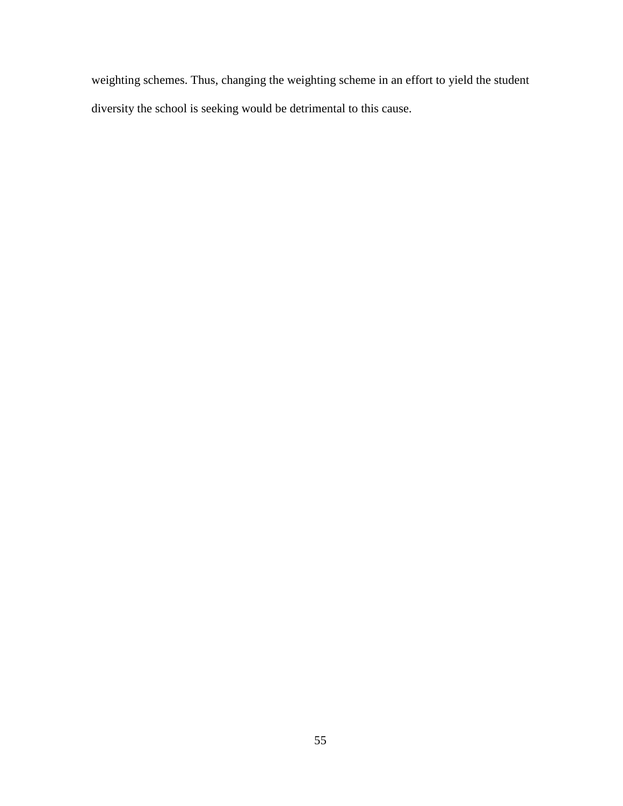weighting schemes. Thus, changing the weighting scheme in an effort to yield the student diversity the school is seeking would be detrimental to this cause.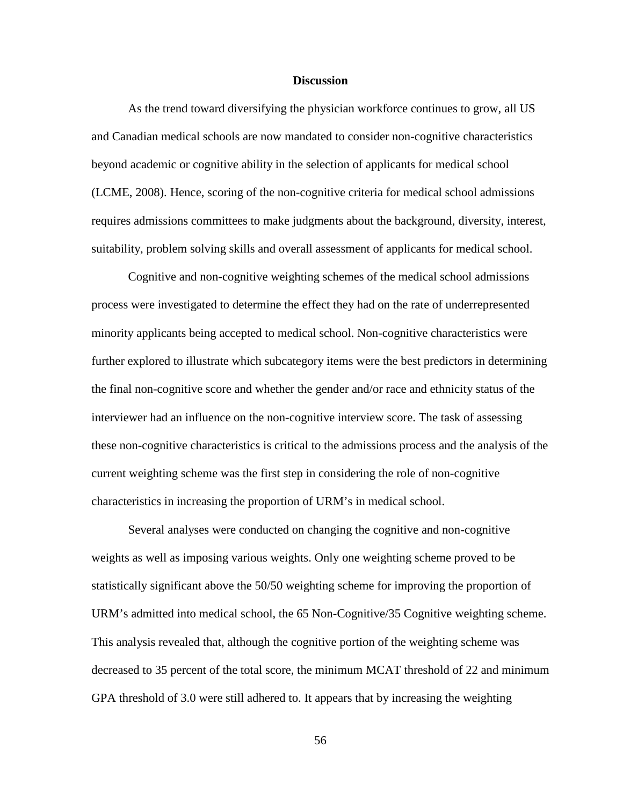#### **Discussion**

As the trend toward diversifying the physician workforce continues to grow, all US and Canadian medical schools are now mandated to consider non-cognitive characteristics beyond academic or cognitive ability in the selection of applicants for medical school (LCME, 2008). Hence, scoring of the non-cognitive criteria for medical school admissions requires admissions committees to make judgments about the background, diversity, interest, suitability, problem solving skills and overall assessment of applicants for medical school.

Cognitive and non-cognitive weighting schemes of the medical school admissions process were investigated to determine the effect they had on the rate of underrepresented minority applicants being accepted to medical school. Non-cognitive characteristics were further explored to illustrate which subcategory items were the best predictors in determining the final non-cognitive score and whether the gender and/or race and ethnicity status of the interviewer had an influence on the non-cognitive interview score. The task of assessing these non-cognitive characteristics is critical to the admissions process and the analysis of the current weighting scheme was the first step in considering the role of non-cognitive characteristics in increasing the proportion of URM's in medical school.

Several analyses were conducted on changing the cognitive and non-cognitive weights as well as imposing various weights. Only one weighting scheme proved to be statistically significant above the 50/50 weighting scheme for improving the proportion of URM's admitted into medical school, the 65 Non-Cognitive/35 Cognitive weighting scheme. This analysis revealed that, although the cognitive portion of the weighting scheme was decreased to 35 percent of the total score, the minimum MCAT threshold of 22 and minimum GPA threshold of 3.0 were still adhered to. It appears that by increasing the weighting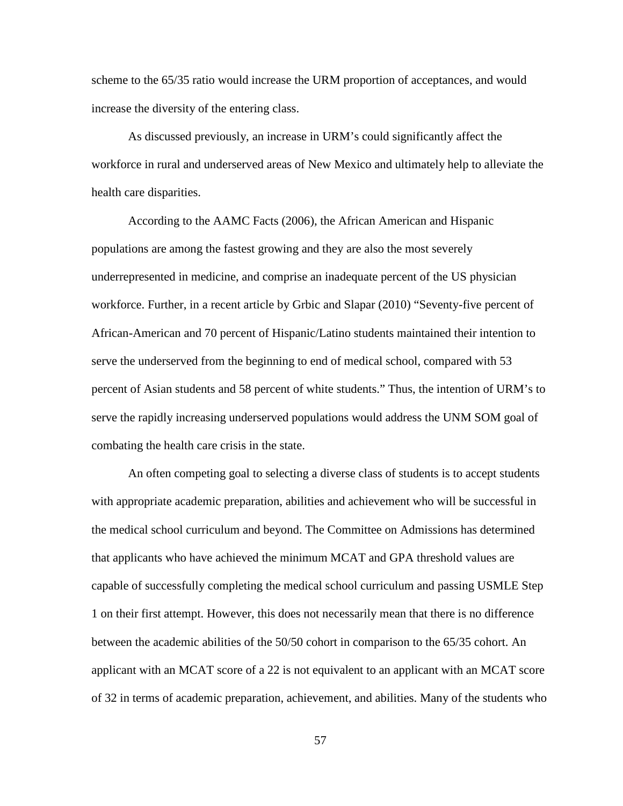scheme to the 65/35 ratio would increase the URM proportion of acceptances, and would increase the diversity of the entering class.

As discussed previously, an increase in URM's could significantly affect the workforce in rural and underserved areas of New Mexico and ultimately help to alleviate the health care disparities.

According to the AAMC Facts (2006), the African American and Hispanic populations are among the fastest growing and they are also the most severely underrepresented in medicine, and comprise an inadequate percent of the US physician workforce. Further, in a recent article by Grbic and Slapar (2010) "Seventy-five percent of African-American and 70 percent of Hispanic/Latino students maintained their intention to serve the underserved from the beginning to end of medical school, compared with 53 percent of Asian students and 58 percent of white students." Thus, the intention of URM's to serve the rapidly increasing underserved populations would address the UNM SOM goal of combating the health care crisis in the state.

An often competing goal to selecting a diverse class of students is to accept students with appropriate academic preparation, abilities and achievement who will be successful in the medical school curriculum and beyond. The Committee on Admissions has determined that applicants who have achieved the minimum MCAT and GPA threshold values are capable of successfully completing the medical school curriculum and passing USMLE Step 1 on their first attempt. However, this does not necessarily mean that there is no difference between the academic abilities of the 50/50 cohort in comparison to the 65/35 cohort. An applicant with an MCAT score of a 22 is not equivalent to an applicant with an MCAT score of 32 in terms of academic preparation, achievement, and abilities. Many of the students who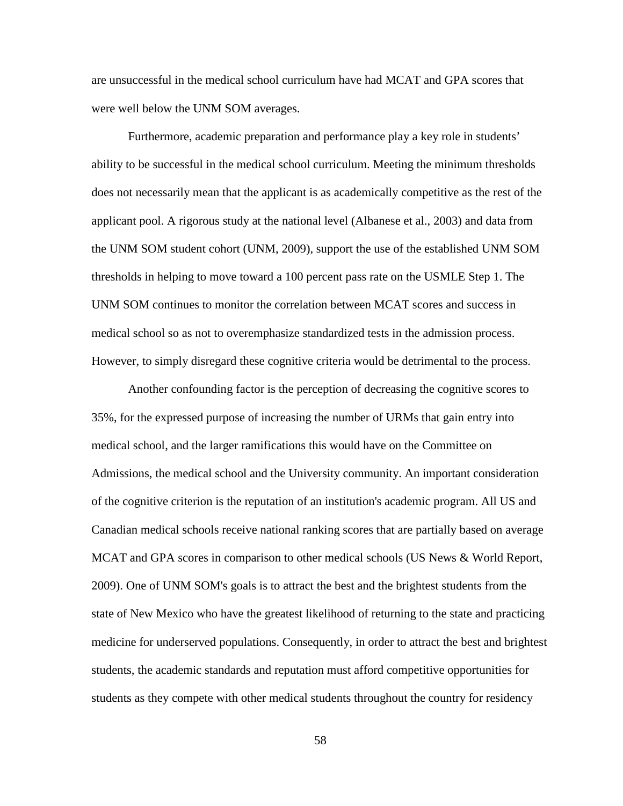are unsuccessful in the medical school curriculum have had MCAT and GPA scores that were well below the UNM SOM averages.

Furthermore, academic preparation and performance play a key role in students' ability to be successful in the medical school curriculum. Meeting the minimum thresholds does not necessarily mean that the applicant is as academically competitive as the rest of the applicant pool. A rigorous study at the national level (Albanese et al., 2003) and data from the UNM SOM student cohort (UNM, 2009), support the use of the established UNM SOM thresholds in helping to move toward a 100 percent pass rate on the USMLE Step 1. The UNM SOM continues to monitor the correlation between MCAT scores and success in medical school so as not to overemphasize standardized tests in the admission process. However, to simply disregard these cognitive criteria would be detrimental to the process.

Another confounding factor is the perception of decreasing the cognitive scores to 35%, for the expressed purpose of increasing the number of URMs that gain entry into medical school, and the larger ramifications this would have on the Committee on Admissions, the medical school and the University community. An important consideration of the cognitive criterion is the reputation of an institution's academic program. All US and Canadian medical schools receive national ranking scores that are partially based on average MCAT and GPA scores in comparison to other medical schools (US News & World Report, 2009). One of UNM SOM's goals is to attract the best and the brightest students from the state of New Mexico who have the greatest likelihood of returning to the state and practicing medicine for underserved populations. Consequently, in order to attract the best and brightest students, the academic standards and reputation must afford competitive opportunities for students as they compete with other medical students throughout the country for residency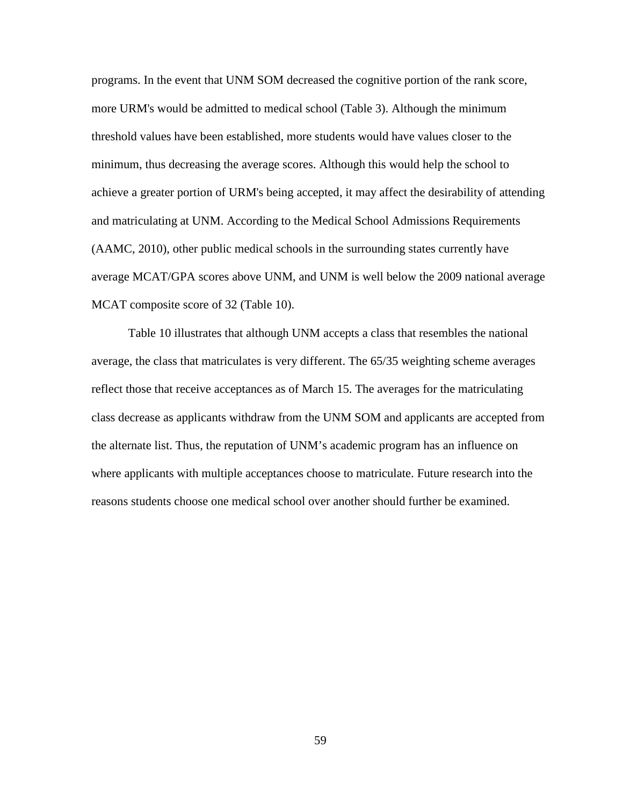programs. In the event that UNM SOM decreased the cognitive portion of the rank score, more URM's would be admitted to medical school (Table 3). Although the minimum threshold values have been established, more students would have values closer to the minimum, thus decreasing the average scores. Although this would help the school to achieve a greater portion of URM's being accepted, it may affect the desirability of attending and matriculating at UNM. According to the Medical School Admissions Requirements (AAMC, 2010), other public medical schools in the surrounding states currently have average MCAT/GPA scores above UNM, and UNM is well below the 2009 national average MCAT composite score of 32 (Table 10).

Table 10 illustrates that although UNM accepts a class that resembles the national average, the class that matriculates is very different. The 65/35 weighting scheme averages reflect those that receive acceptances as of March 15. The averages for the matriculating class decrease as applicants withdraw from the UNM SOM and applicants are accepted from the alternate list. Thus, the reputation of UNM's academic program has an influence on where applicants with multiple acceptances choose to matriculate. Future research into the reasons students choose one medical school over another should further be examined.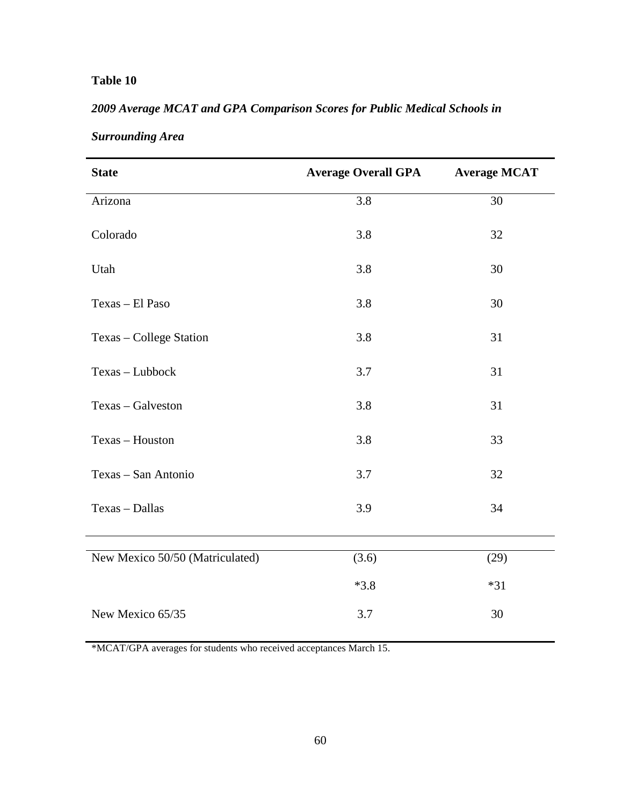## **Table 10**

## *2009 Average MCAT and GPA Comparison Scores for Public Medical Schools in*

| <b>State</b>                    | <b>Average Overall GPA</b> | <b>Average MCAT</b> |
|---------------------------------|----------------------------|---------------------|
| Arizona                         | 3.8                        | 30                  |
| Colorado                        | 3.8                        | 32                  |
| Utah                            | 3.8                        | 30                  |
| Texas - El Paso                 | 3.8                        | 30                  |
| Texas - College Station         | 3.8                        | 31                  |
| Texas - Lubbock                 | 3.7                        | 31                  |
| Texas - Galveston               | 3.8                        | 31                  |
| Texas - Houston                 | 3.8                        | 33                  |
| Texas - San Antonio             | 3.7                        | 32                  |
| Texas - Dallas                  | 3.9                        | 34                  |
| New Mexico 50/50 (Matriculated) | (3.6)                      | (29)                |
|                                 | $*3.8$                     | $*31$               |
| New Mexico 65/35                | 3.7                        | 30                  |

## *Surrounding Area*

\*MCAT/GPA averages for students who received acceptances March 15.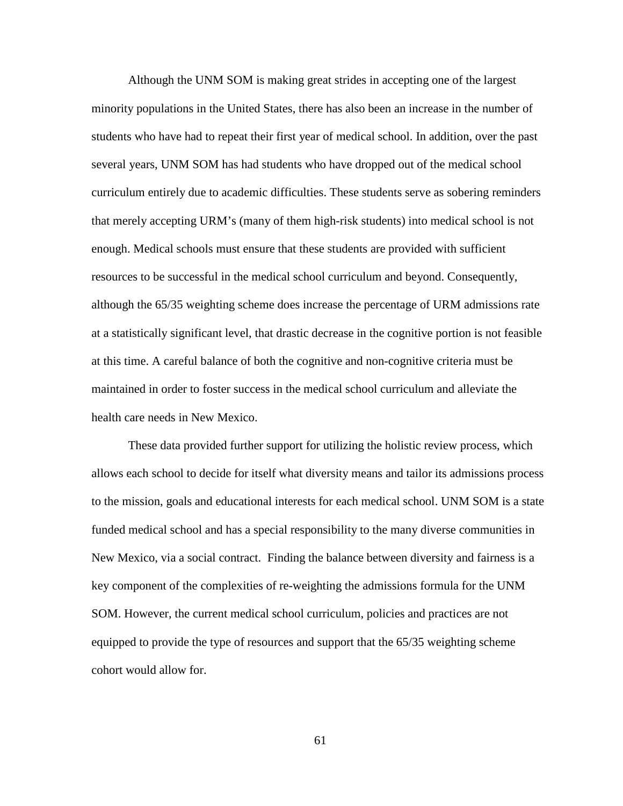Although the UNM SOM is making great strides in accepting one of the largest minority populations in the United States, there has also been an increase in the number of students who have had to repeat their first year of medical school. In addition, over the past several years, UNM SOM has had students who have dropped out of the medical school curriculum entirely due to academic difficulties. These students serve as sobering reminders that merely accepting URM's (many of them high-risk students) into medical school is not enough. Medical schools must ensure that these students are provided with sufficient resources to be successful in the medical school curriculum and beyond. Consequently, although the 65/35 weighting scheme does increase the percentage of URM admissions rate at a statistically significant level, that drastic decrease in the cognitive portion is not feasible at this time. A careful balance of both the cognitive and non-cognitive criteria must be maintained in order to foster success in the medical school curriculum and alleviate the health care needs in New Mexico.

These data provided further support for utilizing the holistic review process, which allows each school to decide for itself what diversity means and tailor its admissions process to the mission, goals and educational interests for each medical school. UNM SOM is a state funded medical school and has a special responsibility to the many diverse communities in New Mexico, via a social contract. Finding the balance between diversity and fairness is a key component of the complexities of re-weighting the admissions formula for the UNM SOM. However, the current medical school curriculum, policies and practices are not equipped to provide the type of resources and support that the 65/35 weighting scheme cohort would allow for.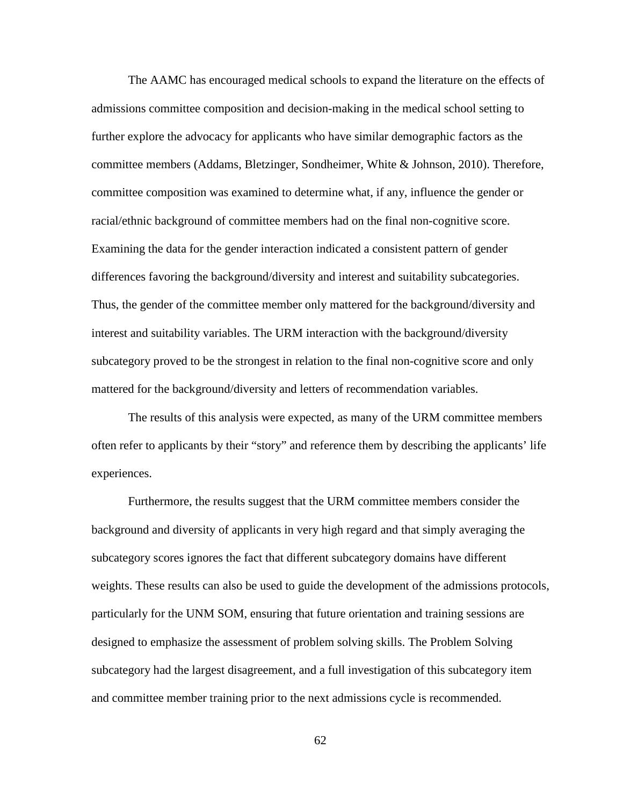The AAMC has encouraged medical schools to expand the literature on the effects of admissions committee composition and decision-making in the medical school setting to further explore the advocacy for applicants who have similar demographic factors as the committee members (Addams, Bletzinger, Sondheimer, White & Johnson, 2010). Therefore, committee composition was examined to determine what, if any, influence the gender or racial/ethnic background of committee members had on the final non-cognitive score. Examining the data for the gender interaction indicated a consistent pattern of gender differences favoring the background/diversity and interest and suitability subcategories. Thus, the gender of the committee member only mattered for the background/diversity and interest and suitability variables. The URM interaction with the background/diversity subcategory proved to be the strongest in relation to the final non-cognitive score and only mattered for the background/diversity and letters of recommendation variables.

The results of this analysis were expected, as many of the URM committee members often refer to applicants by their "story" and reference them by describing the applicants' life experiences.

Furthermore, the results suggest that the URM committee members consider the background and diversity of applicants in very high regard and that simply averaging the subcategory scores ignores the fact that different subcategory domains have different weights. These results can also be used to guide the development of the admissions protocols, particularly for the UNM SOM, ensuring that future orientation and training sessions are designed to emphasize the assessment of problem solving skills. The Problem Solving subcategory had the largest disagreement, and a full investigation of this subcategory item and committee member training prior to the next admissions cycle is recommended.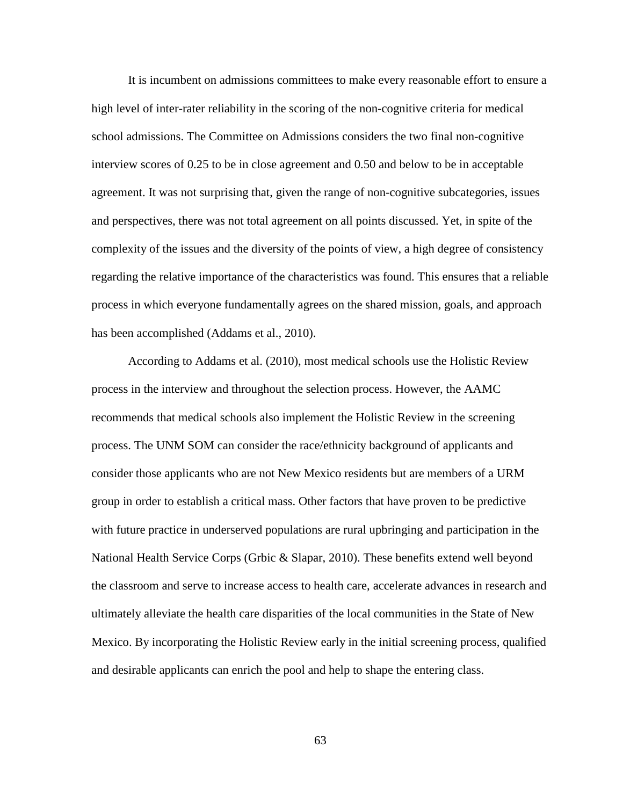It is incumbent on admissions committees to make every reasonable effort to ensure a high level of inter-rater reliability in the scoring of the non-cognitive criteria for medical school admissions. The Committee on Admissions considers the two final non-cognitive interview scores of 0.25 to be in close agreement and 0.50 and below to be in acceptable agreement. It was not surprising that, given the range of non-cognitive subcategories, issues and perspectives, there was not total agreement on all points discussed. Yet, in spite of the complexity of the issues and the diversity of the points of view, a high degree of consistency regarding the relative importance of the characteristics was found. This ensures that a reliable process in which everyone fundamentally agrees on the shared mission, goals, and approach has been accomplished (Addams et al., 2010).

According to Addams et al. (2010), most medical schools use the Holistic Review process in the interview and throughout the selection process. However, the AAMC recommends that medical schools also implement the Holistic Review in the screening process. The UNM SOM can consider the race/ethnicity background of applicants and consider those applicants who are not New Mexico residents but are members of a URM group in order to establish a critical mass. Other factors that have proven to be predictive with future practice in underserved populations are rural upbringing and participation in the National Health Service Corps (Grbic & Slapar, 2010). These benefits extend well beyond the classroom and serve to increase access to health care, accelerate advances in research and ultimately alleviate the health care disparities of the local communities in the State of New Mexico. By incorporating the Holistic Review early in the initial screening process, qualified and desirable applicants can enrich the pool and help to shape the entering class.

63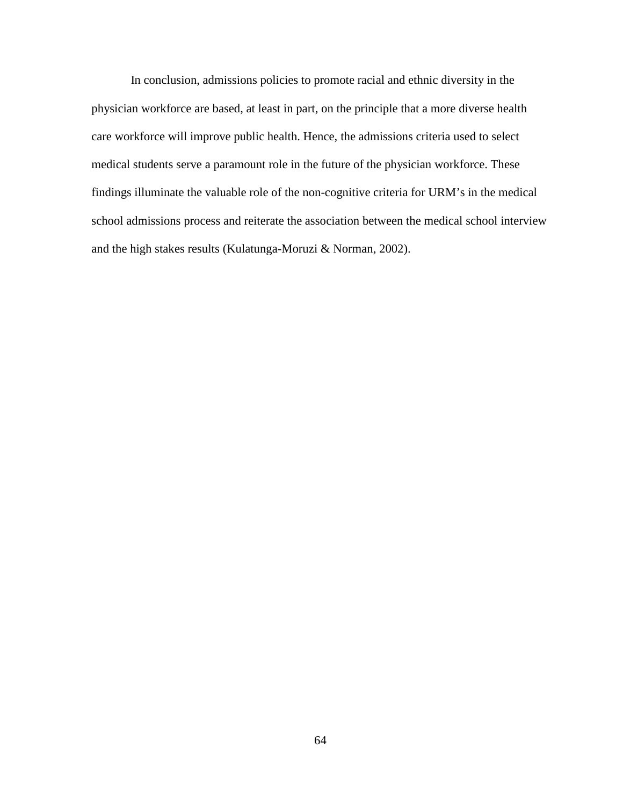In conclusion, admissions policies to promote racial and ethnic diversity in the physician workforce are based, at least in part, on the principle that a more diverse health care workforce will improve public health. Hence, the admissions criteria used to select medical students serve a paramount role in the future of the physician workforce. These findings illuminate the valuable role of the non-cognitive criteria for URM's in the medical school admissions process and reiterate the association between the medical school interview and the high stakes results (Kulatunga-Moruzi & Norman, 2002).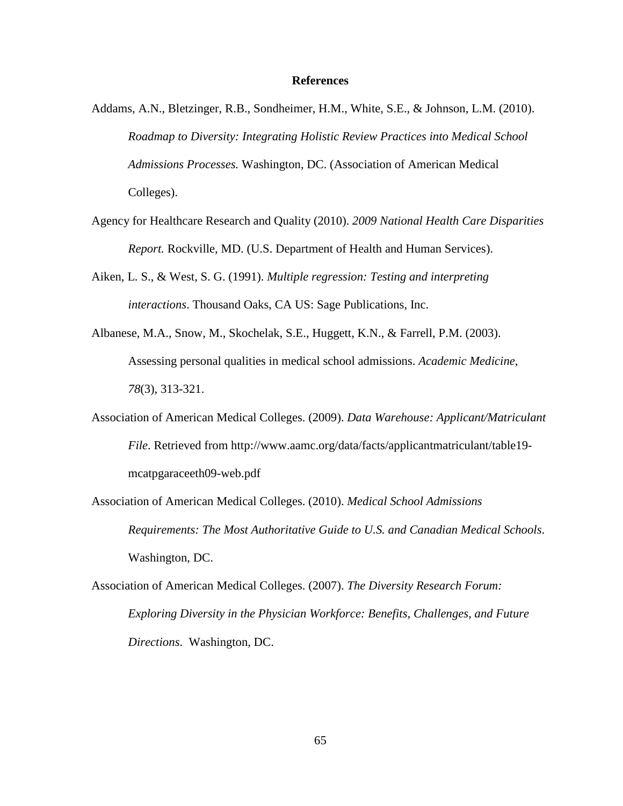#### **References**

- Addams, A.N., Bletzinger, R.B., Sondheimer, H.M., White, S.E., & Johnson, L.M. (2010). *Roadmap to Diversity: Integrating Holistic Review Practices into Medical School Admissions Processes.* Washington, DC. (Association of American Medical Colleges).
- Agency for Healthcare Research and Quality (2010). *2009 National Health Care Disparities Report.* Rockville, MD. (U.S. Department of Health and Human Services).
- Aiken, L. S., & West, S. G. (1991). *Multiple regression: Testing and interpreting interactions*. Thousand Oaks, CA US: Sage Publications, Inc.
- Albanese, M.A., Snow, M., Skochelak, S.E., Huggett, K.N., & Farrell, P.M. (2003). Assessing personal qualities in medical school admissions. *Academic Medicine*, *78*(3), 313-321.
- Association of American Medical Colleges. (2009). *Data Warehouse: Applicant/Matriculant File*. Retrieved from [http://www.aamc.org/data/facts/applicantmatriculant/table19](http://www.aamc.org/data/facts/applicantmatriculant/table19-mcatpgaraceeth09-web.pdf) [mcatpgaraceeth09-web.pdf](http://www.aamc.org/data/facts/applicantmatriculant/table19-mcatpgaraceeth09-web.pdf)
- Association of American Medical Colleges. (2010). *Medical School Admissions Requirements: The Most Authoritative Guide to U.S. and Canadian Medical Schools*. Washington, DC.
- Association of American Medical Colleges. (2007). *The Diversity Research Forum: Exploring Diversity in the Physician Workforce: Benefits, Challenges, and Future Directions*. Washington, DC.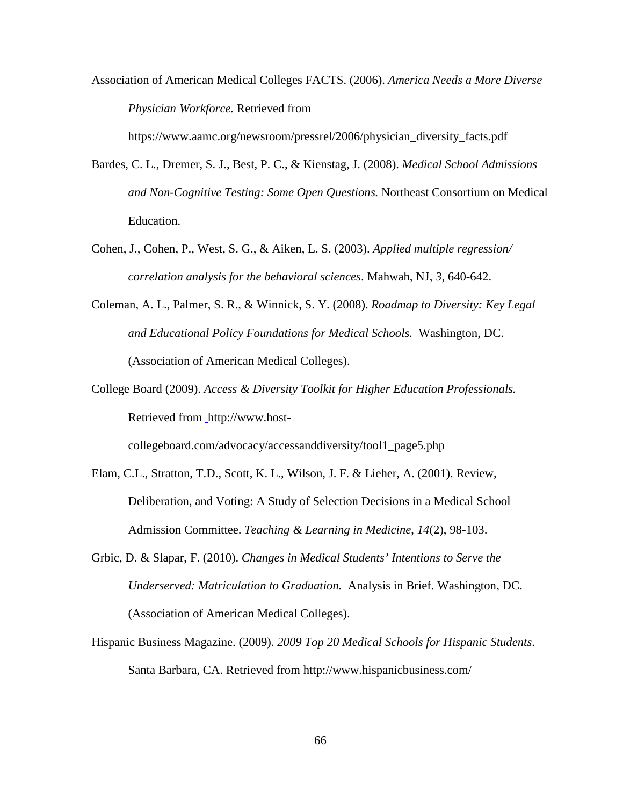Association of American Medical Colleges FACTS. (2006). *America Needs a More Diverse Physician Workforce.* Retrieved from

https://www.aamc.org/newsroom/pressrel/2006/physician\_diversity\_facts.pdf

- Bardes, C. L., Dremer, S. J., Best, P. C., & Kienstag, J. (2008). *Medical School Admissions and Non-Cognitive Testing: Some Open Questions.* Northeast Consortium on Medical Education.
- Cohen, J., Cohen, P., West, S. G., & Aiken, L. S. (2003). *Applied multiple regression/ correlation analysis for the behavioral sciences*. Mahwah, NJ, *3*, 640-642.
- Coleman, A. L., Palmer, S. R., & Winnick, S. Y. (2008). *Roadmap to Diversity: Key Legal and Educational Policy Foundations for Medical Schools.* Washington, DC. (Association of American Medical Colleges).
- College Board (2009). *Access & Diversity Toolkit for Higher Education Professionals.*  Retrieved from [http://www.host-](http://www.host-collegeboard.com/advocacy/accessanddiversity/tool1_page5.php)

[collegeboard.com/advocacy/accessanddiversity/tool1\\_page5.php](http://www.host-collegeboard.com/advocacy/accessanddiversity/tool1_page5.php) 

- Elam, C.L., Stratton, T.D., Scott, K. L., Wilson, J. F. & Lieher, A. (2001). Review, Deliberation, and Voting: A Study of Selection Decisions in a Medical School Admission Committee. *Teaching & Learning in Medicine*, *14*(2), 98-103.
- Grbic, D. & Slapar, F. (2010). *Changes in Medical Students' Intentions to Serve the Underserved: Matriculation to Graduation.* Analysis in Brief. Washington, DC. (Association of American Medical Colleges).
- Hispanic Business Magazine. (2009). *2009 Top 20 Medical Schools for Hispanic Students*. Santa Barbara, CA. Retrieved from<http://www.hispanicbusiness.com/>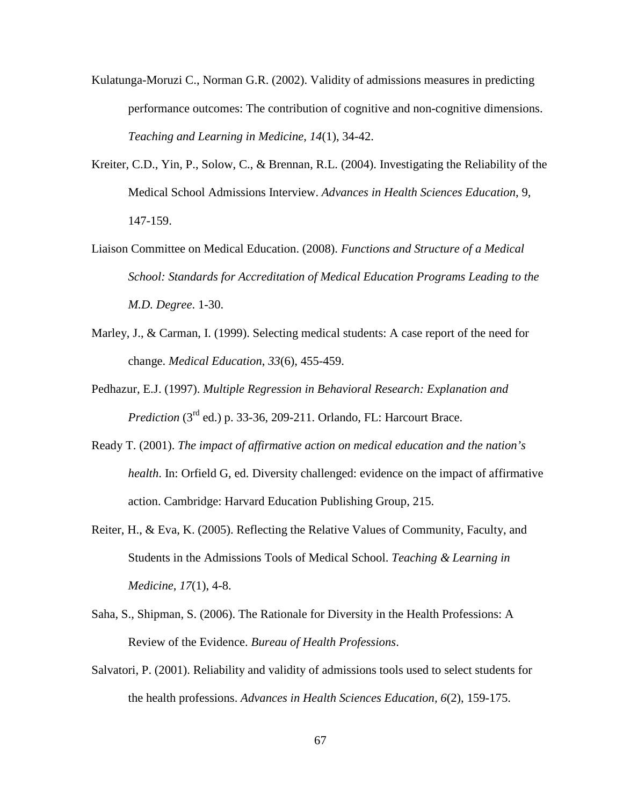- Kulatunga-Moruzi C., Norman G.R. (2002). Validity of admissions measures in predicting performance outcomes: The contribution of cognitive and non-cognitive dimensions. *Teaching and Learning in Medicine*, *14*(1), 34-42.
- Kreiter, C.D., Yin, P., Solow, C., & Brennan, R.L. (2004). Investigating the Reliability of the Medical School Admissions Interview. *Advances in Health Sciences Education*, 9, 147-159.
- Liaison Committee on Medical Education. (2008). *Functions and Structure of a Medical School: Standards for Accreditation of Medical Education Programs Leading to the M.D. Degree*. 1-30.
- Marley, J., & Carman, I. (1999). Selecting medical students: A case report of the need for change. *Medical Education*, *33*(6), 455-459.
- Pedhazur, E.J. (1997). *Multiple Regression in Behavioral Research: Explanation and Prediction* (3<sup>rd</sup> ed.) p. 33-36, 209-211. Orlando, FL: Harcourt Brace.
- Ready T. (2001). *The impact of affirmative action on medical education and the nation's health*. In: Orfield G, ed. Diversity challenged: evidence on the impact of affirmative action. Cambridge: Harvard Education Publishing Group, 215.
- Reiter, H., & Eva, K. (2005). Reflecting the Relative Values of Community, Faculty, and Students in the Admissions Tools of Medical School. *Teaching & Learning in Medicine*, *17*(1), 4-8.
- Saha, S., Shipman, S. (2006). The Rationale for Diversity in the Health Professions: A Review of the Evidence. *Bureau of Health Professions*.
- Salvatori, P. (2001). Reliability and validity of admissions tools used to select students for the health professions. *Advances in Health Sciences Education, 6*(2), 159-175.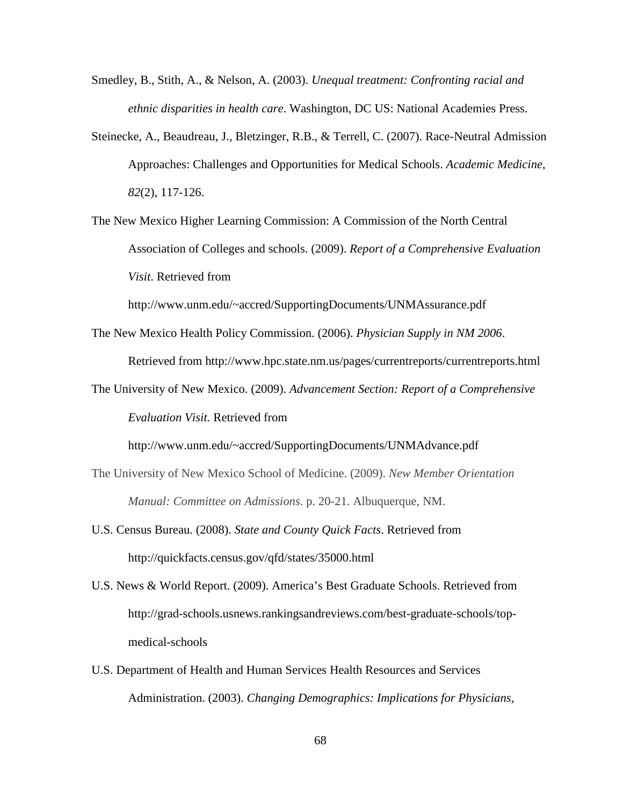- Smedley, B., Stith, A., & Nelson, A. (2003). *Unequal treatment: Confronting racial and ethnic disparities in health care*. Washington, DC US: National Academies Press.
- Steinecke, A., Beaudreau, J., Bletzinger, R.B., & Terrell, C. (2007). Race-Neutral Admission Approaches: Challenges and Opportunities for Medical Schools. *Academic Medicine*, *82*(2), 117-126.
- The New Mexico Higher Learning Commission: A Commission of the North Central Association of Colleges and schools. (2009). *Report of a Comprehensive Evaluation Visit*. Retrieved from

<http://www.unm.edu/~accred/SupportingDocuments/UNMAssurance.pdf>

The New Mexico Health Policy Commission. (2006). *Physician Supply in NM 2006*.

Retrieved from<http://www.hpc.state.nm.us/pages/currentreports/currentreports.html>

The University of New Mexico. (2009). *Advancement Section: Report of a Comprehensive Evaluation Visit.* Retrieved from

<http://www.unm.edu/~accred/SupportingDocuments/UNMAdvance.pdf>

- The University of New Mexico School of Medicine. (2009). *New Member Orientation Manual: Committee on Admissions*. p. 20-21. Albuquerque, NM.
- U.S. Census Bureau. (2008). *State and County Quick Facts*. Retrieved from <http://quickfacts.census.gov/qfd/states/35000.html>
- U.S. News & World Report. (2009). America's Best Graduate Schools. Retrieved from http://grad-schools.usnews.rankingsandreviews.com/best-graduate-schools/topmedical-schools
- U.S. Department of Health and Human Services Health Resources and Services Administration. (2003). *Changing Demographics: Implications for Physicians,*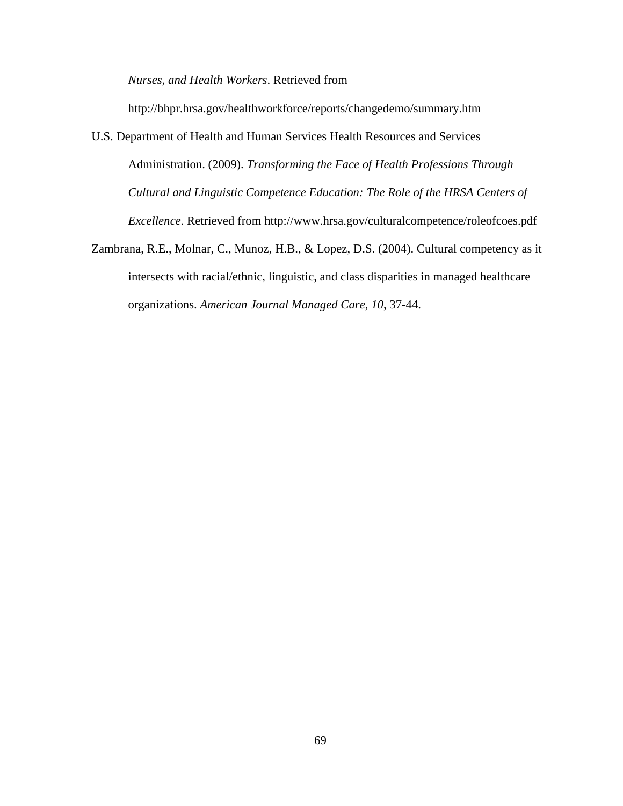*Nurses, and Health Workers*. Retrieved from

<http://bhpr.hrsa.gov/healthworkforce/reports/changedemo/summary.htm>

- U.S. Department of Health and Human Services Health Resources and Services Administration. (2009). *Transforming the Face of Health Professions Through Cultural and Linguistic Competence Education: The Role of the HRSA Centers of Excellence*. Retrieved from<http://www.hrsa.gov/culturalcompetence/roleofcoes.pdf>
- Zambrana, R.E., Molnar, C., Munoz, H.B., & Lopez, D.S. (2004). Cultural competency as it intersects with racial/ethnic, linguistic, and class disparities in managed healthcare organizations. *American Journal Managed Care, 10*, 37-44.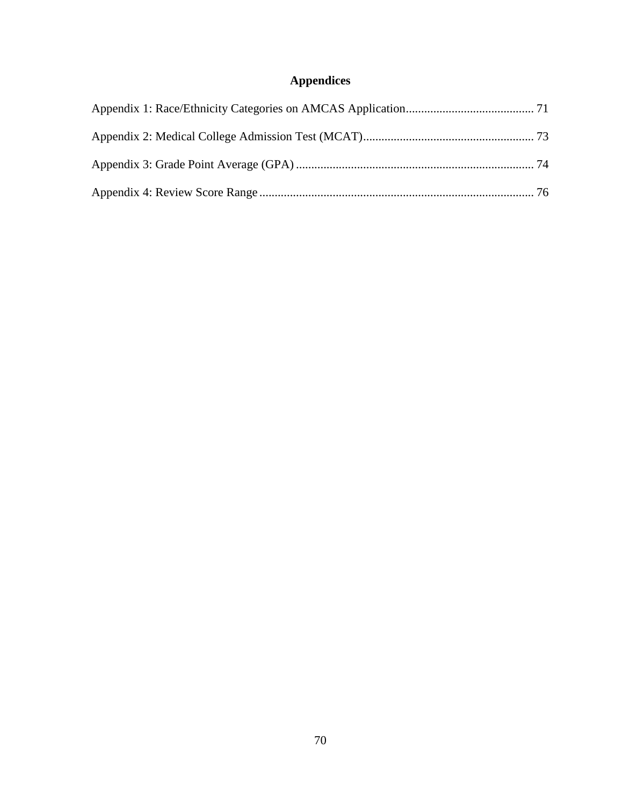## **Appendices**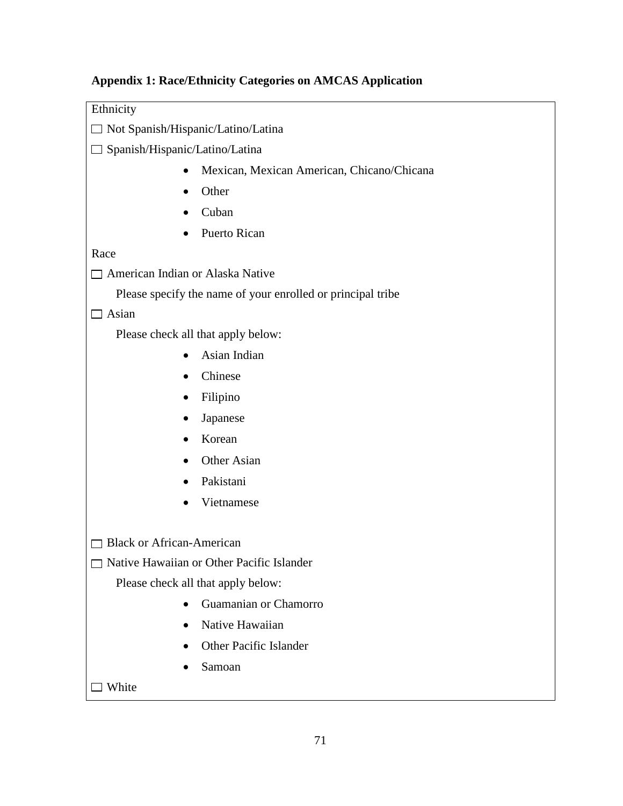# <span id="page-80-0"></span>**Appendix 1: Race/Ethnicity Categories on AMCAS Application**

| Ethnicity                                                   |  |  |
|-------------------------------------------------------------|--|--|
| □ Not Spanish/Hispanic/Latino/Latina                        |  |  |
| Spanish/Hispanic/Latino/Latina                              |  |  |
| Mexican, Mexican American, Chicano/Chicana<br>$\bullet$     |  |  |
| Other                                                       |  |  |
| Cuban<br>$\bullet$                                          |  |  |
| Puerto Rican                                                |  |  |
| Race                                                        |  |  |
| □ American Indian or Alaska Native                          |  |  |
| Please specify the name of your enrolled or principal tribe |  |  |
| Asian                                                       |  |  |
| Please check all that apply below:                          |  |  |
| Asian Indian<br>$\bullet$                                   |  |  |
| Chinese                                                     |  |  |
| Filipino<br>$\bullet$                                       |  |  |
| Japanese                                                    |  |  |
| Korean<br>$\bullet$                                         |  |  |
| Other Asian                                                 |  |  |
| Pakistani                                                   |  |  |
| Vietnamese                                                  |  |  |
|                                                             |  |  |
| <b>Black or African-American</b>                            |  |  |
| Native Hawaiian or Other Pacific Islander                   |  |  |
| Please check all that apply below:                          |  |  |
| Guamanian or Chamorro<br>$\bullet$                          |  |  |
| Native Hawaiian                                             |  |  |
| Other Pacific Islander<br>$\bullet$                         |  |  |
| Samoan                                                      |  |  |
| White                                                       |  |  |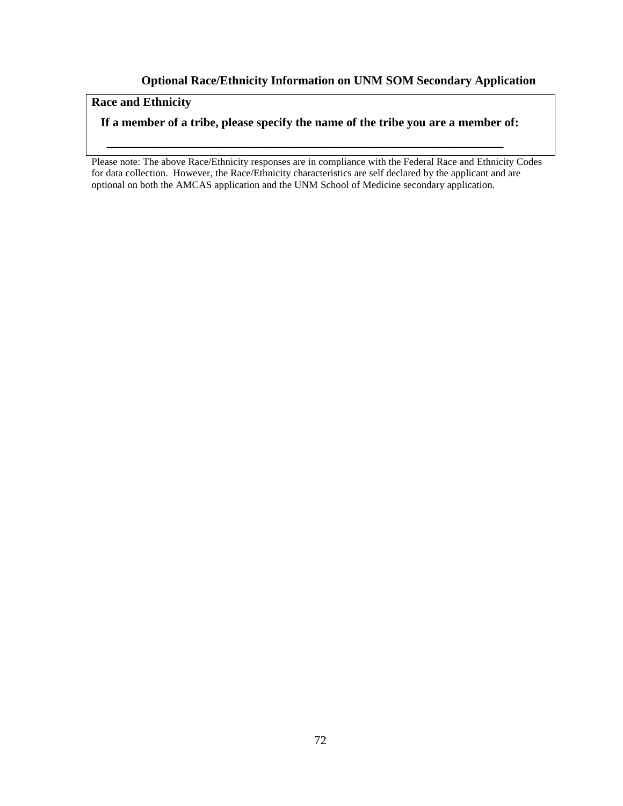#### **Optional Race/Ethnicity Information on UNM SOM Secondary Application**

### **Race and Ethnicity**

#### **If a member of a tribe, please specify the name of the tribe you are a member of:**

 **\_\_\_\_\_\_\_\_\_\_\_\_\_\_\_\_\_\_\_\_\_\_\_\_\_\_\_\_\_\_\_\_\_\_\_\_\_\_\_\_\_\_\_\_\_\_\_\_\_\_\_\_\_\_\_\_\_\_\_\_\_\_\_\_\_**

Please note: The above Race/Ethnicity responses are in compliance with the Federal Race and Ethnicity Codes for data collection. However, the Race/Ethnicity characteristics are self declared by the applicant and are optional on both the AMCAS application and the UNM School of Medicine secondary application.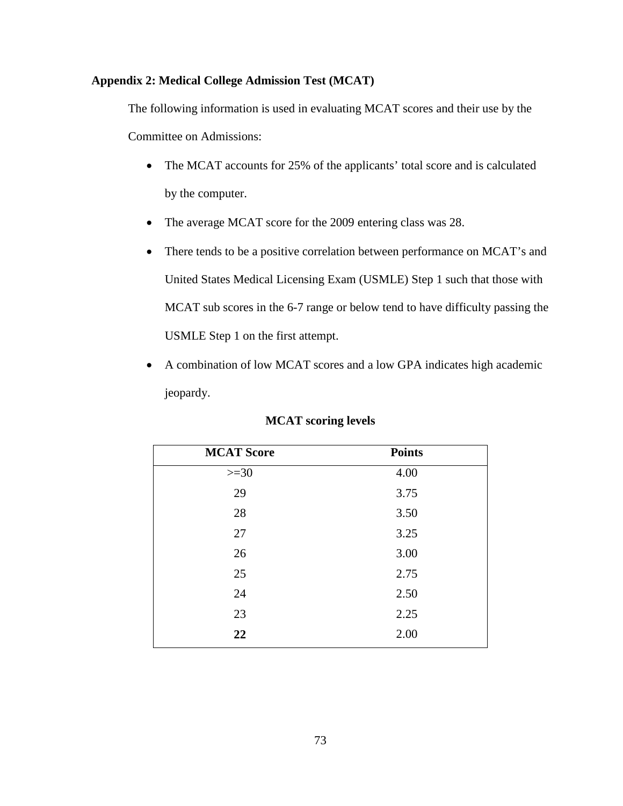#### <span id="page-82-0"></span>**Appendix 2: Medical College Admission Test (MCAT)**

The following information is used in evaluating MCAT scores and their use by the

Committee on Admissions:

- The MCAT accounts for 25% of the applicants' total score and is calculated by the computer.
- The average MCAT score for the 2009 entering class was 28.
- There tends to be a positive correlation between performance on MCAT's and United States Medical Licensing Exam (USMLE) Step 1 such that those with MCAT sub scores in the 6-7 range or below tend to have difficulty passing the USMLE Step 1 on the first attempt.
- A combination of low MCAT scores and a low GPA indicates high academic jeopardy.

| <b>MCAT Score</b> | <b>Points</b> |
|-------------------|---------------|
| $>=30$            | 4.00          |
| 29                | 3.75          |
| 28                | 3.50          |
| 27                | 3.25          |
| 26                | 3.00          |
| 25                | 2.75          |
| 24                | 2.50          |
| 23                | 2.25          |
| 22                | 2.00          |

#### **MCAT scoring levels**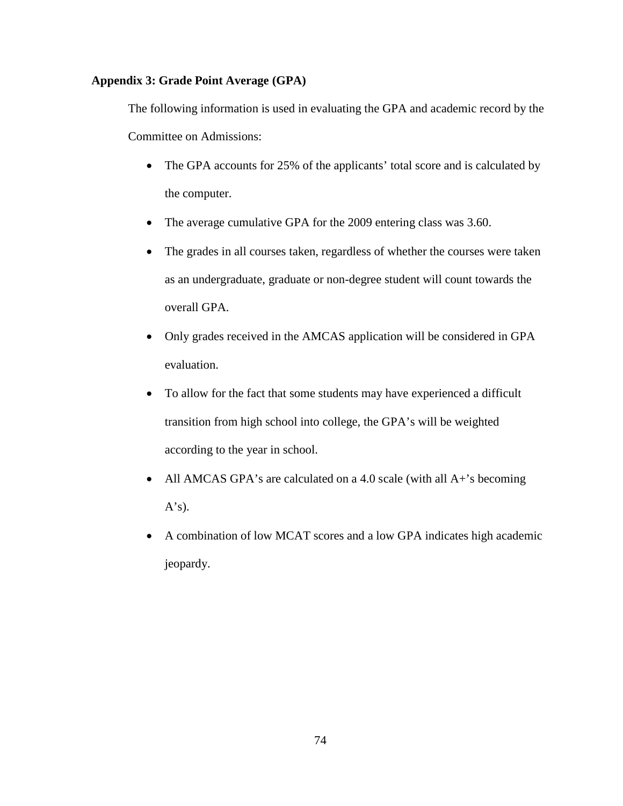#### <span id="page-83-0"></span>**Appendix 3: Grade Point Average (GPA)**

The following information is used in evaluating the GPA and academic record by the Committee on Admissions:

- The GPA accounts for 25% of the applicants' total score and is calculated by the computer.
- The average cumulative GPA for the 2009 entering class was 3.60.
- The grades in all courses taken, regardless of whether the courses were taken as an undergraduate, graduate or non-degree student will count towards the overall GPA.
- Only grades received in the AMCAS application will be considered in GPA evaluation.
- To allow for the fact that some students may have experienced a difficult transition from high school into college, the GPA's will be weighted according to the year in school.
- All AMCAS GPA's are calculated on a 4.0 scale (with all A+'s becoming  $A's$ ).
- A combination of low MCAT scores and a low GPA indicates high academic jeopardy.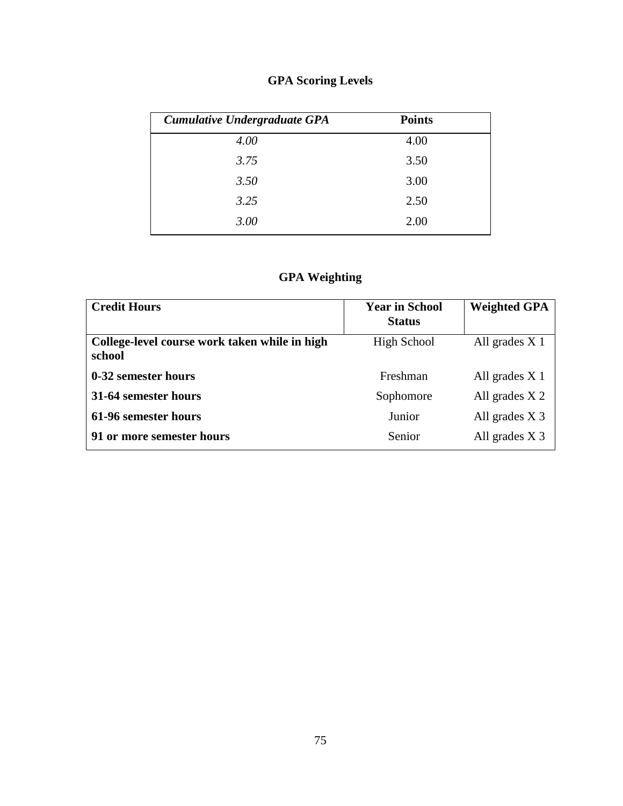## **GPA Scoring Levels**

| Cumulative Undergraduate GPA | <b>Points</b> |  |
|------------------------------|---------------|--|
| 4.00                         | 4.00          |  |
| 3.75                         | 3.50          |  |
| 3.50                         | 3.00          |  |
| 3.25                         | 2.50          |  |
| 3.00                         | 2.00          |  |

## **GPA Weighting**

| <b>Credit Hours</b>                                     | <b>Year in School</b><br><b>Status</b> | <b>Weighted GPA</b> |
|---------------------------------------------------------|----------------------------------------|---------------------|
| College-level course work taken while in high<br>school | High School                            | All grades $X_1$    |
| 0-32 semester hours                                     | Freshman                               | All grades $X_1$    |
| 31-64 semester hours                                    | Sophomore                              | All grades $X$ 2    |
| 61-96 semester hours                                    | Junior                                 | All grades $X_3$    |
| 91 or more semester hours                               | Senior                                 | All grades $X_3$    |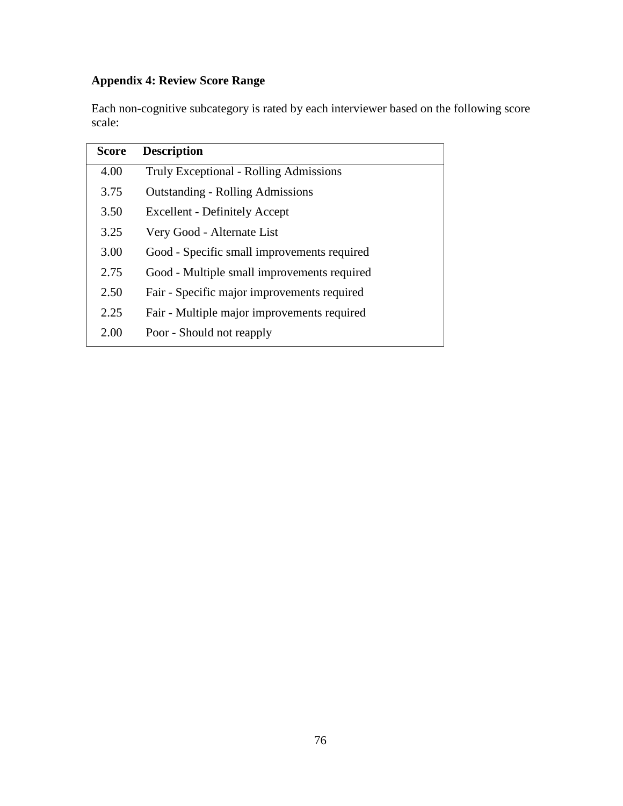## <span id="page-85-0"></span>**Appendix 4: Review Score Range**

Each non-cognitive subcategory is rated by each interviewer based on the following score scale:

| <b>Score</b> | <b>Description</b>                            |
|--------------|-----------------------------------------------|
| 4.00         | <b>Truly Exceptional - Rolling Admissions</b> |
| 3.75         | <b>Outstanding - Rolling Admissions</b>       |
| 3.50         | <b>Excellent - Definitely Accept</b>          |
| 3.25         | Very Good - Alternate List                    |
| 3.00         | Good - Specific small improvements required   |
| 2.75         | Good - Multiple small improvements required   |
| 2.50         | Fair - Specific major improvements required   |
| 2.25         | Fair - Multiple major improvements required   |
| 2.00         | Poor - Should not reapply                     |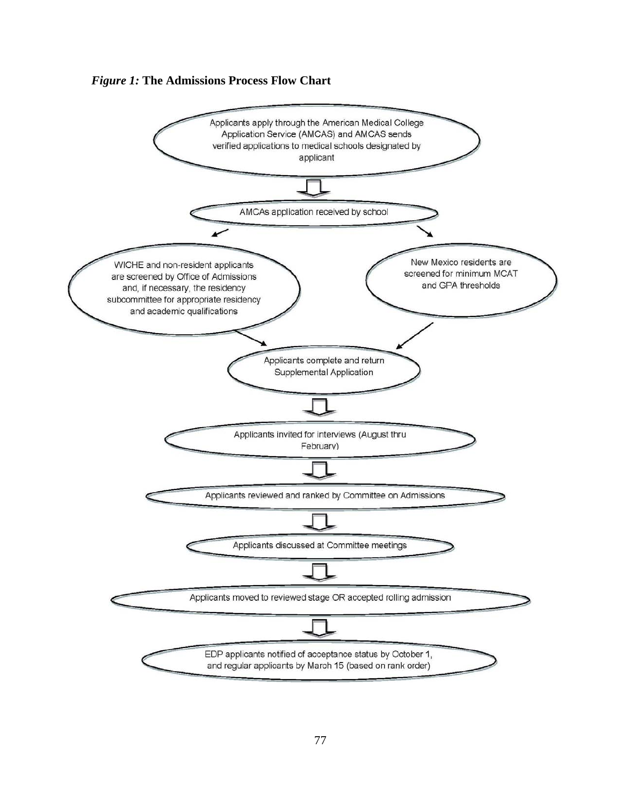